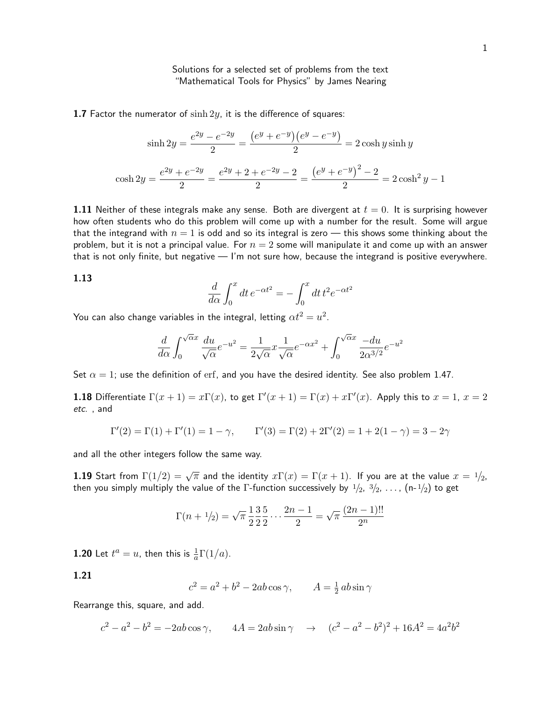# Solutions for a selected set of problems from the text "Mathematical Tools for Physics" by James Nearing

1.7 Factor the numerator of  $\sinh 2y$ , it is the difference of squares:

$$
\sinh 2y = \frac{e^{2y} - e^{-2y}}{2} = \frac{(e^y + e^{-y})(e^y - e^{-y})}{2} = 2\cosh y \sinh y
$$

$$
\cosh 2y = \frac{e^{2y} + e^{-2y}}{2} = \frac{e^{2y} + 2 + e^{-2y} - 2}{2} = \frac{(e^y + e^{-y})^2 - 2}{2} = 2\cosh^2 y - 1
$$

1.11 Neither of these integrals make any sense. Both are divergent at  $t = 0$ . It is surprising however how often students who do this problem will come up with a number for the result. Some will argue that the integrand with  $n = 1$  is odd and so its integral is zero — this shows some thinking about the problem, but it is not a principal value. For  $n = 2$  some will manipulate it and come up with an answer that is not only finite, but negative — I'm not sure how, because the integrand is positive everywhere.

#### $\frac{d}{d\alpha}$   $\int_0^x$  $dt e^{-\alpha t^2} = -\int^x$ 0  $dt t^2 e^{-\alpha t^2}$

You can also change variables in the integral, letting  $\alpha t^2=u^2.$ 

$$
\frac{d}{d\alpha} \int_0^{\sqrt{\alpha}x} \frac{du}{\sqrt{\alpha}} e^{-u^2} = \frac{1}{2\sqrt{\alpha}} x \frac{1}{\sqrt{\alpha}} e^{-\alpha x^2} + \int_0^{\sqrt{\alpha}x} \frac{-du}{2\alpha^{3/2}} e^{-u^2}
$$

Set  $\alpha = 1$ ; use the definition of erf, and you have the desired identity. See also problem 1.47.

**1.18** Differentiate  $\Gamma(x+1) = x\Gamma(x)$ , to get  $\Gamma'(x+1) = \Gamma(x) + x\Gamma'(x)$ . Apply this to  $x = 1$ ,  $x = 2$ etc. , and

$$
\Gamma'(2) = \Gamma(1) + \Gamma'(1) = 1 - \gamma, \qquad \Gamma'(3) = \Gamma(2) + 2\Gamma'(2) = 1 + 2(1 - \gamma) = 3 - 2\gamma
$$

and all the other integers follow the same way.

**1.19** Start from  $\Gamma(1/2) = \sqrt{\pi}$  and the identity  $x\Gamma(x) = \Gamma(x+1)$ . If you are at the value  $x = \frac{1}{2}$ , then you simply multiply the value of the  $\Gamma$ -function successively by  $1/2,~3/2,~\dots$  ,  $(n$ - $1/2)$  to get

$$
\Gamma(n+1/2) = \sqrt{\pi} \frac{1}{2} \frac{3}{2} \frac{5}{2} \cdots \frac{2n-1}{2} = \sqrt{\pi} \frac{(2n-1)!!}{2^n}
$$

**1.20** Let  $t^a = u$ , then this is  $\frac{1}{a} \Gamma(1/a)$ .

# 1.21

1.13

$$
c^2 = a^2 + b^2 - 2ab\cos\gamma, \qquad A = \frac{1}{2}ab\sin\gamma
$$

Rearrange this, square, and add.

$$
c^{2} - a^{2} - b^{2} = -2ab \cos \gamma, \qquad 4A = 2ab \sin \gamma \quad \to \quad (c^{2} - a^{2} - b^{2})^{2} + 16A^{2} = 4a^{2}b^{2}
$$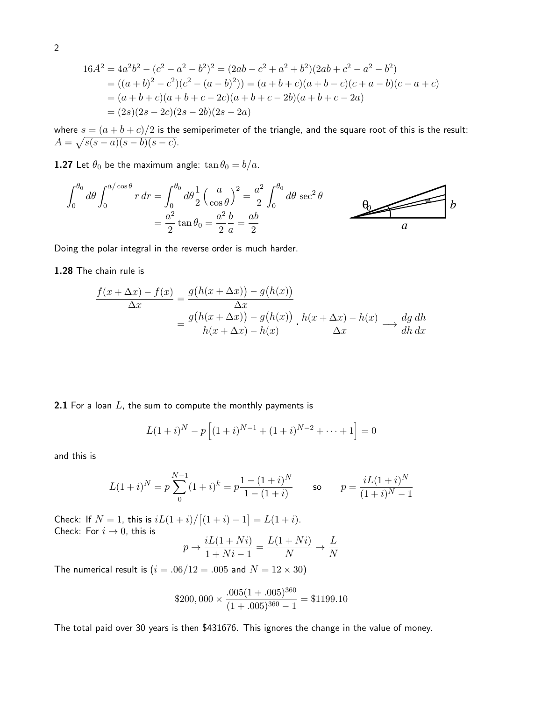$$
16A2 = 4a2b2 - (c2 - a2 - b2)2 = (2ab - c2 + a2 + b2)(2ab + c2 - a2 - b2) = ((a + b)2 - c2)(c2 - (a - b)2)) = (a + b + c)(a + b - c)(c + a - b)(c - a + c) = (a + b + c)(a + b + c - 2c)(a + b + c - 2b)(a + b + c - 2a) = (2s)(2s - 2c)(2s - 2b)(2s - 2a)
$$

where  $s=(a+b+c)/2$  is the semiperimeter of the triangle, and the square root of this is the result:  $A = \sqrt{s(s-a)(s-b)(s-c)}.$ 

**1.27** Let  $\theta_0$  be the maximum angle:  $\tan \theta_0 = b/a$ .

$$
\int_0^{\theta_0} d\theta \int_0^{a/\cos\theta} r dr = \int_0^{\theta_0} d\theta \frac{1}{2} \left(\frac{a}{\cos\theta}\right)^2 = \frac{a^2}{2} \int_0^{\theta_0} d\theta \sec^2\theta
$$

$$
= \frac{a^2}{2} \tan\theta_0 = \frac{a^2}{2} \frac{b}{a} = \frac{ab}{2}
$$

Doing the polar integral in the reverse order is much harder.

## 1.28 The chain rule is

$$
\frac{f(x + \Delta x) - f(x)}{\Delta x} = \frac{g(h(x + \Delta x)) - g(h(x))}{\Delta x}
$$

$$
= \frac{g(h(x + \Delta x)) - g(h(x))}{h(x + \Delta x) - h(x)} \cdot \frac{h(x + \Delta x) - h(x)}{\Delta x} \longrightarrow \frac{dg dh}{dh dx}
$$

2.1 For a loan  $L$ , the sum to compute the monthly payments is

$$
L(1+i)^N - p\left[ (1+i)^{N-1} + (1+i)^{N-2} + \dots + 1 \right] = 0
$$

and this is

$$
L(1+i)^N = p \sum_{0}^{N-1} (1+i)^k = p \frac{1 - (1+i)^N}{1 - (1+i)}
$$
 so  $p = \frac{iL(1+i)^N}{(1+i)^N - 1}$ 

Check: If  $N = 1$ , this is  $iL(1 + i)/[(1 + i) - 1] = L(1 + i)$ . Check: For  $i \rightarrow 0$ , this is

$$
p \to \frac{iL(1+Ni)}{1+Ni-1} = \frac{L(1+Ni)}{N} \to \frac{L}{N}
$$

The numerical result is  $(i = .06/12 = .005$  and  $N = 12 \times 30)$ 

$$
\$200,000 \times \frac{.005(1 + .005)^{360}}{(1 + .005)^{360} - 1} = \$1199.10
$$

The total paid over 30 years is then \$431676. This ignores the change in the value of money.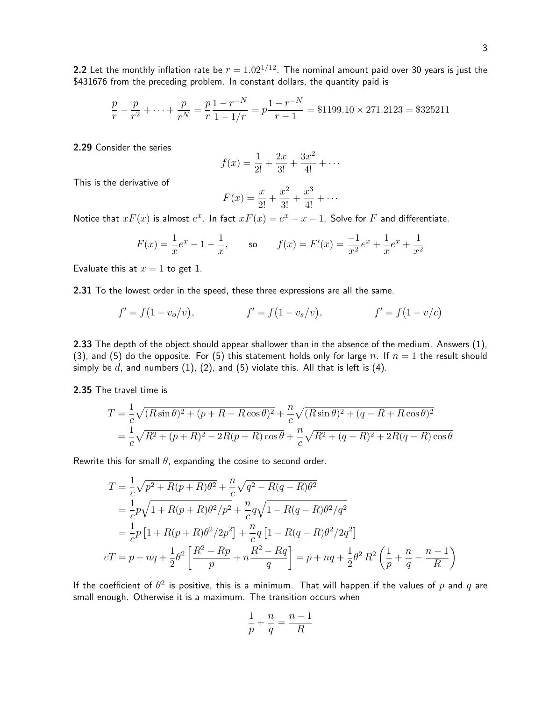$$
\frac{p}{r} + \frac{p}{r^2} + \dots + \frac{p}{r^N} = \frac{p}{r} \frac{1 - r^{-N}}{1 - 1/r} = p \frac{1 - r^{-N}}{r - 1} = \$1199.10 \times 271.2123 = \$325211
$$

2.29 Consider the series

$$
f(x) = \frac{1}{2!} + \frac{2x}{3!} + \frac{3x^2}{4!} + \cdots
$$

This is the derivative of

$$
F(x) = \frac{x}{2!} + \frac{x^2}{3!} + \frac{x^3}{4!} + \cdots
$$

Notice that  $xF(x)$  is almost  $e^x$ . In fact  $xF(x) = e^x - x - 1$ . Solve for F and differentiate.

$$
F(x) = \frac{1}{x}e^x - 1 - \frac{1}{x}
$$
, so  $f(x) = F'(x) = \frac{-1}{x^2}e^x + \frac{1}{x}e^x + \frac{1}{x^2}$ 

Evaluate this at  $x = 1$  to get 1.

2.31 To the lowest order in the speed, these three expressions are all the same.

\$431676 from the preceding problem. In constant dollars, the quantity paid is

$$
f' = f(1 - v_o/v),
$$
  $f' = f(1 - v_s/v),$   $f' = f(1 - v/c)$ 

2.33 The depth of the object should appear shallower than in the absence of the medium. Answers (1), (3), and (5) do the opposite. For (5) this statement holds only for large n. If  $n = 1$  the result should simply be  $d$ , and numbers (1), (2), and (5) violate this. All that is left is (4).

2.35 The travel time is

$$
T = \frac{1}{c}\sqrt{(R\sin\theta)^2 + (p+R-R\cos\theta)^2} + \frac{n}{c}\sqrt{(R\sin\theta)^2 + (q-R+R\cos\theta)^2}
$$
  
=  $\frac{1}{c}\sqrt{R^2 + (p+R)^2 - 2R(p+R)\cos\theta} + \frac{n}{c}\sqrt{R^2 + (q-R)^2 + 2R(q-R)\cos\theta}$ 

Rewrite this for small  $\theta$ , expanding the cosine to second order.

$$
T = \frac{1}{c}\sqrt{p^2 + R(p+R)\theta^2} + \frac{n}{c}\sqrt{q^2 - R(q-R)\theta^2}
$$
  
=  $\frac{1}{c}p\sqrt{1 + R(p+R)\theta^2/p^2} + \frac{n}{c}q\sqrt{1 - R(q-R)\theta^2/q^2}$   
=  $\frac{1}{c}p[1 + R(p+R)\theta^2/2p^2] + \frac{n}{c}q[1 - R(q-R)\theta^2/2q^2]$   

$$
cT = p + nq + \frac{1}{2}\theta^2\left[\frac{R^2 + Rp}{p} + n\frac{R^2 - Rq}{q}\right] = p + nq + \frac{1}{2}\theta^2 R^2\left(\frac{1}{p} + \frac{n}{q} - \frac{n-1}{R}\right)
$$

If the coefficient of  $\theta^2$  is positive, this is a minimum. That will happen if the values of  $p$  and  $q$  are small enough. Otherwise it is a maximum. The transition occurs when

$$
\frac{1}{p}+\frac{n}{q}=\frac{n-1}{R}
$$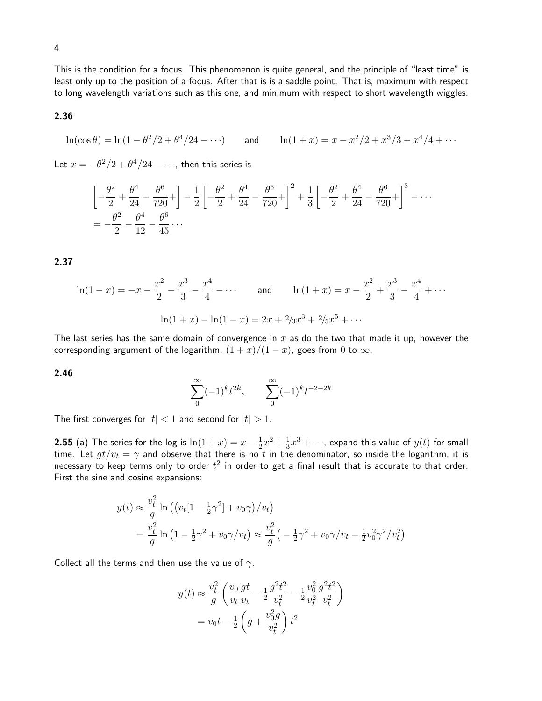This is the condition for a focus. This phenomenon is quite general, and the principle of "least time" is least only up to the position of a focus. After that is is a saddle point. That is, maximum with respect to long wavelength variations such as this one, and minimum with respect to short wavelength wiggles.

# 2.36

$$
\ln(\cos \theta) = \ln(1 - \theta^2/2 + \theta^4/24 - \cdots) \quad \text{and} \quad \ln(1 + x) = x - x^2/2 + x^3/3 - x^4/4 + \cdots
$$

Let  $x=-\theta^2/2+\theta^4/24-\cdots$ , then this series is

$$
\left[ -\frac{\theta^2}{2} + \frac{\theta^4}{24} - \frac{\theta^6}{720} + \right] - \frac{1}{2} \left[ -\frac{\theta^2}{2} + \frac{\theta^4}{24} - \frac{\theta^6}{720} + \right]^2 + \frac{1}{3} \left[ -\frac{\theta^2}{2} + \frac{\theta^4}{24} - \frac{\theta^6}{720} + \right]^3 - \dots
$$
  
=  $-\frac{\theta^2}{2} - \frac{\theta^4}{12} - \frac{\theta^6}{45} \dots$ 

2.37

$$
\ln(1-x) = -x - \frac{x^2}{2} - \frac{x^3}{3} - \frac{x^4}{4} - \dots
$$
 and 
$$
\ln(1+x) = x - \frac{x^2}{2} + \frac{x^3}{3} - \frac{x^4}{4} + \dots
$$

$$
\ln(1+x) - \ln(1-x) = 2x + \frac{2}{3}x^3 + \frac{2}{5}x^5 + \dots
$$

The last series has the same domain of convergence in  $x$  as do the two that made it up, however the corresponding argument of the logarithm,  $(1 + x)/(1 - x)$ , goes from 0 to  $\infty$ .

2.46

$$
\sum_{0}^{\infty}(-1)^{k}t^{2k}, \qquad \sum_{0}^{\infty}(-1)^{k}t^{-2-2k}
$$

The first converges for  $|t| < 1$  and second for  $|t| > 1$ .

**2.55** (a) The series for the log is  $\ln(1+x) = x - \frac{1}{2}$  $\frac{1}{2}x^2 + \frac{1}{3}$  $\frac{1}{3}x^3+\cdots$ , expand this value of  $y(t)$  for small time. Let  $gt/v_t = \gamma$  and observe that there is no  $t$  in the denominator, so inside the logarithm, it is necessary to keep terms only to order  $t^2$  in order to get a final result that is accurate to that order. First the sine and cosine expansions:

$$
y(t) \approx \frac{v_t^2}{g} \ln\left( \left( v_t [1 - \frac{1}{2} \gamma^2] + v_0 \gamma \right) / v_t \right)
$$
  
=  $\frac{v_t^2}{g} \ln\left( 1 - \frac{1}{2} \gamma^2 + v_0 \gamma / v_t \right) \approx \frac{v_t^2}{g} \left( -\frac{1}{2} \gamma^2 + v_0 \gamma / v_t - \frac{1}{2} v_0^2 \gamma^2 / v_t^2 \right)$ 

Collect all the terms and then use the value of  $\gamma$ .

$$
y(t) \approx \frac{v_t^2}{g} \left( \frac{v_0}{v_t} \frac{gt}{v_t} - \frac{1}{2} \frac{g^2 t^2}{v_t^2} - \frac{1}{2} \frac{v_0^2}{v_t^2} \frac{g^2 t^2}{v_t^2} \right)
$$
  
=  $v_0 t - \frac{1}{2} \left( g + \frac{v_0^2 g}{v_t^2} \right) t^2$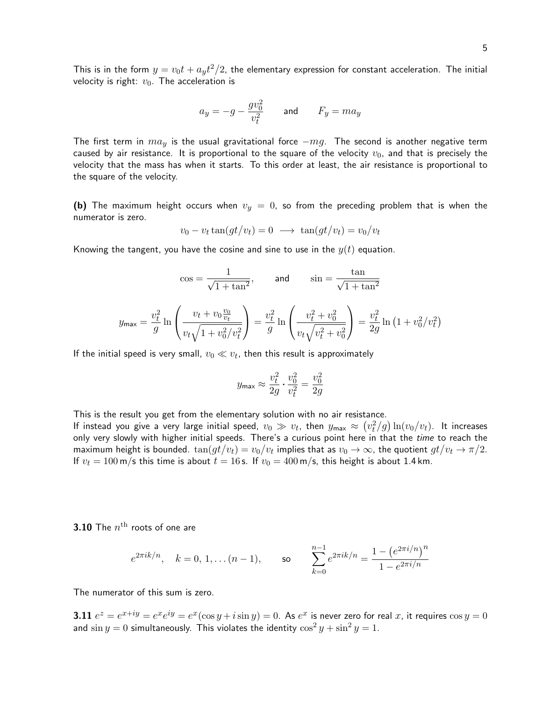5

This is in the form  $y=v_0t+a_yt^2/2$ , the elementary expression for constant acceleration. The initial velocity is right:  $v_0$ . The acceleration is

$$
a_y = -g - \frac{g v_0^2}{v_t^2} \qquad \text{and} \qquad F_y = m a_y
$$

The first term in  $ma_y$  is the usual gravitational force  $-mg$ . The second is another negative term caused by air resistance. It is proportional to the square of the velocity  $v_0$ , and that is precisely the velocity that the mass has when it starts. To this order at least, the air resistance is proportional to the square of the velocity.

(b) The maximum height occurs when  $v_y = 0$ , so from the preceding problem that is when the numerator is zero.

$$
v_0 - v_t \tan(gt/v_t) = 0 \longrightarrow \tan(gt/v_t) = v_0/v_t
$$

Knowing the tangent, you have the cosine and sine to use in the  $y(t)$  equation.

$$
\cos = \frac{1}{\sqrt{1 + \tan^2}}, \quad \text{and} \quad \sin = \frac{\tan}{\sqrt{1 + \tan^2}}
$$

$$
y_{\text{max}} = \frac{v_t^2}{g} \ln \left( \frac{v_t + v_0 \frac{v_0}{v_t}}{v_t \sqrt{1 + v_0^2 / v_t^2}} \right) = \frac{v_t^2}{g} \ln \left( \frac{v_t^2 + v_0^2}{v_t \sqrt{v_t^2 + v_0^2}} \right) = \frac{v_t^2}{2g} \ln \left( 1 + v_0^2 / v_t^2 \right)
$$

If the initial speed is very small,  $v_0 \ll v_t$ , then this result is approximately

$$
y_{\text{max}} \approx \frac{v_t^2}{2g} \cdot \frac{v_0^2}{v_t^2} = \frac{v_0^2}{2g}
$$

This is the result you get from the elementary solution with no air resistance.

If instead you give a very large initial speed,  $v_0\gg v_t$ , then  $y_{\sf max}\approx \left(v_t^2/g\right)\ln(v_0/v_t)$ . It increases only very slowly with higher initial speeds. There's a curious point here in that the time to reach the maximum height is bounded.  $\tan(gt/v_t)=v_0/v_t$  implies that as  $v_0\to\infty$ , the quotient  $gt/v_t\to\pi/2$ . If  $v_t = 100 \text{ m/s}$  this time is about  $t = 16 \text{ s}$ . If  $v_0 = 400 \text{ m/s}$ , this height is about 1.4 km.

 $\bf 3.10$  The  $n^{\rm th}$  roots of one are

$$
e^{2\pi i k/n}
$$
,  $k = 0, 1, ..., (n - 1)$ , so 
$$
\sum_{k=0}^{n-1} e^{2\pi i k/n} = \frac{1 - (e^{2\pi i/n})^n}{1 - e^{2\pi i/n}}
$$

The numerator of this sum is zero.

**3.11**  $e^z = e^{x+iy} = e^x e^{iy} = e^x (\cos y + i \sin y) = 0$ . As  $e^x$  is never zero for real x, it requires  $\cos y = 0$ and  $\sin y = 0$  simultaneously. This violates the identity  $\cos^2 y + \sin^2 y = 1$ .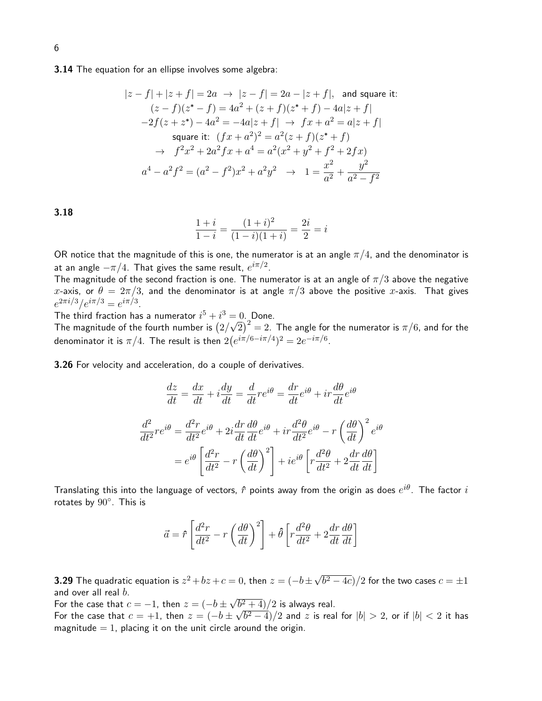### **3.14** The equation for an ellipse involves some algebra:

$$
|z - f| + |z + f| = 2a \rightarrow |z - f| = 2a - |z + f|, \text{ and square it:}
$$
  
\n
$$
(z - f)(z^* - f) = 4a^2 + (z + f)(z^* + f) - 4a|z + f|
$$
  
\n
$$
-2f(z + z^*) - 4a^2 = -4a|z + f| \rightarrow fx + a^2 = a|z + f|
$$
  
\nsquare it: 
$$
(fx + a^2)^2 = a^2(z + f)(z^* + f)
$$
  
\n
$$
\rightarrow f^2x^2 + 2a^2fx + a^4 = a^2(x^2 + y^2 + f^2 + 2fx)
$$
  
\n
$$
a^4 - a^2f^2 = (a^2 - f^2)x^2 + a^2y^2 \rightarrow 1 = \frac{x^2}{a^2} + \frac{y^2}{a^2 - f^2}
$$

3.18

$$
\frac{1+i}{1-i} = \frac{(1+i)^2}{(1-i)(1+i)} = \frac{2i}{2} = i
$$

OR notice that the magnitude of this is one, the numerator is at an angle  $\pi/4$ , and the denominator is at an angle  $-\pi/4.$  That gives the same result,  $e^{i\pi/2}.$ 

The magnitude of the second fraction is one. The numerator is at an angle of  $\pi/3$  above the negative x-axis, or  $\theta = 2\pi/3$ , and the denominator is at angle  $\pi/3$  above the positive x-axis. That gives  $e^{2\pi i/3}/e^{i\pi/3} = e^{i\pi/3}.$ 

The third fraction has a numerator  $i^5 + i^3 = 0$ . Done. √

The magnitude of the fourth number is  $\left( 2/ \right)$  $\overline{2})^{\,2}=2.$  The angle for the numerator is  $\pi/6,$  and for the denominator it is  $\pi/4$ . The result is then  $2(e^{i\pi/6 - i\pi/4})^2 = 2e^{-i\pi/6}.$ 

3.26 For velocity and acceleration, do a couple of derivatives.

$$
\frac{dz}{dt} = \frac{dx}{dt} + i\frac{dy}{dt} = \frac{d}{dt}re^{i\theta} = \frac{dr}{dt}e^{i\theta} + ir\frac{d\theta}{dt}e^{i\theta}
$$

$$
\frac{d^2}{dt^2}re^{i\theta} = \frac{d^2r}{dt^2}e^{i\theta} + 2i\frac{dr}{dt}\frac{d\theta}{dt}e^{i\theta} + ir\frac{d^2\theta}{dt^2}e^{i\theta} - r\left(\frac{d\theta}{dt}\right)^2e^{i\theta}
$$

$$
= e^{i\theta}\left[\frac{d^2r}{dt^2} - r\left(\frac{d\theta}{dt}\right)^2\right] + ie^{i\theta}\left[r\frac{d^2\theta}{dt^2} + 2\frac{dr}{dt}\frac{d\theta}{dt}\right]
$$

Translating this into the language of vectors,  $\hat{r}$  points away from the origin as does  $e^{i\theta}.$  The factor  $i$ rotates by  $90^\circ$ . This is

$$
\vec{a} = \hat{r} \left[ \frac{d^2 r}{dt^2} - r \left( \frac{d\theta}{dt} \right)^2 \right] + \hat{\theta} \left[ r \frac{d^2 \theta}{dt^2} + 2 \frac{dr}{dt} \frac{d\theta}{dt} \right]
$$

**3.29** The quadratic equation is  $z^2 + bz + c = 0$ , then  $z = (-b \pm \sqrt{b^2 + b^2})$  $\overline{(b^2-4c)}/2$  for the two cases  $c=\pm 1$ and over all real  $b$ . √

For the case that  $c=-1$ , then  $z=(-b\,\pm\,$  $\sqrt{b^2+4})/2$  is always real.

For the case that  $c=+1$ , then  $z=(-b\pm\sqrt{b^2-4})/2$  and  $z$  is real for  $|b|>2$ , or if  $|b|< 2$  it has magnitude  $= 1$ , placing it on the unit circle around the origin.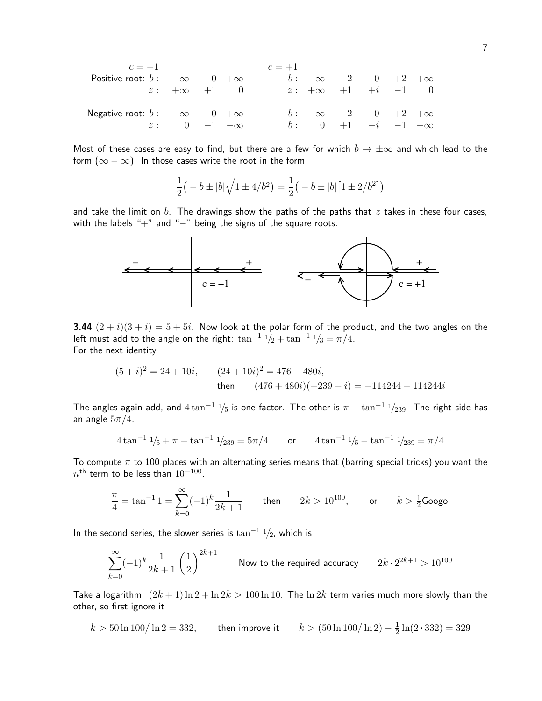| $c = -1$                    | $c = +1$                |                       |      |                  |
|-----------------------------|-------------------------|-----------------------|------|------------------|
| Positive root: $b: -\infty$ | $0 + \infty$            | $b: -\infty$          | $-2$ | $0 + 2 + \infty$ |
| $z: +\infty +1$             | $0$                     | $z: +\infty +1 +i -1$ | $0$  |                  |
| Negative root: $b: -\infty$ | $0 + \infty$            | $b: -\infty$          | $-2$ | $0 +2 + \infty$  |
| $z: 0 -1 -\infty$           | $b: 0 +1 -i -1 -\infty$ |                       |      |                  |

Most of these cases are easy to find, but there are a few for which  $b \to \pm \infty$  and which lead to the form  $(\infty - \infty)$ . In those cases write the root in the form

$$
\frac{1}{2}(-b \pm |b| \sqrt{1 \pm 4/b^2}) = \frac{1}{2}(-b \pm |b| [1 \pm 2/b^2])
$$

and take the limit on b. The drawings show the paths of the paths that  $z$  takes in these four cases, with the labels "+" and "-" being the signs of the square roots.



**3.44**  $(2+i)(3+i) = 5+5i$ . Now look at the polar form of the product, and the two angles on the left must add to the angle on the right:  $\tan^{-1} 1/2 + \tan^{-1} 1/3 = \pi/4$ . For the next identity,

$$
(5+i)^2 = 24+10i, \t(24+10i)^2 = 476+480i,
$$
  
then 
$$
(476+480i)(-239+i) = -114244-114244i
$$

The angles again add, and  $4 \tan^{-1} \frac{1}{5}$  is one factor. The other is  $\pi - \tan^{-1} \frac{1}{239}$ . The right side has an angle  $5\pi/4$ .

$$
4\tan^{-1} 1/5 + \pi - \tan^{-1} 1/239 = 5\pi/4 \qquad \text{or} \qquad 4\tan^{-1} 1/5 - \tan^{-1} 1/239 = \pi/4
$$

To compute  $\pi$  to 100 places with an alternating series means that (barring special tricks) you want the  $n^{\sf th}$  term to be less than  $10^{-100}.$ 

$$
\frac{\pi}{4} = \tan^{-1} 1 = \sum_{k=0}^{\infty} (-1)^k \frac{1}{2k+1}
$$
 then  $2k > 10^{100}$ , or  $k > \frac{1}{2}$ Google

In the second series, the slower series is  $\tan^{-1} 1/2$ , which is

$$
\sum_{k=0}^{\infty}(-1)^k\frac{1}{2k+1}\left(\frac{1}{2}\right)^{2k+1}\qquad \text{Now to the required accuracy}\qquad 2k\cdot 2^{2k+1}>10^{100}
$$

Take a logarithm:  $(2k + 1) \ln 2 + \ln 2k > 100 \ln 10$ . The  $\ln 2k$  term varies much more slowly than the other, so first ignore it

 $k > 50 \ln 100 / \ln 2 = 332$ , then improve it 1  $\frac{1}{2}\ln(2 \cdot 332) = 329$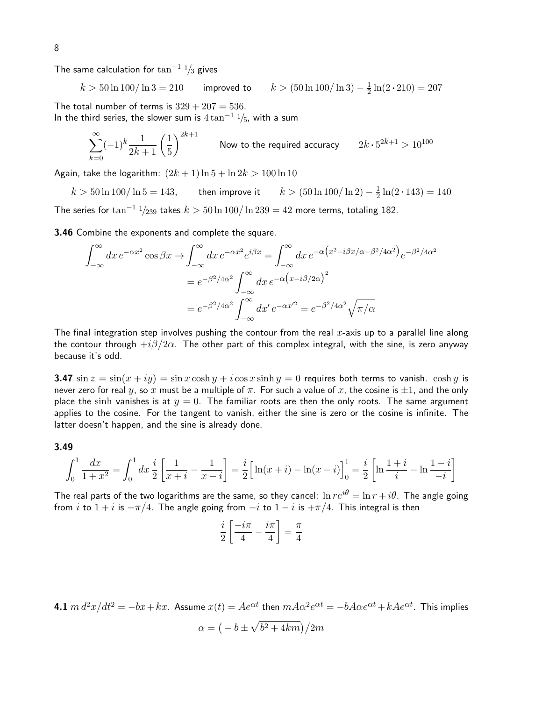The same calculation for  $\tan^{-1}$  1/<sub>3</sub> gives

$$
k > 50 \ln 100 / \ln 3 = 210
$$
 improved to  $k > (50 \ln 100 / \ln 3) - \frac{1}{2} \ln(2 \cdot 210) = 207$ 

The total number of terms is  $329 + 207 = 536$ . In the third series, the slower sum is  $4 \tan^{-1} \frac{1}{5}$ , with a sum

$$
\sum_{k=0}^{\infty}(-1)^k\frac{1}{2k+1}\left(\frac{1}{5}\right)^{2k+1}
$$
 Now to the required accuracy 
$$
2k \cdot 5^{2k+1} > 10^{100}
$$

Again, take the logarithm:  $(2k + 1) \ln 5 + \ln 2k > 100 \ln 10$ 

 $k > 50 \ln 100 / \ln 5 = 143$ , then improve it 1  $\frac{1}{2}\ln(2 \cdot 143) = 140$ The series for  $\tan^{-1}$   $\frac{1}{239}$  takes  $k > 50 \ln 100 / \ln 239 = 42$  more terms, totaling 182.

3.46 Combine the exponents and complete the square.

$$
\int_{-\infty}^{\infty} dx \, e^{-\alpha x^2} \cos \beta x \to \int_{-\infty}^{\infty} dx \, e^{-\alpha x^2} e^{i\beta x} = \int_{-\infty}^{\infty} dx \, e^{-\alpha \left(x^2 - i\beta x/\alpha - \beta^2/4\alpha^2\right)} e^{-\beta^2/4\alpha^2}
$$
\n
$$
= e^{-\beta^2/4\alpha^2} \int_{-\infty}^{\infty} dx \, e^{-\alpha \left(x - i\beta/2\alpha\right)^2}
$$
\n
$$
= e^{-\beta^2/4\alpha^2} \int_{-\infty}^{\infty} dx' \, e^{-\alpha x'^2} = e^{-\beta^2/4\alpha^2} \sqrt{\pi/\alpha}
$$

The final integration step involves pushing the contour from the real x-axis up to a parallel line along the contour through  $+i\beta/2\alpha$ . The other part of this complex integral, with the sine, is zero anyway because it's odd.

**3.47** sin  $z = \sin(x + iy) = \sin x \cosh y + i \cos x \sinh y = 0$  requires both terms to vanish. cosh y is never zero for real y, so x must be a multiple of  $\pi$ . For such a value of x, the cosine is  $\pm 1$ , and the only place the sinh vanishes is at  $y = 0$ . The familiar roots are then the only roots. The same argument applies to the cosine. For the tangent to vanish, either the sine is zero or the cosine is infinite. The latter doesn't happen, and the sine is already done.

#### 3.49

$$
\int_0^1 \frac{dx}{1+x^2} = \int_0^1 dx \frac{i}{2} \left[ \frac{1}{x+i} - \frac{1}{x-i} \right] = \frac{i}{2} \left[ \ln(x+i) - \ln(x-i) \right]_0^1 = \frac{i}{2} \left[ \ln \frac{1+i}{i} - \ln \frac{1-i}{-i} \right]
$$

The real parts of the two logarithms are the same, so they cancel:  $\ln re^{i\theta} = \ln r + i\theta$ . The angle going from i to  $1 + i$  is  $-\pi/4$ . The angle going from  $-i$  to  $1 - i$  is  $+\pi/4$ . This integral is then

$$
\frac{i}{2}\left[\frac{-i\pi}{4} - \frac{i\pi}{4}\right] = \frac{\pi}{4}
$$

4.1  $m\,d^2x/dt^2=-bx+kx.$  Assume  $x(t)=Ae^{\alpha t}$  then  $mA\alpha^2e^{\alpha t}=-bA\alpha e^{\alpha t}+kAe^{\alpha t}.$  This implies

$$
\alpha=\big(-b\pm\sqrt{b^2+4km}\big)/2m
$$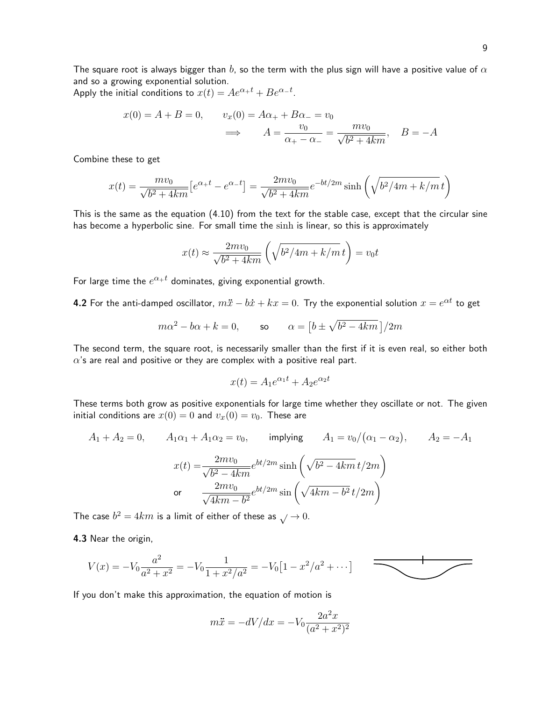The square root is always bigger than b, so the term with the plus sign will have a positive value of  $\alpha$ and so a growing exponential solution.

Apply the initial conditions to  $x(t) = Ae^{\alpha_+ t} + Be^{\alpha_- t}$ .

$$
x(0) = A + B = 0, \qquad v_x(0) = A\alpha_+ + B\alpha_- = v_0
$$

$$
\implies \qquad A = \frac{v_0}{\alpha_+ - \alpha_-} = \frac{mv_0}{\sqrt{b^2 + 4km}}, \qquad B = -A
$$

Combine these to get

$$
x(t) = \frac{mv_0}{\sqrt{b^2 + 4km}} \left[ e^{\alpha_+ t} - e^{\alpha_- t} \right] = \frac{2mv_0}{\sqrt{b^2 + 4km}} e^{-bt/2m} \sinh\left(\sqrt{b^2/4m + k/m} t\right)
$$

This is the same as the equation (4.10) from the text for the stable case, except that the circular sine has become a hyperbolic sine. For small time the sinh is linear, so this is approximately

$$
x(t) \approx \frac{2mv_0}{\sqrt{b^2 + 4km}} \left( \sqrt{b^2/4m + k/m} t \right) = v_0 t
$$

For large time the  $e^{\alpha_+ t}$  dominates, giving exponential growth.

**4.2** For the anti-damped oscillator,  $m\ddot{x} - b\dot{x} + kx = 0$ . Try the exponential solution  $x = e^{\alpha t}$  to get

$$
m\alpha^2 - b\alpha + k = 0, \qquad \text{so} \qquad \alpha = \left[b \pm \sqrt{b^2 - 4km}\right]/2m
$$

The second term, the square root, is necessarily smaller than the first if it is even real, so either both  $\alpha$ 's are real and positive or they are complex with a positive real part.

$$
x(t) = A_1 e^{\alpha_1 t} + A_2 e^{\alpha_2 t}
$$

These terms both grow as positive exponentials for large time whether they oscillate or not. The given initial conditions are  $x(0) = 0$  and  $v_x(0) = v_0$ . These are

$$
A_1 + A_2 = 0, \t A_1 \alpha_1 + A_1 \alpha_2 = v_0, \t implying A_1 = v_0/(\alpha_1 - \alpha_2), \t A_2 = -A_1
$$

$$
x(t) = \frac{2mv_0}{\sqrt{b^2 - 4km}} e^{bt/2m} \sinh\left(\sqrt{b^2 - 4km}t/2m\right)
$$

$$
or \frac{2mv_0}{\sqrt{4km - b^2}} e^{bt/2m} \sin\left(\sqrt{4km - b^2}t/2m\right)
$$

The case  $b^2 = 4km$  is a limit of either of these as  $\sqrt{ } \to 0$ .

4.3 Near the origin,

$$
V(x) = -V_0 \frac{a^2}{a^2 + x^2} = -V_0 \frac{1}{1 + x^2/a^2} = -V_0 \left[1 - \frac{x^2}{a^2} + \dots\right]
$$

If you don't make this approximation, the equation of motion is

$$
m\ddot{x} = -dV/dx = -V_0 \frac{2a^2x}{(a^2 + x^2)^2}
$$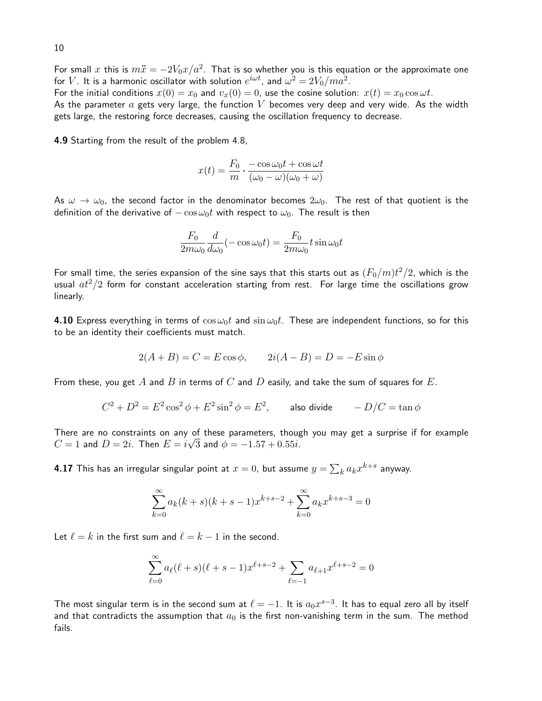For small  $x$  this is  $m\ddot{x}=-2V_0x/a^2.$  That is so whether you is this equation or the approximate one for  $V.$  It is a harmonic oscillator with solution  $e^{i\omega t}$ , and  $\omega^2=2V_0/ma^2.$ 

For the initial conditions  $x(0) = x_0$  and  $v_x(0) = 0$ , use the cosine solution:  $x(t) = x_0 \cos \omega t$ . As the parameter  $a$  gets very large, the function V becomes very deep and very wide. As the width gets large, the restoring force decreases, causing the oscillation frequency to decrease.

4.9 Starting from the result of the problem 4.8,

$$
x(t) = \frac{F_0}{m} \cdot \frac{-\cos\omega_0 t + \cos\omega t}{(\omega_0 - \omega)(\omega_0 + \omega)}
$$

As  $\omega \to \omega_0$ , the second factor in the denominator becomes  $2\omega_0$ . The rest of that quotient is the definition of the derivative of  $-\cos \omega_0 t$  with respect to  $\omega_0$ . The result is then

$$
\frac{F_0}{2m\omega_0}\frac{d}{d\omega_0}(-\cos\omega_0 t) = \frac{F_0}{2m\omega_0}t\sin\omega_0 t
$$

For small time, the series expansion of the sine says that this starts out as  $(F_0/m)t^2/2$ , which is the usual  $at^2/2$  form for constant acceleration starting from rest. For large time the oscillations grow linearly.

4.10 Express everything in terms of  $\cos \omega_0 t$  and  $\sin \omega_0 t$ . These are independent functions, so for this to be an identity their coefficients must match.

$$
2(A + B) = C = E \cos \phi
$$
,  $2i(A - B) = D = -E \sin \phi$ 

From these, you get  $A$  and  $B$  in terms of  $C$  and  $D$  easily, and take the sum of squares for  $E$ .

$$
C^2 + D^2 = E^2 \cos^2 \phi + E^2 \sin^2 \phi = E^2
$$
, also divide  $-D/C = \tan \phi$ 

There are no constraints on any of these parameters, though you may get a surprise if for example  $C=1$  and  $D=2i.$  Then  $E=i\sqrt{3}$  and  $\phi=-1.57+0.55i.$ 

**4.17** This has an irregular singular point at  $x=0$ , but assume  $y=\sum_k a_k x^{k+s}$  anyway.

$$
\sum_{k=0}^{\infty} a_k (k+s)(k+s-1)x^{k+s-2} + \sum_{k=0}^{\infty} a_k x^{k+s-3} = 0
$$

Let  $\ell = k$  in the first sum and  $\ell = k - 1$  in the second.

$$
\sum_{\ell=0}^{\infty} a_{\ell}(\ell+s)(\ell+s-1)x^{\ell+s-2} + \sum_{\ell=-1}^{\infty} a_{\ell+1}x^{\ell+s-2} = 0
$$

The most singular term is in the second sum at  $\ell = -1$ . It is  $a_0x^{s-3}$ . It has to equal zero all by itself and that contradicts the assumption that  $a_0$  is the first non-vanishing term in the sum. The method fails.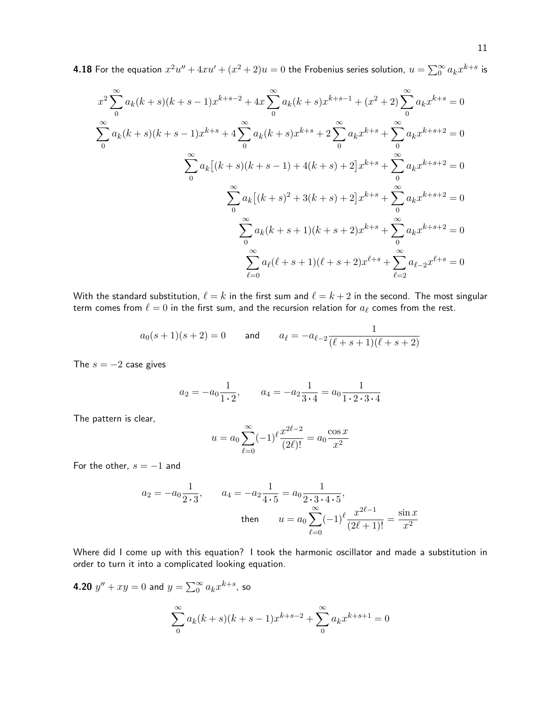**4.18** For the equation  $x^2u''+4xu'+(x^2+2)u=0$  the Frobenius series solution,  $u=\sum_0^\infty a_kx^{k+s}$  is

$$
x^{2} \sum_{0}^{\infty} a_{k}(k+s)(k+s-1)x^{k+s-2} + 4x \sum_{0}^{\infty} a_{k}(k+s)x^{k+s-1} + (x^{2}+2) \sum_{0}^{\infty} a_{k}x^{k+s} = 0
$$
  

$$
\sum_{0}^{\infty} a_{k}(k+s)(k+s-1)x^{k+s} + 4 \sum_{0}^{\infty} a_{k}(k+s)x^{k+s} + 2 \sum_{0}^{\infty} a_{k}x^{k+s} + \sum_{0}^{\infty} a_{k}x^{k+s+2} = 0
$$
  

$$
\sum_{0}^{\infty} a_{k}[(k+s)(k+s-1) + 4(k+s) + 2]x^{k+s} + \sum_{0}^{\infty} a_{k}x^{k+s+2} = 0
$$
  

$$
\sum_{0}^{\infty} a_{k}[(k+s)^{2} + 3(k+s) + 2]x^{k+s} + \sum_{0}^{\infty} a_{k}x^{k+s+2} = 0
$$
  

$$
\sum_{0}^{\infty} a_{k}(k+s+1)(k+s+2)x^{k+s} + \sum_{\ell=2}^{\infty} a_{\ell}x^{k+s+2} = 0
$$
  

$$
\sum_{\ell=0}^{\infty} a_{\ell}(\ell+s+1)(\ell+s+2)x^{\ell+s} + \sum_{\ell=2}^{\infty} a_{\ell-2}x^{\ell+s} = 0
$$

With the standard substitution,  $\ell = k$  in the first sum and  $\ell = k + 2$  in the second. The most singular term comes from  $\ell = 0$  in the first sum, and the recursion relation for  $a_\ell$  comes from the rest.

$$
a_0(s+1)(s+2) = 0
$$
 and  $a_{\ell} = -a_{\ell-2} \frac{1}{(\ell+s+1)(\ell+s+2)}$ 

The  $s = -2$  case gives

$$
a_2 = -a_0 \frac{1}{1 \cdot 2}
$$
,  $a_4 = -a_2 \frac{1}{3 \cdot 4} = a_0 \frac{1}{1 \cdot 2 \cdot 3 \cdot 4}$ 

The pattern is clear,

$$
u = a_0 \sum_{\ell=0}^{\infty} (-1)^{\ell} \frac{x^{2\ell-2}}{(2\ell)!} = a_0 \frac{\cos x}{x^2}
$$

For the other,  $s = -1$  and

$$
a_2 = -a_0 \frac{1}{2 \cdot 3}, \qquad a_4 = -a_2 \frac{1}{4 \cdot 5} = a_0 \frac{1}{2 \cdot 3 \cdot 4 \cdot 5},
$$
  
then 
$$
u = a_0 \sum_{\ell=0}^{\infty} (-1)^{\ell} \frac{x^{2\ell-1}}{(2\ell+1)!} = \frac{\sin x}{x^2}
$$

Where did I come up with this equation? I took the harmonic oscillator and made a substitution in order to turn it into a complicated looking equation.

4.20  $y'' + xy = 0$  and  $y = \sum_{0}^{\infty} a_k x^{k+s}$ , so

$$
\sum_{0}^{\infty} a_k (k+s)(k+s-1)x^{k+s-2} + \sum_{0}^{\infty} a_k x^{k+s+1} = 0
$$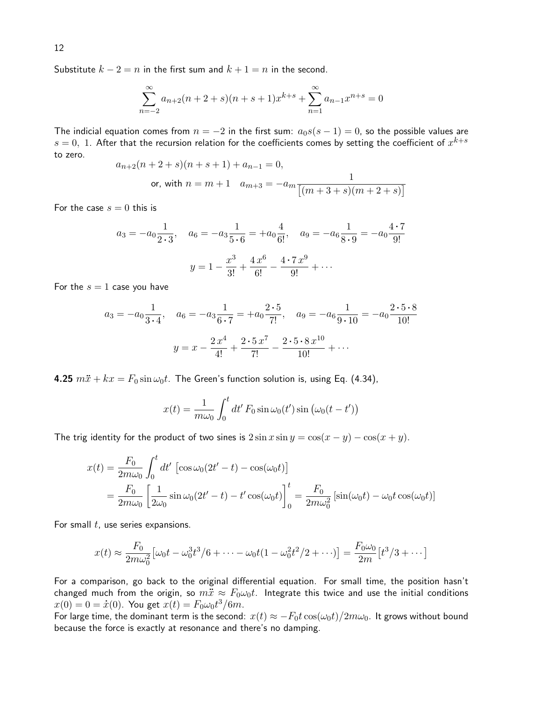Substitute  $k - 2 = n$  in the first sum and  $k + 1 = n$  in the second.

$$
\sum_{n=-2}^{\infty} a_{n+2}(n+2+s)(n+s+1)x^{k+s} + \sum_{n=1}^{\infty} a_{n-1}x^{n+s} = 0
$$

The indicial equation comes from  $n = -2$  in the first sum:  $a_0s(s - 1) = 0$ , so the possible values are  $s=0,\,\,1.$  After that the recursion relation for the coefficients comes by setting the coefficient of  $x^{k+s}$ to zero.

$$
a_{n+2}(n+2+s)(n+s+1) + a_{n-1} = 0,
$$
  
or, with  $n = m+1$   $a_{m+3} = -a_m \frac{1}{[(m+3+s)(m+2+s)]}$ 

For the case  $s = 0$  this is

$$
a_3 = -a_0 \frac{1}{2 \cdot 3}
$$
,  $a_6 = -a_3 \frac{1}{5 \cdot 6} = +a_0 \frac{4}{6!}$ ,  $a_9 = -a_6 \frac{1}{8 \cdot 9} = -a_0 \frac{4 \cdot 7}{9!}$   
 $y = 1 - \frac{x^3}{3!} + \frac{4 x^6}{6!} - \frac{4 \cdot 7 x^9}{9!} + \cdots$ 

For the  $s = 1$  case you have

$$
a_3 = -a_0 \frac{1}{3 \cdot 4}
$$
,  $a_6 = -a_3 \frac{1}{6 \cdot 7} = +a_0 \frac{2 \cdot 5}{7!}$ ,  $a_9 = -a_6 \frac{1}{9 \cdot 10} = -a_0 \frac{2 \cdot 5 \cdot 8}{10!}$   

$$
y = x - \frac{2 x^4}{4!} + \frac{2 \cdot 5 x^7}{7!} - \frac{2 \cdot 5 \cdot 8 x^{10}}{10!} + \cdots
$$

4.25  $m\ddot{x} + kx = F_0 \sin \omega_0 t$ . The Green's function solution is, using Eq. (4.34),

$$
x(t) = \frac{1}{m\omega_0} \int_0^t dt' F_0 \sin \omega_0(t') \sin (\omega_0(t - t'))
$$

The trig identity for the product of two sines is  $2 \sin x \sin y = \cos(x - y) - \cos(x + y)$ .

$$
x(t) = \frac{F_0}{2m\omega_0} \int_0^t dt' \left[ \cos \omega_0 (2t' - t) - \cos(\omega_0 t) \right]
$$
  
= 
$$
\frac{F_0}{2m\omega_0} \left[ \frac{1}{2\omega_0} \sin \omega_0 (2t' - t) - t' \cos(\omega_0 t) \right]_0^t = \frac{F_0}{2m\omega_0^2} \left[ \sin(\omega_0 t) - \omega_0 t \cos(\omega_0 t) \right]
$$

For small  $t$ , use series expansions.

$$
x(t) \approx \frac{F_0}{2m\omega_0^2} \left[ \omega_0 t - \omega_0^3 t^3 / 6 + \dots - \omega_0 t (1 - \omega_0^2 t^2 / 2 + \dots) \right] = \frac{F_0 \omega_0}{2m} \left[ t^3 / 3 + \dots \right]
$$

For a comparison, go back to the original differential equation. For small time, the position hasn't changed much from the origin, so  $m\ddot{x} \approx F_0\omega_0 t$ . Integrate this twice and use the initial conditions  $x(0) = 0 = \dot{x}(0)$ . You get  $x(t) = F_0 \omega_0 t^3 / 6m$ .

For large time, the dominant term is the second:  $x(t) \approx -F_0t \cos(\omega_0 t)/2m\omega_0$ . It grows without bound because the force is exactly at resonance and there's no damping.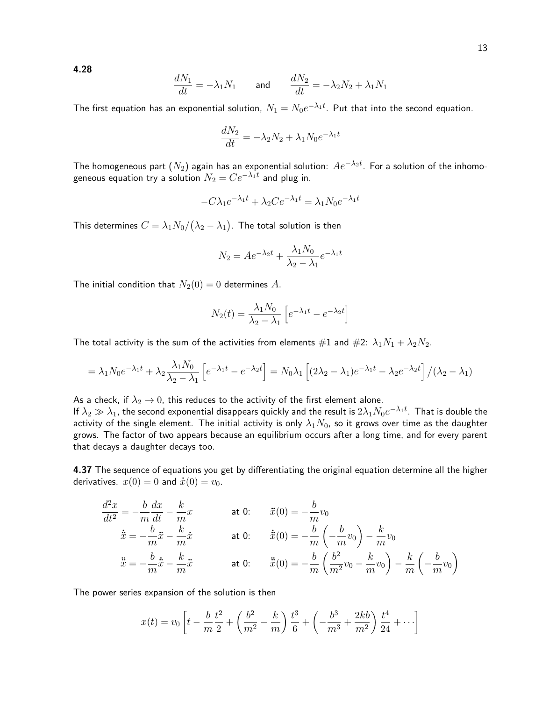4.28

$$
\frac{dN_1}{dt} = -\lambda_1 N_1 \qquad \text{and} \qquad \frac{dN_2}{dt} = -\lambda_2 N_2 + \lambda_1 N_1
$$

The first equation has an exponential solution,  $N_1=N_0e^{-\lambda_1 t}$ . Put that into the second equation.

$$
\frac{dN_2}{dt} = -\lambda_2 N_2 + \lambda_1 N_0 e^{-\lambda_1 t}
$$

The homogeneous part  $(N_2)$  again has an exponential solution:  $Ae^{-\lambda_2 t}$ . For a solution of the inhomogeneous equation try a solution  $N_2 = C e^{-\lambda_1 t}$  and plug in.

$$
-C\lambda_1 e^{-\lambda_1 t} + \lambda_2 C e^{-\lambda_1 t} = \lambda_1 N_0 e^{-\lambda_1 t}
$$

This determines  $C=\lambda_1 N_0/(\lambda_2-\lambda_1).$  The total solution is then

$$
N_2 = Ae^{-\lambda_2 t} + \frac{\lambda_1 N_0}{\lambda_2 - \lambda_1} e^{-\lambda_1 t}
$$

The initial condition that  $N_2(0) = 0$  determines A.

$$
N_2(t) = \frac{\lambda_1 N_0}{\lambda_2 - \lambda_1} \left[ e^{-\lambda_1 t} - e^{-\lambda_2 t} \right]
$$

The total activity is the sum of the activities from elements  $\#1$  and  $\#2$ :  $\lambda_1 N_1 + \lambda_2 N_2$ .

$$
= \lambda_1 N_0 e^{-\lambda_1 t} + \lambda_2 \frac{\lambda_1 N_0}{\lambda_2 - \lambda_1} \left[ e^{-\lambda_1 t} - e^{-\lambda_2 t} \right] = N_0 \lambda_1 \left[ (2\lambda_2 - \lambda_1) e^{-\lambda_1 t} - \lambda_2 e^{-\lambda_2 t} \right] / (\lambda_2 - \lambda_1)
$$

As a check, if  $\lambda_2 \to 0$ , this reduces to the activity of the first element alone.

If  $\lambda_2\gg\lambda_1$ , the second exponential disappears quickly and the result is  $2\lambda_1N_0e^{-\lambda_1t}$ . That is double the activity of the single element. The initial activity is only  $\lambda_1 N_0$ , so it grows over time as the daughter grows. The factor of two appears because an equilibrium occurs after a long time, and for every parent that decays a daughter decays too.

**4.37** The sequence of equations you get by differentiating the original equation determine all the higher derivatives.  $x(0) = 0$  and  $\dot{x}(0) = v_0$ .

$$
\frac{d^2x}{dt^2} = -\frac{b}{m}\frac{dx}{dt} - \frac{k}{m}x \qquad \text{at 0:} \qquad \ddot{x}(0) = -\frac{b}{m}v_0
$$

$$
\dot{\ddot{x}} = -\frac{b}{m}\ddot{x} - \frac{k}{m}\dot{x} \qquad \text{at 0:} \qquad \dot{\ddot{x}}(0) = -\frac{b}{m}\left(-\frac{b}{m}v_0\right) - \frac{k}{m}v_0
$$

$$
\ddot{\ddot{x}} = -\frac{b}{m}\dot{\ddot{x}} - \frac{k}{m}\ddot{x} \qquad \text{at 0:} \qquad \ddot{\ddot{x}}(0) = -\frac{b}{m}\left(\frac{b^2}{m^2}v_0 - \frac{k}{m}v_0\right) - \frac{k}{m}\left(-\frac{b}{m}v_0\right)
$$

The power series expansion of the solution is then

$$
x(t) = v_0 \left[ t - \frac{b}{m} \frac{t^2}{2} + \left( \frac{b^2}{m^2} - \frac{k}{m} \right) \frac{t^3}{6} + \left( -\frac{b^3}{m^3} + \frac{2kb}{m^2} \right) \frac{t^4}{24} + \cdots \right]
$$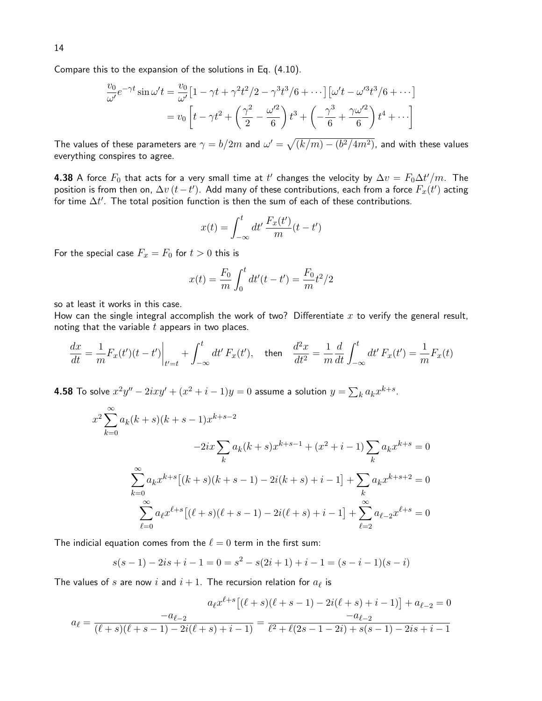$$
\frac{v_0}{\omega'} e^{-\gamma t} \sin \omega' t = \frac{v_0}{\omega'} \left[ 1 - \gamma t + \gamma^2 t^2 / 2 - \gamma^3 t^3 / 6 + \cdots \right] \left[ \omega' t - \omega'^3 t^3 / 6 + \cdots \right]
$$

$$
= v_0 \left[ t - \gamma t^2 + \left( \frac{\gamma^2}{2} - \frac{\omega'^2}{6} \right) t^3 + \left( -\frac{\gamma^3}{6} + \frac{\gamma \omega'^2}{6} \right) t^4 + \cdots \right]
$$

The values of these parameters are  $\gamma=b/2m$  and  $\omega'=\sqrt{(k/m)-(b^2/4m^2)}$ , and with these values everything conspires to agree.

**4.38** A force  $F_0$  that acts for a very small time at  $t'$  changes the velocity by  $\Delta v = F_0 \Delta t'/m$ . The position is from then on,  $\Delta v\,(t-t')$ . Add many of these contributions, each from a force  $F_x(t')$  acting for time  $\Delta t'.$  The total position function is then the sum of each of these contributions.

$$
x(t) = \int_{-\infty}^{t} dt' \frac{F_x(t')}{m}(t - t')
$$

For the special case  $F_x = F_0$  for  $t > 0$  this is

$$
x(t) = \frac{F_0}{m} \int_0^t dt'(t - t') = \frac{F_0}{m}t^2/2
$$

so at least it works in this case.

How can the single integral accomplish the work of two? Differentiate  $x$  to verify the general result, noting that the variable  $t$  appears in two places.

$$
\frac{dx}{dt} = \frac{1}{m} F_x(t')(t - t') \Big|_{t'=t} + \int_{-\infty}^t dt' F_x(t'), \quad \text{then} \quad \frac{d^2x}{dt^2} = \frac{1}{m} \frac{d}{dt} \int_{-\infty}^t dt' F_x(t') = \frac{1}{m} F_x(t)
$$

**4.58** To solve  $x^2y'' - 2ixy' + (x^2 + i - 1)y = 0$  assume a solution  $y = \sum_k a_k x^{k+s}.$ 

$$
x^{2} \sum_{k=0}^{\infty} a_{k}(k+s)(k+s-1)x^{k+s-2}
$$
  
\n
$$
-2ix \sum_{k} a_{k}(k+s)x^{k+s-1} + (x^{2}+i-1) \sum_{k} a_{k}x^{k+s} = 0
$$
  
\n
$$
\sum_{k=0}^{\infty} a_{k}x^{k+s}[(k+s)(k+s-1) - 2i(k+s) + i-1] + \sum_{k} a_{k}x^{k+s+2} = 0
$$
  
\n
$$
\sum_{\ell=0}^{\infty} a_{\ell}x^{\ell+s}[(\ell+s)(\ell+s-1) - 2i(\ell+s) + i-1] + \sum_{\ell=2}^{\infty} a_{\ell-2}x^{\ell+s} = 0
$$

The indicial equation comes from the  $\ell = 0$  term in the first sum:

$$
s(s-1) - 2is + i - 1 = 0 = s2 - s(2i + 1) + i - 1 = (s - i - 1)(s - i)
$$

The values of  $s$  are now  $i$  and  $i+1$ . The recursion relation for  $a_\ell$  is

$$
a_{\ell}x^{\ell+s}[(\ell+s)(\ell+s-1)-2i(\ell+s)+i-1)] + a_{\ell-2} = 0
$$

$$
a_{\ell} = \frac{-a_{\ell-2}}{(\ell+s)(\ell+s-1)-2i(\ell+s)+i-1)} = \frac{-a_{\ell-2}}{\ell^2+\ell(2s-1-2i)+s(s-1)-2is+i-1}
$$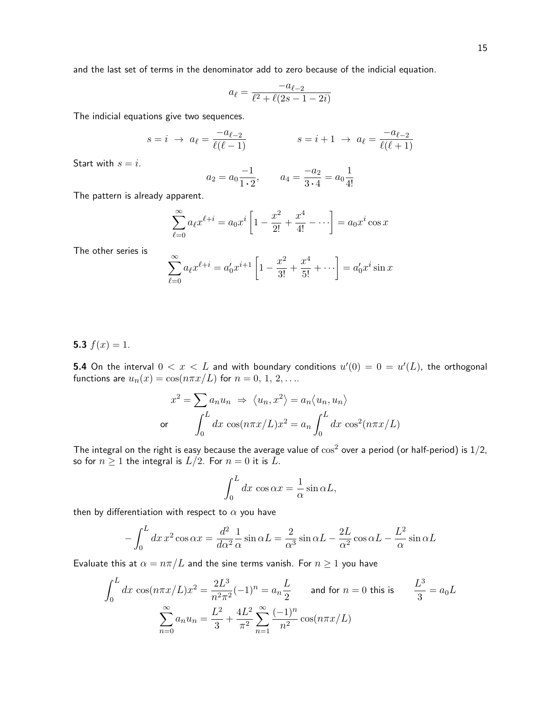$$
a_{\ell} = \frac{-a_{\ell-2}}{\ell^2 + \ell(2s - 1 - 2i)}
$$

The indicial equations give two sequences.

$$
s = i \rightarrow a_{\ell} = \frac{-a_{\ell-2}}{\ell(\ell-1)}
$$
  $s = i + 1 \rightarrow a_{\ell} = \frac{-a_{\ell-2}}{\ell(\ell+1)}$ 

Start with  $s = i$ .

$$
a_2 = a_0 \frac{-1}{1 \cdot 2}
$$
,  $a_4 = \frac{-a_2}{3 \cdot 4} = a_0 \frac{1}{4!}$ 

The pattern is already apparent.

$$
\sum_{\ell=0}^{\infty} a_{\ell} x^{\ell+i} = a_0 x^{i} \left[ 1 - \frac{x^2}{2!} + \frac{x^4}{4!} - \cdots \right] = a_0 x^{i} \cos x
$$

The other series is

$$
\sum_{\ell=0}^{\infty} a_{\ell} x^{\ell+i} = a'_0 x^{i+1} \left[ 1 - \frac{x^2}{3!} + \frac{x^4}{5!} + \cdots \right] = a'_0 x^i \sin x
$$

5.3  $f(x) = 1$ .

**5.4** On the interval  $0 < x < L$  and with boundary conditions  $u'(0) = 0 = u'(L)$ , the orthogonal functions are  $u_n(x) = \cos(n\pi x/L)$  for  $n = 0, 1, 2, \ldots$ .

$$
x^{2} = \sum a_{n} u_{n} \implies \langle u_{n}, x^{2} \rangle = a_{n} \langle u_{n}, u_{n} \rangle
$$
  
or 
$$
\int_{0}^{L} dx \cos(n\pi x/L)x^{2} = a_{n} \int_{0}^{L} dx \cos^{2}(n\pi x/L)
$$

The integral on the right is easy because the average value of  $\cos^2$  over a period (or half-period) is  $1/2$ , so for  $n \geq 1$  the integral is  $L/2$ . For  $n = 0$  it is L.

$$
\int_0^L dx \, \cos \alpha x = \frac{1}{\alpha} \sin \alpha L,
$$

then by differentiation with respect to  $\alpha$  you have

$$
-\int_0^L dx \, x^2 \cos \alpha x = \frac{d^2}{d\alpha^2} \frac{1}{\alpha} \sin \alpha L = \frac{2}{\alpha^3} \sin \alpha L - \frac{2L}{\alpha^2} \cos \alpha L - \frac{L^2}{\alpha} \sin \alpha L
$$

Evaluate this at  $\alpha = n\pi/L$  and the sine terms vanish. For  $n \geq 1$  you have

$$
\int_0^L dx \cos(n\pi x/L)x^2 = \frac{2L^3}{n^2\pi^2}(-1)^n = a_n \frac{L}{2}
$$
 and for  $n = 0$  this is  $\frac{L^3}{3} = a_0 L$   

$$
\sum_{n=0}^\infty a_n u_n = \frac{L^2}{3} + \frac{4L^2}{\pi^2} \sum_{n=1}^\infty \frac{(-1)^n}{n^2} \cos(n\pi x/L)
$$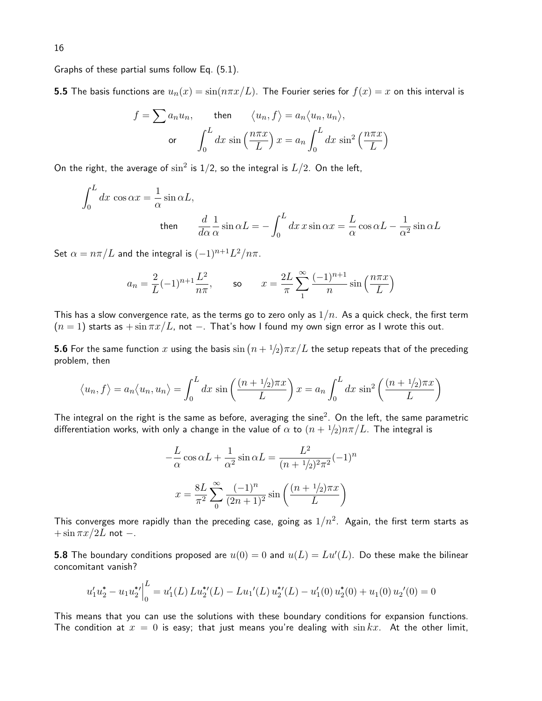Graphs of these partial sums follow Eq. (5.1).

**5.5** The basis functions are  $u_n(x) = \sin(n\pi x/L)$ . The Fourier series for  $f(x) = x$  on this interval is

$$
f = \sum a_n u_n, \qquad \text{then} \qquad \langle u_n, f \rangle = a_n \langle u_n, u_n \rangle,
$$
  
or 
$$
\int_0^L dx \sin\left(\frac{n\pi x}{L}\right) x = a_n \int_0^L dx \sin^2\left(\frac{n\pi x}{L}\right)
$$

On the right, the average of  $\sin^2$  is 1/2, so the integral is  $L/2$ . On the left,

$$
\int_0^L dx \cos \alpha x = \frac{1}{\alpha} \sin \alpha L,
$$
  
then 
$$
\frac{d}{d\alpha} \frac{1}{\alpha} \sin \alpha L = -\int_0^L dx \, x \sin \alpha x = \frac{L}{\alpha} \cos \alpha L - \frac{1}{\alpha^2} \sin \alpha L
$$

Set  $\alpha = n\pi/L$  and the integral is  $(-1)^{n+1}L^2/n\pi$ .

$$
a_n = \frac{2}{L}(-1)^{n+1}\frac{L^2}{n\pi}
$$
, so  $x = \frac{2L}{\pi}\sum_{1}^{\infty}\frac{(-1)^{n+1}}{n}\sin\left(\frac{n\pi x}{L}\right)$ 

This has a slow convergence rate, as the terms go to zero only as  $1/n$ . As a quick check, the first term  $(n = 1)$  starts as  $+\sin \pi x/L$ , not  $-$ . That's how I found my own sign error as I wrote this out.

**5.6** For the same function  $x$  using the basis  $\sin\left(n + \frac{1}{2}\right)\pi x/L$  the setup repeats that of the preceding problem, then

$$
\langle u_n, f \rangle = a_n \langle u_n, u_n \rangle = \int_0^L dx \sin\left(\frac{(n+1/2)\pi x}{L}\right) x = a_n \int_0^L dx \sin^2\left(\frac{(n+1/2)\pi x}{L}\right)
$$

The integral on the right is the same as before, averaging the sine $^2$ . On the left, the same parametric differentiation works, with only a change in the value of  $\alpha$  to  $(n + \frac{1}{2})n\pi/L$ . The integral is

$$
-\frac{L}{\alpha}\cos\alpha L + \frac{1}{\alpha^2}\sin\alpha L = \frac{L^2}{(n+1/2)^2\pi^2}(-1)^n
$$

$$
x = \frac{8L}{\pi^2}\sum_{n=0}^{\infty}\frac{(-1)^n}{(2n+1)^2}\sin\left(\frac{(n+1/2)\pi x}{L}\right)
$$

This converges more rapidly than the preceding case, going as  $1/n^2$ . Again, the first term starts as  $+\sin \pi x/2L$  not  $-$ .

**5.8** The boundary conditions proposed are  $u(0)=0$  and  $u(L)=Lu'(L)$ . Do these make the bilinear concomitant vanish?

$$
u_1' u_2^* - u_1 u_2^{*'} \Big|_0^L = u_1'(L) L u_2^{*'}(L) - L u_1'(L) u_2^{*'}(L) - u_1'(0) u_2^{*}(0) + u_1(0) u_2'(0) = 0
$$

This means that you can use the solutions with these boundary conditions for expansion functions. The condition at  $x = 0$  is easy; that just means you're dealing with  $\sin kx$ . At the other limit,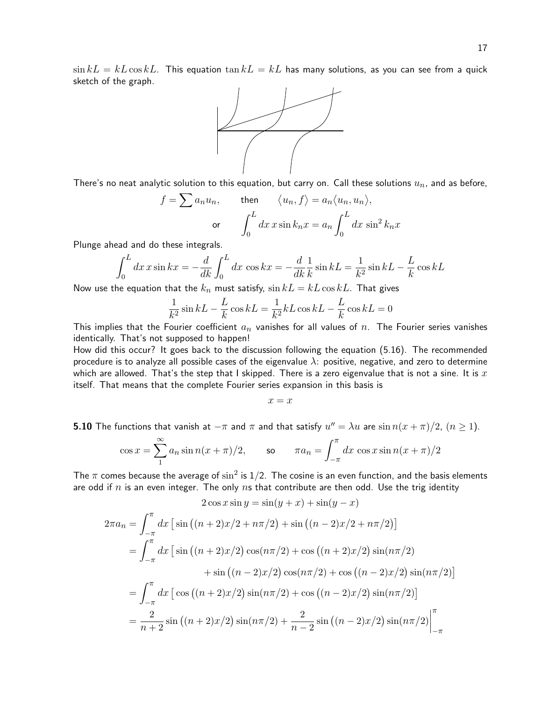$\sin kL = kL \cos kL$ . This equation  $\tan kL = kL$  has many solutions, as you can see from a quick sketch of the graph.



There's no neat analytic solution to this equation, but carry on. Call these solutions  $u_n$ , and as before,

$$
f = \sum a_n u_n, \quad \text{then} \quad \langle u_n, f \rangle = a_n \langle u_n, u_n \rangle,
$$
  
or 
$$
\int_0^L dx \, x \sin k_n x = a_n \int_0^L dx \, \sin^2 k_n x
$$

Plunge ahead and do these integrals.

$$
\int_0^L dx \, x \sin kx = -\frac{d}{dk} \int_0^L dx \, \cos kx = -\frac{d}{dk} \frac{1}{k} \sin kL = \frac{1}{k^2} \sin kL - \frac{L}{k} \cos kL
$$

Now use the equation that the  $k_n$  must satisfy,  $\sin kL = kL \cos kL$ . That gives

$$
\frac{1}{k^2}\sin kL - \frac{L}{k}\cos kL = \frac{1}{k^2}kL\cos kL - \frac{L}{k}\cos kL = 0
$$

This implies that the Fourier coefficient  $a_n$  vanishes for all values of  $n$ . The Fourier series vanishes identically. That's not supposed to happen!

How did this occur? It goes back to the discussion following the equation (5.16). The recommended procedure is to analyze all possible cases of the eigenvalue  $\lambda$ : positive, negative, and zero to determine which are allowed. That's the step that I skipped. There is a zero eigenvalue that is not a sine. It is  $x$ itself. That means that the complete Fourier series expansion in this basis is

 $x = x$ 

**5.10** The functions that vanish at  $-\pi$  and  $\pi$  and that satisfy  $u'' = \lambda u$  are  $\sin n(x + \pi)/2$ ,  $(n \ge 1)$ .

$$
\cos x = \sum_{1}^{\infty} a_n \sin n(x + \pi)/2, \qquad \text{so} \qquad \pi a_n = \int_{-\pi}^{\pi} dx \, \cos x \sin n(x + \pi)/2
$$

The  $\pi$  comes because the average of  $\sin^2$  is 1/2. The cosine is an even function, and the basis elements are odd if  $n$  is an even integer. The only  $n s$  that contribute are then odd. Use the trig identity

$$
2\cos x \sin y = \sin(y+x) + \sin(y-x)
$$
  
\n
$$
2\pi a_n = \int_{-\pi}^{\pi} dx \left[ \sin \left( (n+2)x/2 + n\pi/2 \right) + \sin \left( (n-2)x/2 + n\pi/2 \right) \right]
$$
  
\n
$$
= \int_{-\pi}^{\pi} dx \left[ \sin \left( (n+2)x/2 \right) \cos(n\pi/2) + \cos \left( (n+2)x/2 \right) \sin(n\pi/2) \right]
$$
  
\n
$$
+ \sin \left( (n-2)x/2 \right) \cos(n\pi/2) + \cos \left( (n-2)x/2 \right) \sin(n\pi/2) \right]
$$
  
\n
$$
= \int_{-\pi}^{\pi} dx \left[ \cos \left( (n+2)x/2 \right) \sin(n\pi/2) + \cos \left( (n-2)x/2 \right) \sin(n\pi/2) \right]
$$
  
\n
$$
= \frac{2}{n+2} \sin \left( (n+2)x/2 \right) \sin(n\pi/2) + \frac{2}{n-2} \sin \left( (n-2)x/2 \right) \sin(n\pi/2) \Big|_{-\pi}^{\pi}
$$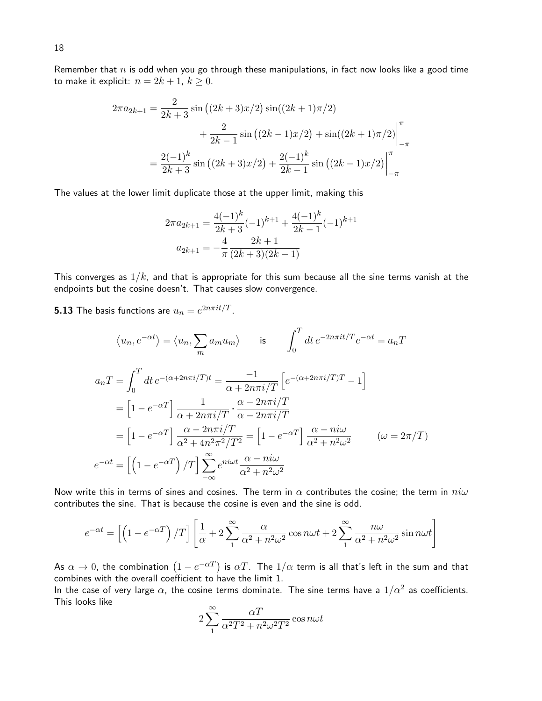Remember that  $n$  is odd when you go through these manipulations, in fact now looks like a good time to make it explicit:  $n = 2k + 1$ ,  $k \ge 0$ .

$$
2\pi a_{2k+1} = \frac{2}{2k+3} \sin\left((2k+3)x/2\right) \sin((2k+1)\pi/2) + \frac{2}{2k-1} \sin\left((2k-1)x/2\right) + \sin((2k+1)\pi/2) \Big|_{-\pi}^{\pi} = \frac{2(-1)^k}{2k+3} \sin\left((2k+3)x/2\right) + \frac{2(-1)^k}{2k-1} \sin\left((2k-1)x/2\right) \Big|_{-\pi}^{\pi}
$$

The values at the lower limit duplicate those at the upper limit, making this

$$
2\pi a_{2k+1} = \frac{4(-1)^k}{2k+3}(-1)^{k+1} + \frac{4(-1)^k}{2k-1}(-1)^{k+1}
$$

$$
a_{2k+1} = -\frac{4}{\pi} \frac{2k+1}{(2k+3)(2k-1)}
$$

This converges as  $1/k$ , and that is appropriate for this sum because all the sine terms vanish at the endpoints but the cosine doesn't. That causes slow convergence.

 $\bf 5.13$  The basis functions are  $u_n=e^{2n\pi it/T}.$ 

$$
\langle u_n, e^{-\alpha t} \rangle = \langle u_n, \sum_m a_m u_m \rangle \qquad \text{is} \qquad \int_0^T dt \, e^{-2n\pi i t/T} e^{-\alpha t} = a_n T
$$

$$
a_n T = \int_0^T dt \, e^{-(\alpha + 2n\pi i/T)t} = \frac{-1}{\alpha + 2n\pi i/T} \left[ e^{-(\alpha + 2n\pi i/T)} - 1 \right]
$$

$$
= \left[ 1 - e^{-\alpha T} \right] \frac{1}{\alpha + 2n\pi i/T} \cdot \frac{\alpha - 2n\pi i/T}{\alpha - 2n\pi i/T}
$$

$$
= \left[ 1 - e^{-\alpha T} \right] \frac{\alpha - 2n\pi i/T}{\alpha^2 + 4n^2\pi^2/T^2} = \left[ 1 - e^{-\alpha T} \right] \frac{\alpha - n i\omega}{\alpha^2 + n^2\omega^2} \qquad (\omega = 2\pi/T)
$$

$$
e^{-\alpha t} = \left[ \left( 1 - e^{-\alpha T} \right) / T \right] \sum_{-\infty}^{\infty} e^{ni\omega t} \frac{\alpha - n i\omega}{\alpha^2 + n^2\omega^2} \qquad (2\pi/T)
$$

Now write this in terms of sines and cosines. The term in  $\alpha$  contributes the cosine; the term in  $ni\omega$ contributes the sine. That is because the cosine is even and the sine is odd.

$$
e^{-\alpha t} = \left[ \left( 1 - e^{-\alpha T} \right) / T \right] \left[ \frac{1}{\alpha} + 2 \sum_{1}^{\infty} \frac{\alpha}{\alpha^2 + n^2 \omega^2} \cos n\omega t + 2 \sum_{1}^{\infty} \frac{n\omega}{\alpha^2 + n^2 \omega^2} \sin n\omega t \right]
$$

As  $\alpha\to 0$ , the combination  $(1-e^{-\alpha T})$  is  $\alpha T$ . The  $1/\alpha$  term is all that's left in the sum and that combines with the overall coefficient to have the limit 1.

In the case of very large  $\alpha$ , the cosine terms dominate. The sine terms have a  $1/\alpha^2$  as coefficients. This looks like

$$
2\sum_{1}^{\infty} \frac{\alpha T}{\alpha^2 T^2 + n^2 \omega^2 T^2} \cos n\omega t
$$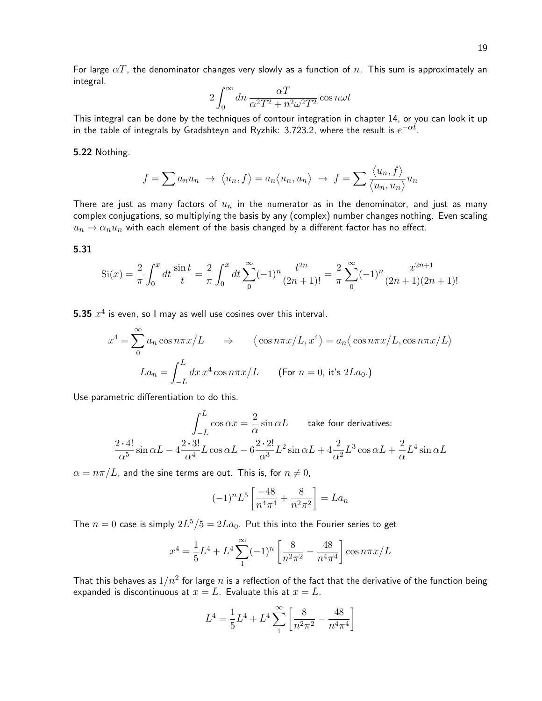For large  $\alpha T$ , the denominator changes very slowly as a function of n. This sum is approximately an integral.

$$
2\int_0^\infty dn\, \frac{\alpha T}{\alpha^2 T^2 + n^2 \omega^2 T^2} \cos n\omega t
$$

This integral can be done by the techniques of contour integration in chapter 14, or you can look it up in the table of integrals by Gradshteyn and Ryzhik: 3.723.2, where the result is  $e^{-\alpha t}$ .

5.22 Nothing.

$$
f = \sum a_n u_n \rightarrow \langle u_n, f \rangle = a_n \langle u_n, u_n \rangle \rightarrow f = \sum \frac{\langle u_n, f \rangle}{\langle u_n, u_n \rangle} u_n
$$

There are just as many factors of  $u_n$  in the numerator as in the denominator, and just as many complex conjugations, so multiplying the basis by any (complex) number changes nothing. Even scaling  $u_n \to \alpha_n u_n$  with each element of the basis changed by a different factor has no effect.

5.31

$$
Si(x) = \frac{2}{\pi} \int_0^x dt \frac{\sin t}{t} dt = \frac{2}{\pi} \int_0^x dt \sum_0^{\infty} (-1)^n \frac{t^{2n}}{(2n+1)!} dt = \frac{2}{\pi} \sum_0^{\infty} (-1)^n \frac{x^{2n+1}}{(2n+1)(2n+1)!}
$$

**5.35**  $x^4$  is even, so I may as well use cosines over this interval.

$$
x^{4} = \sum_{0}^{\infty} a_{n} \cos n\pi x/L \Rightarrow \langle \cos n\pi x/L, x^{4} \rangle = a_{n} \langle \cos n\pi x/L, \cos n\pi x/L \rangle
$$

$$
La_{n} = \int_{-L}^{L} dx \, x^{4} \cos n\pi x/L \qquad \text{(For } n = 0 \text{, it's } 2La_{0}.)
$$

Use parametric differentiation to do this.

$$
\int_{-L}^{L} \cos \alpha x = \frac{2}{\alpha} \sin \alpha L \quad \text{take four derivatives:}
$$
\n
$$
\frac{2 \cdot 4!}{\alpha^5} \sin \alpha L - 4 \frac{2 \cdot 3!}{\alpha^4} L \cos \alpha L - 6 \frac{2 \cdot 2!}{\alpha^3} L^2 \sin \alpha L + 4 \frac{2}{\alpha^2} L^3 \cos \alpha L + \frac{2}{\alpha} L^4 \sin \alpha L
$$

 $\alpha = n\pi/L$ , and the sine terms are out. This is, for  $n \neq 0$ ,

$$
(-1)^n L^5 \left[ \frac{-48}{n^4 \pi^4} + \frac{8}{n^2 \pi^2} \right] = La_n
$$

The  $n = 0$  case is simply  $2L^5/5 = 2La_0$ . Put this into the Fourier series to get

$$
x^{4} = \frac{1}{5}L^{4} + L^{4} \sum_{1}^{\infty} (-1)^{n} \left[ \frac{8}{n^{2} \pi^{2}} - \frac{48}{n^{4} \pi^{4}} \right] \cos n\pi x/L
$$

That this behaves as  $1/n^2$  for large  $n$  is a reflection of the fact that the derivative of the function being expanded is discontinuous at  $x = L$ . Evaluate this at  $x = L$ .

$$
L^{4} = \frac{1}{5}L^{4} + L^{4} \sum_{1}^{\infty} \left[ \frac{8}{n^{2} \pi^{2}} - \frac{48}{n^{4} \pi^{4}} \right]
$$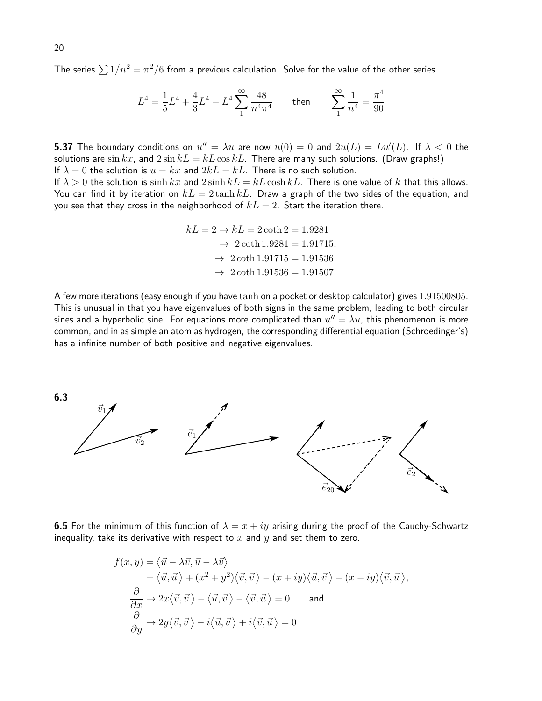The series  $\sum 1/n^2 = \pi^2/6$  from a previous calculation. Solve for the value of the other series.

$$
L^4 = \frac{1}{5}L^4 + \frac{4}{3}L^4 - L^4 \sum_{1}^{\infty} \frac{48}{n^4 \pi^4}
$$
 then 
$$
\sum_{1}^{\infty} \frac{1}{n^4} = \frac{\pi^4}{90}
$$

**5.37** The boundary conditions on  $u''=\lambda u$  are now  $u(0)=0$  and  $2u(L)=Lu'(L)$ . If  $\lambda < 0$  the solutions are  $\sin kx$ , and  $2\sin kL = kL\cos kL$ . There are many such solutions. (Draw graphs!) If  $\lambda = 0$  the solution is  $u = kx$  and  $2kL = kL$ . There is no such solution.

If  $\lambda > 0$  the solution is  $\sinh kx$  and  $2 \sinh kL = kL \cosh kL$ . There is one value of k that this allows. You can find it by iteration on  $kL = 2 \tanh kL$ . Draw a graph of the two sides of the equation, and you see that they cross in the neighborhood of  $kL = 2$ . Start the iteration there.

$$
kL = 2 \rightarrow kL = 2 \coth 2 = 1.9281
$$
  
\n
$$
\rightarrow 2 \coth 1.9281 = 1.91715,
$$
  
\n
$$
\rightarrow 2 \coth 1.91715 = 1.91536
$$
  
\n
$$
\rightarrow 2 \coth 1.91536 = 1.91507
$$

A few more iterations (easy enough if you have tanh on a pocket or desktop calculator) gives 1.91500805. This is unusual in that you have eigenvalues of both signs in the same problem, leading to both circular sines and a hyperbolic sine. For equations more complicated than  $u''=\lambda u$ , this phenomenon is more common, and in as simple an atom as hydrogen, the corresponding differential equation (Schroedinger's) has a infinite number of both positive and negative eigenvalues.



**6.5** For the minimum of this function of  $\lambda = x + iy$  arising during the proof of the Cauchy-Schwartz inequality, take its derivative with respect to  $x$  and  $y$  and set them to zero.

$$
f(x,y) = \langle \vec{u} - \lambda \vec{v}, \vec{u} - \lambda \vec{v} \rangle
$$
  
\n
$$
= \langle \vec{u}, \vec{u} \rangle + (x^2 + y^2) \langle \vec{v}, \vec{v} \rangle - (x + iy) \langle \vec{u}, \vec{v} \rangle - (x - iy) \langle \vec{v}, \vec{u} \rangle,
$$
  
\n
$$
\frac{\partial}{\partial x} \to 2x \langle \vec{v}, \vec{v} \rangle - \langle \vec{u}, \vec{v} \rangle - \langle \vec{v}, \vec{u} \rangle = 0 \quad \text{and}
$$
  
\n
$$
\frac{\partial}{\partial y} \to 2y \langle \vec{v}, \vec{v} \rangle - i \langle \vec{u}, \vec{v} \rangle + i \langle \vec{v}, \vec{u} \rangle = 0
$$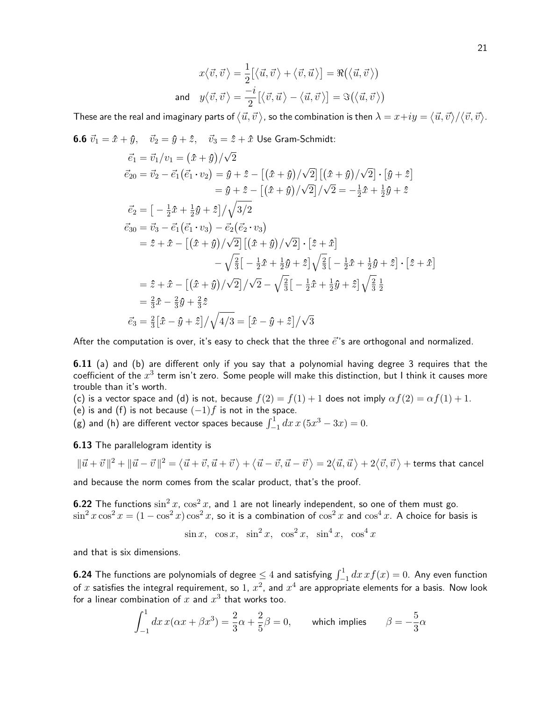$$
x\langle \vec{v}, \vec{v} \rangle = \frac{1}{2} [\langle \vec{u}, \vec{v} \rangle + \langle \vec{v}, \vec{u} \rangle] = \Re(\langle \vec{u}, \vec{v} \rangle)
$$
  
and  $y\langle \vec{v}, \vec{v} \rangle = \frac{-i}{2} [\langle \vec{v}, \vec{u} \rangle - \langle \vec{u}, \vec{v} \rangle] = \Im(\langle \vec{u}, \vec{v} \rangle)$ 

These are the real and imaginary parts of  $\langle \vec u,\vec v\rangle$ , so the combination is then  $\lambda=x+iy=\langle \vec u,\vec v\rangle/\langle \vec v,\vec v\rangle.$ 

**6.6**  $\vec{v}_1 = \hat{x} + \hat{y}$ ,  $\vec{v}_2 = \hat{y} + \hat{z}$ ,  $\vec{v}_3 = \hat{z} + \hat{x}$  Use Gram-Schmidt:

$$
\vec{e}_1 = \vec{v}_1/v_1 = (\hat{x} + \hat{y})/\sqrt{2}
$$
\n
$$
\vec{e}_{20} = \vec{v}_2 - \vec{e}_1(\vec{e}_1 \cdot v_2) = \hat{y} + \hat{z} - [(\hat{x} + \hat{y})/\sqrt{2}] [(\hat{x} + \hat{y})/\sqrt{2}] \cdot [\hat{y} + \hat{z}]
$$
\n
$$
= \hat{y} + \hat{z} - [(\hat{x} + \hat{y})/\sqrt{2}]/\sqrt{2} = -\frac{1}{2}\hat{x} + \frac{1}{2}\hat{y} + \hat{z}
$$
\n
$$
\vec{e}_2 = \left[ -\frac{1}{2}\hat{x} + \frac{1}{2}\hat{y} + \hat{z} \right] / \sqrt{3/2}
$$
\n
$$
\vec{e}_{30} = \vec{v}_3 - \vec{e}_1(\vec{e}_1 \cdot v_3) - \vec{e}_2(\vec{e}_2 \cdot v_3)
$$
\n
$$
= \hat{z} + \hat{x} - [(\hat{x} + \hat{y})/\sqrt{2}] [(\hat{x} + \hat{y})/\sqrt{2}] \cdot [\hat{z} + \hat{x}]
$$
\n
$$
- \sqrt{\frac{2}{3}} \left[ -\frac{1}{2}\hat{x} + \frac{1}{2}\hat{y} + \hat{z} \right] \sqrt{\frac{2}{3}} \left[ -\frac{1}{2}\hat{x} + \frac{1}{2}\hat{y} + \hat{z} \right] \cdot [\hat{z} + \hat{x}]
$$
\n
$$
= \hat{z} + \hat{x} - [(\hat{x} + \hat{y})/\sqrt{2}] / \sqrt{2} - \sqrt{\frac{2}{3}} \left[ -\frac{1}{2}\hat{x} + \frac{1}{2}\hat{y} + \hat{z} \right] \sqrt{\frac{2}{3}} \frac{1}{2}
$$
\n
$$
= \frac{2}{3}\hat{x} - \frac{2}{3}\hat{y} + \frac{2}{3}\hat{z}
$$
\n
$$
\vec{e}_3 = \frac{2}{3} [\hat{x} - \hat{y} + \hat{z}] / \sqrt{4/3} = [\hat{x} - \hat{y} + \hat{z}] / \sqrt{3}
$$

After the computation is over, it's easy to check that the three  $\vec{e}$ 's are orthogonal and normalized.

**6.11** (a) and (b) are different only if you say that a polynomial having degree 3 requires that the coefficient of the  $x^3$  term isn't zero. Some people will make this distinction, but I think it causes more trouble than it's worth.

(c) is a vector space and (d) is not, because  $f(2) = f(1) + 1$  does not imply  $\alpha f(2) = \alpha f(1) + 1$ .

(e) is and (f) is not because  $(-1)f$  is not in the space.

(g) and (h) are different vector spaces because  $\int_{-1}^{1} dx\,x\,(5x^3 - 3x) = 0.$ 

6.13 The parallelogram identity is

$$
\|\vec{u}+\vec{v}\,\|^2+\|\vec{u}-\vec{v}\,\|^2=\left\langle \vec{u}+\vec{v},\vec{u}+\vec{v}\right\rangle+\left\langle \vec{u}-\vec{v},\vec{u}-\vec{v}\right\rangle=2\big\langle \vec{u},\vec{u}\,\big\rangle+2\big\langle \vec{v},\vec{v}\,\big\rangle+ \text{terms that cancel}
$$

and because the norm comes from the scalar product, that's the proof.

**6.22** The functions  $\sin^2 x$ ,  $\cos^2 x$ , and 1 are not linearly independent, so one of them must go.  $\sin^2 x \cos^2 x = (1 - \cos^2 x) \cos^2 x$ , so it is a combination of  $\cos^2 x$  and  $\cos^4 x$ . A choice for basis is

 $\sin x$ ,  $\cos x$ ,  $\sin^2 x$ ,  $\cos^2 x$ ,  $\sin^4 x$ ,  $\cos^4 x$ 

and that is six dimensions.

**6.24** The functions are polynomials of degree  $\leq 4$  and satisfying  $\int_{-1}^{1} dx\,xf(x)=0.$  Any even function of  $x$  satisfies the integral requirement, so 1,  $x^2$ , and  $x^4$  are appropriate elements for a basis. Now look for a linear combination of  $x$  and  $x^3$  that works too.

$$
\int_{-1}^{1} dx \, x(\alpha x + \beta x^3) = \frac{2}{3}\alpha + \frac{2}{5}\beta = 0, \qquad \text{which implies} \qquad \beta = -\frac{5}{3}\alpha
$$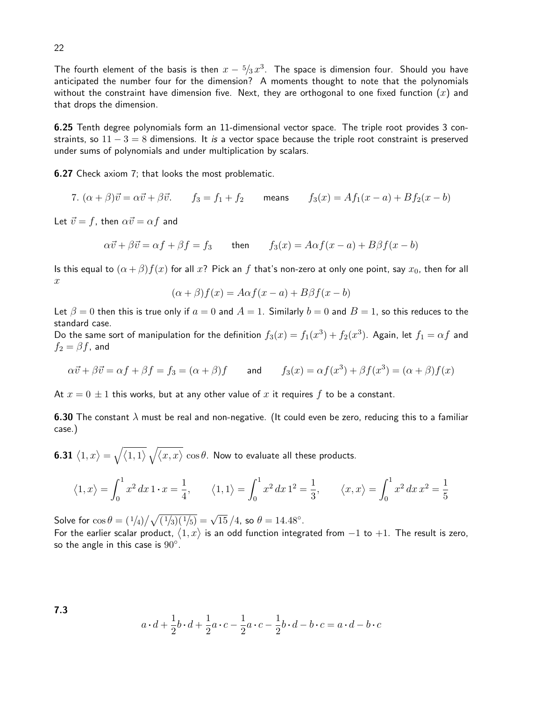The fourth element of the basis is then  $x-\sqrt[5]{3} \, x^3$ . The space is dimension four. Should you have anticipated the number four for the dimension? A moments thought to note that the polynomials without the constraint have dimension five. Next, they are orthogonal to one fixed function  $(x)$  and that drops the dimension.

6.25 Tenth degree polynomials form an 11-dimensional vector space. The triple root provides 3 constraints, so  $11 - 3 = 8$  dimensions. It is a vector space because the triple root constraint is preserved under sums of polynomials and under multiplication by scalars.

6.27 Check axiom 7; that looks the most problematic.

7. 
$$
(\alpha + \beta)\vec{v} = \alpha\vec{v} + \beta\vec{v}
$$
.  $f_3 = f_1 + f_2$  means  $f_3(x) = Af_1(x - a) + Bf_2(x - b)$ 

Let  $\vec{v} = f$ , then  $\alpha \vec{v} = \alpha f$  and

$$
\alpha \vec{v} + \beta \vec{v} = \alpha f + \beta f = f_3 \quad \text{then} \quad f_3(x) = A\alpha f(x - a) + B\beta f(x - b)
$$

Is this equal to  $(\alpha + \beta) f(x)$  for all  $x$ ? Pick an f that's non-zero at only one point, say  $x_0$ , then for all  $\boldsymbol{x}$ 

$$
(\alpha + \beta) f(x) = A\alpha f(x - a) + B\beta f(x - b)
$$

Let  $\beta = 0$  then this is true only if  $a = 0$  and  $A = 1$ . Similarly  $b = 0$  and  $B = 1$ , so this reduces to the standard case.

Do the same sort of manipulation for the definition  $f_3(x) = f_1(x^3) + f_2(x^3)$ . Again, let  $f_1 = \alpha f$  and  $f_2 = \beta f$ , and

$$
\alpha \vec{v} + \beta \vec{v} = \alpha f + \beta f = f_3 = (\alpha + \beta)f \qquad \text{and} \qquad f_3(x) = \alpha f(x^3) + \beta f(x^3) = (\alpha + \beta)f(x)
$$

At  $x = 0 \pm 1$  this works, but at any other value of x it requires f to be a constant.

**6.30** The constant  $\lambda$  must be real and non-negative. (It could even be zero, reducing this to a familiar case.)

**6.31**  $\langle 1, x \rangle = \sqrt{\langle 1, 1 \rangle} \sqrt{\langle x, x \rangle} \cos \theta$ . Now to evaluate all these products.

$$
\langle 1, x \rangle = \int_0^1 x^2 dx \, 1 \cdot x = \frac{1}{4}, \qquad \langle 1, 1 \rangle = \int_0^1 x^2 dx \, 1^2 = \frac{1}{3}, \qquad \langle x, x \rangle = \int_0^1 x^2 dx \, x^2 = \frac{1}{5}
$$

Solve for  $\cos \theta = (1/4)/\sqrt{(1/3)(1/5)} = \sqrt{15}/4$ , so  $\theta = 14.48^{\circ}$ .

For the earlier scalar product,  $\langle 1, x \rangle$  is an odd function integrated from  $-1$  to  $+1.$  The result is zero, so the angle in this case is  $90^\circ.$ 

$$
a \cdot d + \frac{1}{2}b \cdot d + \frac{1}{2}a \cdot c - \frac{1}{2}a \cdot c - \frac{1}{2}b \cdot d - b \cdot c = a \cdot d - b \cdot c
$$

7.3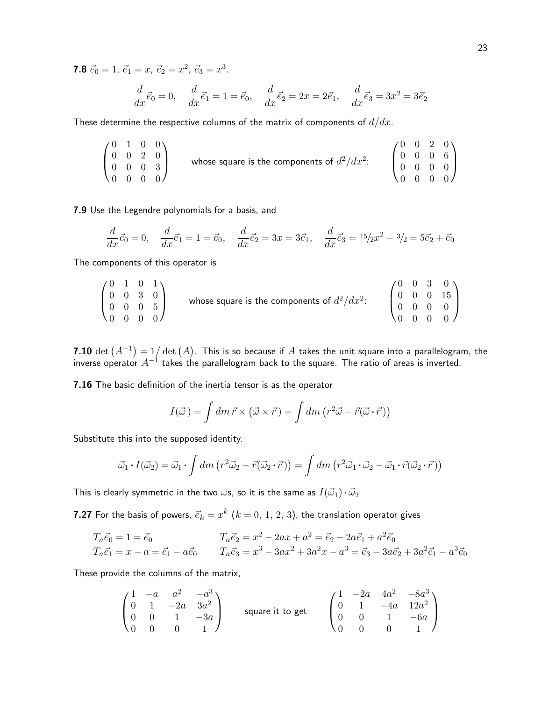**7.8**  $\vec{e}_0 = 1$ ,  $\vec{e}_1 = x$ ,  $\vec{e}_2 = x^2$ ,  $\vec{e}_3 = x^3$ .

$$
\frac{d}{dx}\vec{e}_0 = 0, \quad \frac{d}{dx}\vec{e}_1 = 1 = \vec{e}_0, \quad \frac{d}{dx}\vec{e}_2 = 2x = 2\vec{e}_1, \quad \frac{d}{dx}\vec{e}_3 = 3x^2 = 3\vec{e}_2
$$

These determine the respective columns of the matrix of components of  $d/dx$ .

$$
\begin{pmatrix}\n0 & 1 & 0 & 0 \\
0 & 0 & 2 & 0 \\
0 & 0 & 0 & 3 \\
0 & 0 & 0 & 0\n\end{pmatrix}
$$
\nwhose square is the components of  $d^2/dx^2$ :\n
$$
\begin{pmatrix}\n0 & 0 & 2 & 0 \\
0 & 0 & 0 & 6 \\
0 & 0 & 0 & 0 \\
0 & 0 & 0 & 0\n\end{pmatrix}
$$

7.9 Use the Legendre polynomials for a basis, and

$$
\frac{d}{dx}\vec{e}_0 = 0, \quad \frac{d}{dx}\vec{e}_1 = 1 = \vec{e}_0, \quad \frac{d}{dx}\vec{e}_2 = 3x = 3\vec{e}_1, \quad \frac{d}{dx}\vec{e}_3 = 15/2x^2 - 3/2 = 5\vec{e}_2 + \vec{e}_0
$$

The components of this operator is

$$
\begin{pmatrix}\n0 & 1 & 0 & 1 \\
0 & 0 & 3 & 0 \\
0 & 0 & 0 & 5 \\
0 & 0 & 0 & 0\n\end{pmatrix}
$$
\nwhose square is the components of  $d^2/dx^2$ :\n
$$
\begin{pmatrix}\n0 & 0 & 3 & 0 \\
0 & 0 & 0 & 15 \\
0 & 0 & 0 & 0 \\
0 & 0 & 0 & 0\n\end{pmatrix}
$$

7.10  $\det\left(A^{-1}\right)=1/\det\left(A\right).$  This is so because if  $A$  takes the unit square into a parallelogram, the inverse operator  $A^{-1}$  takes the parallelogram back to the square. The ratio of areas is inverted.

7.16 The basic definition of the inertia tensor is as the operator

$$
I(\vec{\omega}) = \int dm \,\vec{r} \times (\vec{\omega} \times \vec{r}) = \int dm \left( r^2 \vec{\omega} - \vec{r}(\vec{\omega} \cdot \vec{r}) \right)
$$

Substitute this into the supposed identity.

$$
\vec{\omega}_1 \cdot I(\vec{\omega}_2) = \vec{\omega}_1 \cdot \int dm \left( r^2 \vec{\omega}_2 - \vec{r}(\vec{\omega}_2 \cdot \vec{r}) \right) = \int dm \left( r^2 \vec{\omega}_1 \cdot \vec{\omega}_2 - \vec{\omega}_1 \cdot \vec{r}(\vec{\omega}_2 \cdot \vec{r}) \right)
$$

This is clearly symmetric in the two  $\omega$ s, so it is the same as  $I(\vec{\omega}_1)\cdot\vec{\omega}_2$ 

**7.27** For the basis of powers,  $\vec{e}_k = x^k$   $(k = 0,\,1,\,2,\,3)$ , the translation operator gives

$$
T_a \vec{e}_0 = 1 = \vec{e}_0
$$
  
\n
$$
T_a \vec{e}_2 = x^2 - 2ax + a^2 = \vec{e}_2 - 2a\vec{e}_1 + a^2 \vec{e}_0
$$
  
\n
$$
T_a \vec{e}_1 = x - a = \vec{e}_1 - a\vec{e}_0
$$
  
\n
$$
T_a \vec{e}_3 = x^3 - 3ax^2 + 3a^2x - a^3 = \vec{e}_3 - 3a\vec{e}_2 + 3a^2\vec{e}_1 - a^3\vec{e}_0
$$

These provide the columns of the matrix,

$$
\begin{pmatrix}\n1 & -a & a^2 & -a^3 \\
0 & 1 & -2a & 3a^2 \\
0 & 0 & 1 & -3a \\
0 & 0 & 0 & 1\n\end{pmatrix}
$$
 square it to get\n
$$
\begin{pmatrix}\n1 & -2a & 4a^2 & -8a^3 \\
0 & 1 & -4a & 12a^2 \\
0 & 0 & 1 & -6a \\
0 & 0 & 0 & 1\n\end{pmatrix}
$$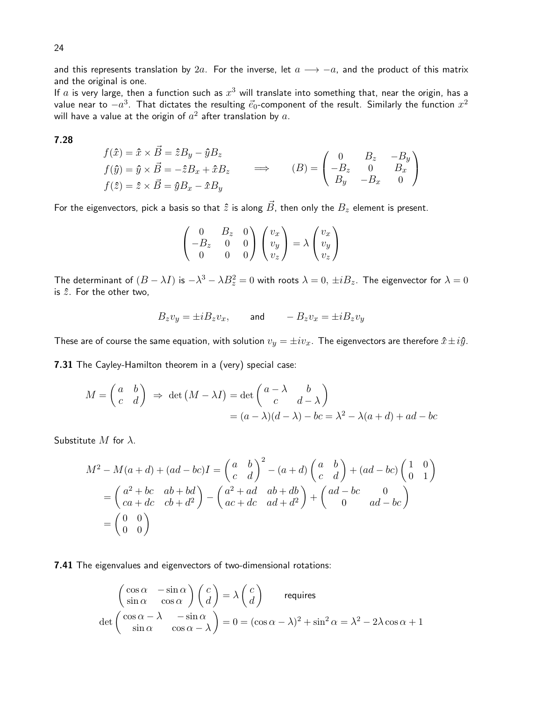and this represents translation by 2a. For the inverse, let  $a \rightarrow -a$ , and the product of this matrix and the original is one.

If  $a$  is very large, then a function such as  $x^3$  will translate into something that, near the origin, has a value near to  $-a^3$ . That dictates the resulting  $\vec{e}_0$ -component of the result. Similarly the function  $x^2$ will have a value at the origin of  $a^2$  after translation by  $a.$ 

### 7.28

$$
f(\hat{x}) = \hat{x} \times \vec{B} = \hat{z}B_y - \hat{y}B_z
$$
  
\n
$$
f(\hat{y}) = \hat{y} \times \vec{B} = -\hat{z}B_x + \hat{x}B_z \implies (B) = \begin{pmatrix} 0 & B_z & -B_y \\ -B_z & 0 & B_x \\ B_y & -B_x & 0 \end{pmatrix}
$$
  
\n
$$
f(\hat{z}) = \hat{z} \times \vec{B} = \hat{y}B_x - \hat{x}B_y
$$

For the eigenvectors, pick a basis so that  $\hat{z}$  is along  $\vec{B}$ , then only the  $B_z$  element is present.

$$
\begin{pmatrix} 0 & B_z & 0 \ -B_z & 0 & 0 \ 0 & 0 & 0 \end{pmatrix} \begin{pmatrix} v_x \ v_y \ v_z \end{pmatrix} = \lambda \begin{pmatrix} v_x \ v_y \ v_z \end{pmatrix}
$$

The determinant of  $(B-\lambda I)$  is  $-\lambda^3-\lambda B_z^2=0$  with roots  $\lambda=0,\,\pm iB_z.$  The eigenvector for  $\lambda=0$ is  $\hat{z}$ . For the other two,

$$
B_z v_y = \pm i B_z v_x, \qquad \text{and} \qquad -B_z v_x = \pm i B_z v_y
$$

These are of course the same equation, with solution  $v_y = \pm iv_x$ . The eigenvectors are therefore  $\hat{x} \pm i\hat{y}$ .

7.31 The Cayley-Hamilton theorem in a (very) special case:

$$
M = \begin{pmatrix} a & b \\ c & d \end{pmatrix} \Rightarrow \det(M - \lambda I) = \det \begin{pmatrix} a - \lambda & b \\ c & d - \lambda \end{pmatrix}
$$
  
=  $(a - \lambda)(d - \lambda) - bc = \lambda^2 - \lambda(a + d) + ad - bc$ 

Substitute  $M$  for  $\lambda$ .

$$
M^2 - M(a+d) + (ad - bc)I = \begin{pmatrix} a & b \\ c & d \end{pmatrix}^2 - (a+d) \begin{pmatrix} a & b \\ c & d \end{pmatrix} + (ad - bc) \begin{pmatrix} 1 & 0 \\ 0 & 1 \end{pmatrix}
$$
  
= 
$$
\begin{pmatrix} a^2 + bc & ab + bd \\ ca + dc & cb + d^2 \end{pmatrix} - \begin{pmatrix} a^2 + ad & ab + db \\ ac + dc & ad + d^2 \end{pmatrix} + \begin{pmatrix} ad - bc & 0 \\ 0 & ad - bc \end{pmatrix}
$$
  
= 
$$
\begin{pmatrix} 0 & 0 \\ 0 & 0 \end{pmatrix}
$$

7.41 The eigenvalues and eigenvectors of two-dimensional rotations:

$$
\begin{pmatrix}\n\cos \alpha & -\sin \alpha \\
\sin \alpha & \cos \alpha\n\end{pmatrix}\n\begin{pmatrix}\nc \\
d\n\end{pmatrix} = \lambda \begin{pmatrix}\nc \\
d\n\end{pmatrix}
$$
 requires  
\n
$$
\det \begin{pmatrix}\n\cos \alpha - \lambda & -\sin \alpha \\
\sin \alpha & \cos \alpha - \lambda\n\end{pmatrix} = 0 = (\cos \alpha - \lambda)^2 + \sin^2 \alpha = \lambda^2 - 2\lambda \cos \alpha + 1
$$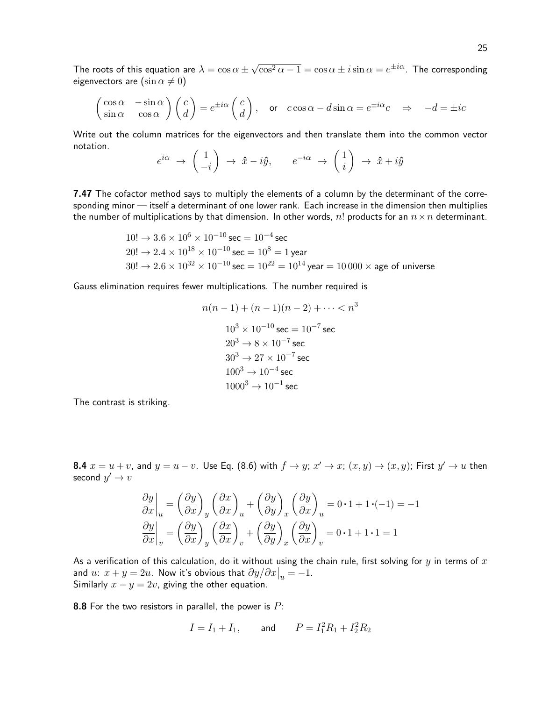The roots of this equation are  $\lambda = \cos\alpha \pm \pi$ √  $\overline{\cos^2\alpha-1}=\cos\alpha\pm i\sin\alpha=e^{\pm i\alpha}$ . The corresponding eigenvectors are  $(\sin \alpha \neq 0)$ 

$$
\begin{pmatrix}\n\cos \alpha & -\sin \alpha \\
\sin \alpha & \cos \alpha\n\end{pmatrix}\n\begin{pmatrix}\nc \\
d\n\end{pmatrix} = e^{\pm i\alpha}\n\begin{pmatrix}\nc \\
d\n\end{pmatrix}, \text{ or } c\cos \alpha - d\sin \alpha = e^{\pm i\alpha}c \Rightarrow -d = \pm ic
$$

Write out the column matrices for the eigenvectors and then translate them into the common vector notation.

$$
e^{i\alpha} \rightarrow \begin{pmatrix} 1 \\ -i \end{pmatrix} \rightarrow \hat{x} - i\hat{y}, \qquad e^{-i\alpha} \rightarrow \begin{pmatrix} 1 \\ i \end{pmatrix} \rightarrow \hat{x} + i\hat{y}
$$

**7.47** The cofactor method says to multiply the elements of a column by the determinant of the corresponding minor — itself a determinant of one lower rank. Each increase in the dimension then multiplies the number of multiplications by that dimension. In other words, n! products for an  $n \times n$  determinant.

$$
10! \rightarrow 3.6 \times 10^{6} \times 10^{-10} \text{ sec} = 10^{-4} \text{ sec}
$$
  
\n
$$
20! \rightarrow 2.4 \times 10^{18} \times 10^{-10} \text{ sec} = 10^{8} = 1 \text{ year}
$$
  
\n
$$
30! \rightarrow 2.6 \times 10^{32} \times 10^{-10} \text{ sec} = 10^{22} = 10^{14} \text{ year} = 10000 \times \text{age of universe}
$$

Gauss elimination requires fewer multiplications. The number required is

$$
n(n-1) + (n-1)(n-2) + \dots < n^3
$$
  
\n
$$
10^3 \times 10^{-10} \text{ sec} = 10^{-7} \text{ sec}
$$
  
\n
$$
20^3 \rightarrow 8 \times 10^{-7} \text{ sec}
$$
  
\n
$$
30^3 \rightarrow 27 \times 10^{-7} \text{ sec}
$$
  
\n
$$
100^3 \rightarrow 10^{-4} \text{ sec}
$$
  
\n
$$
1000^3 \rightarrow 10^{-1} \text{ sec}
$$

The contrast is striking.

**8.4**  $x = u + v$ , and  $y = u - v$ . Use Eq. (8.6) with  $f \rightarrow y$ ;  $x' \rightarrow x$ ;  $(x, y) \rightarrow (x, y)$ ; First  $y' \rightarrow u$  then second  $y' \to v$ 

$$
\frac{\partial y}{\partial x}\Big|_{u} = \left(\frac{\partial y}{\partial x}\right)_{y} \left(\frac{\partial x}{\partial x}\right)_{u} + \left(\frac{\partial y}{\partial y}\right)_{x} \left(\frac{\partial y}{\partial x}\right)_{u} = 0 \cdot 1 + 1 \cdot (-1) = -1
$$
  

$$
\frac{\partial y}{\partial x}\Big|_{v} = \left(\frac{\partial y}{\partial x}\right)_{y} \left(\frac{\partial x}{\partial x}\right)_{v} + \left(\frac{\partial y}{\partial y}\right)_{x} \left(\frac{\partial y}{\partial x}\right)_{v} = 0 \cdot 1 + 1 \cdot 1 = 1
$$

As a verification of this calculation, do it without using the chain rule, first solving for  $y$  in terms of  $x$ and  $u: x + y = 2u$ . Now it's obvious that  $\partial y / \partial x \big|_{u} = -1$ . Similarly  $x - y = 2v$ , giving the other equation.

**8.8** For the two resistors in parallel, the power is  $P$ :

$$
I = I_1 + I_1
$$
, and  $P = I_1^2 R_1 + I_2^2 R_2$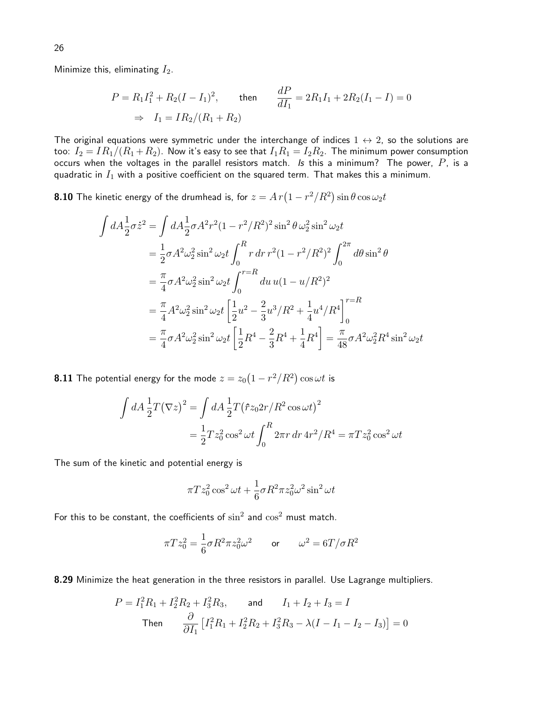Minimize this, eliminating  $I_2$ .

$$
P = R_1 I_1^2 + R_2 (I - I_1)^2, \qquad \text{then} \qquad \frac{dP}{dI_1} = 2R_1 I_1 + 2R_2 (I_1 - I) = 0
$$
  

$$
\Rightarrow I_1 = IR_2 / (R_1 + R_2)
$$

The original equations were symmetric under the interchange of indices  $1 \leftrightarrow 2$ , so the solutions are too:  $I_2 = IR_1/(R_1 + R_2)$ . Now it's easy to see that  $I_1R_1 = I_2R_2$ . The minimum power consumption occurs when the voltages in the parallel resistors match. Is this a minimum? The power,  $P$ , is a quadratic in  $I_1$  with a positive coefficient on the squared term. That makes this a minimum.

**8.10** The kinetic energy of the drumhead is, for  $z = A\,r\bigl(1 - r^2/R^2\bigr)\sin\theta\cos\omega_2t$ 

$$
\int dA \frac{1}{2} \sigma \dot{z}^2 = \int dA \frac{1}{2} \sigma A^2 r^2 (1 - r^2 / R^2)^2 \sin^2 \theta \omega_2^2 \sin^2 \omega_2 t
$$
  
\n
$$
= \frac{1}{2} \sigma A^2 \omega_2^2 \sin^2 \omega_2 t \int_0^R r dr r^2 (1 - r^2 / R^2)^2 \int_0^{2\pi} d\theta \sin^2 \theta
$$
  
\n
$$
= \frac{\pi}{4} \sigma A^2 \omega_2^2 \sin^2 \omega_2 t \int_0^{r=R} du u (1 - u/R^2)^2
$$
  
\n
$$
= \frac{\pi}{4} A^2 \omega_2^2 \sin^2 \omega_2 t \left[ \frac{1}{2} u^2 - \frac{2}{3} u^3 / R^2 + \frac{1}{4} u^4 / R^4 \right]_0^{r=R}
$$
  
\n
$$
= \frac{\pi}{4} \sigma A^2 \omega_2^2 \sin^2 \omega_2 t \left[ \frac{1}{2} R^4 - \frac{2}{3} R^4 + \frac{1}{4} R^4 \right] = \frac{\pi}{48} \sigma A^2 \omega_2^2 R^4 \sin^2 \omega_2 t
$$

**8.11** The potential energy for the mode  $z=z_0\big(1-r^2/R^2\big)\cos\omega t$  is

$$
\int dA \frac{1}{2} T (\nabla z)^2 = \int dA \frac{1}{2} T (\hat{r} z_0 2r / R^2 \cos \omega t)^2
$$
  
=  $\frac{1}{2} T z_0^2 \cos^2 \omega t \int_0^R 2\pi r dr dr^2 / R^4 = \pi T z_0^2 \cos^2 \omega t$ 

The sum of the kinetic and potential energy is

$$
\pi T z_0^2 \cos^2 \omega t + \frac{1}{6} \sigma R^2 \pi z_0^2 \omega^2 \sin^2 \omega t
$$

For this to be constant, the coefficients of  $\sin^2$  and  $\cos^2$  must match.

$$
\pi T z_0^2 = \frac{1}{6} \sigma R^2 \pi z_0^2 \omega^2 \qquad \text{or} \qquad \omega^2 = 6T/\sigma R^2
$$

8.29 Minimize the heat generation in the three resistors in parallel. Use Lagrange multipliers.

$$
P = I_1^2 R_1 + I_2^2 R_2 + I_3^2 R_3, \quad \text{and} \quad I_1 + I_2 + I_3 = I
$$
  
Then 
$$
\frac{\partial}{\partial I_1} \left[ I_1^2 R_1 + I_2^2 R_2 + I_3^2 R_3 - \lambda (I - I_1 - I_2 - I_3) \right] = 0
$$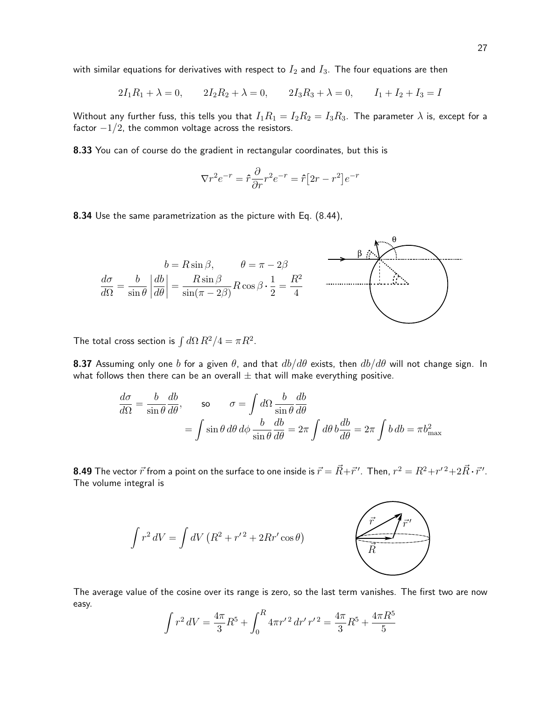with similar equations for derivatives with respect to  $I_2$  and  $I_3$ . The four equations are then

$$
2I_1R_1 + \lambda = 0, \qquad 2I_2R_2 + \lambda = 0, \qquad 2I_3R_3 + \lambda = 0, \qquad I_1 + I_2 + I_3 = I
$$

Without any further fuss, this tells you that  $I_1R_1 = I_2R_2 = I_3R_3$ . The parameter  $\lambda$  is, except for a factor  $-1/2$ , the common voltage across the resistors.

8.33 You can of course do the gradient in rectangular coordinates, but this is

$$
\nabla r^2 e^{-r} = \hat{r} \frac{\partial}{\partial r} r^2 e^{-r} = \hat{r} \left[ 2r - r^2 \right] e^{-r}
$$

8.34 Use the same parametrization as the picture with Eq. (8.44),



The total cross section is  $\int d\Omega R^2/4 = \pi R^2$ .

**8.37** Assuming only one b for a given  $\theta$ , and that  $db/d\theta$  exists, then  $db/d\theta$  will not change sign. In what follows then there can be an overall  $\pm$  that will make everything positive.

$$
\frac{d\sigma}{d\Omega} = \frac{b}{\sin\theta} \frac{db}{d\theta}, \qquad \text{so} \qquad \sigma = \int d\Omega \frac{b}{\sin\theta} \frac{db}{d\theta}
$$

$$
= \int \sin\theta \, d\theta \, d\phi \, \frac{b}{\sin\theta} \frac{db}{d\theta} = 2\pi \int d\theta \, b \frac{db}{d\theta} = 2\pi \int b \, db = \pi b_{\text{max}}^2
$$

**8.49** The vector  $\vec{r}$  from a point on the surface to one inside is  $\vec{r}=\vec{R}+\vec{r}'$  . Then,  $r^2=R^2+r'^{\,2}+2\vec{R}\cdot\vec{r}'$  . The volume integral is



The average value of the cosine over its range is zero, so the last term vanishes. The first two are now easy.

$$
\int r^2 dV = \frac{4\pi}{3} R^5 + \int_0^R 4\pi r'^2 dr' r'^2 = \frac{4\pi}{3} R^5 + \frac{4\pi R^5}{5}
$$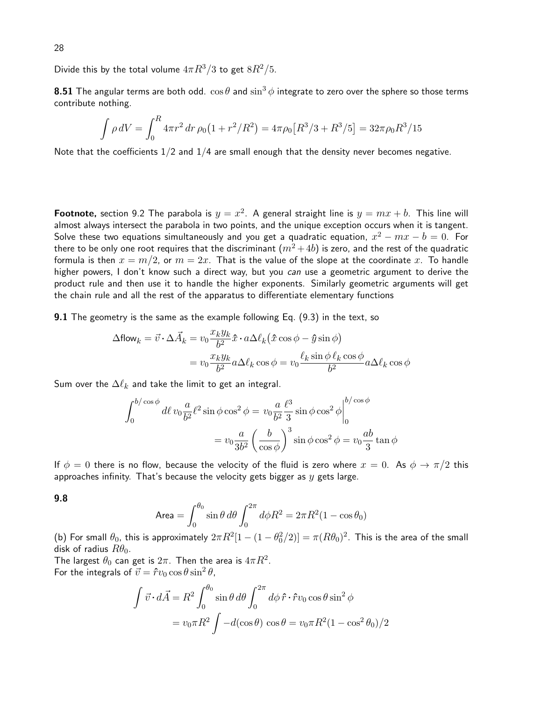Divide this by the total volume  $4\pi R^3/3$  to get  $8R^2/5$ .

**8.51** The angular terms are both odd.  $\cos \theta$  and  $\sin^3 \phi$  integrate to zero over the sphere so those terms contribute nothing.

$$
\int \rho \, dV = \int_0^R 4\pi r^2 \, dr \, \rho_0 \left( 1 + r^2 / R^2 \right) = 4\pi \rho_0 \left[ R^3 / 3 + R^3 / 5 \right] = 32\pi \rho_0 R^3 / 15
$$

Note that the coefficients 1/2 and 1/4 are small enough that the density never becomes negative.

**Footnote,** section 9.2 The parabola is  $y = x^2$ . A general straight line is  $y = mx + b$ . This line will almost always intersect the parabola in two points, and the unique exception occurs when it is tangent. Solve these two equations simultaneously and you get a quadratic equation,  $x^2-mx-b=0$ . For there to be only one root requires that the discriminant  $(m^2+4b)$  is zero, and the rest of the quadratic formula is then  $x = m/2$ , or  $m = 2x$ . That is the value of the slope at the coordinate x. To handle higher powers, I don't know such a direct way, but you can use a geometric argument to derive the product rule and then use it to handle the higher exponents. Similarly geometric arguments will get the chain rule and all the rest of the apparatus to differentiate elementary functions

**9.1** The geometry is the same as the example following Eq. (9.3) in the text, so

$$
\Delta \text{flow}_k = \vec{v} \cdot \Delta \vec{A}_k = v_0 \frac{x_k y_k}{b^2} \hat{x} \cdot a \Delta \ell_k (\hat{x} \cos \phi - \hat{y} \sin \phi)
$$

$$
= v_0 \frac{x_k y_k}{b^2} a \Delta \ell_k \cos \phi = v_0 \frac{\ell_k \sin \phi \ell_k \cos \phi}{b^2} a \Delta \ell_k \cos \phi
$$

Sum over the  $\Delta \ell_k$  and take the limit to get an integral.

$$
\int_0^{b/\cos\phi} d\ell \, v_0 \frac{a}{b^2} \ell^2 \sin\phi \cos^2\phi = v_0 \frac{a}{b^2} \frac{\ell^3}{3} \sin\phi \cos^2\phi \Big|_0^{b/\cos\phi}
$$

$$
= v_0 \frac{a}{3b^2} \left(\frac{b}{\cos\phi}\right)^3 \sin\phi \cos^2\phi = v_0 \frac{ab}{3} \tan\phi
$$

If  $\phi = 0$  there is no flow, because the velocity of the fluid is zero where  $x = 0$ . As  $\phi \to \pi/2$  this approaches infinity. That's because the velocity gets bigger as  $y$  gets large.

9.8

$$
\text{Area} = \int_0^{\theta_0} \sin \theta \, d\theta \int_0^{2\pi} d\phi R^2 = 2\pi R^2 (1 - \cos \theta_0)
$$

(b) For small  $\theta_0$ , this is approximately  $2\pi R^2[1-(1-\theta_0^2/2)]=\pi (R\theta_0)^2.$  This is the area of the small disk of radius  $R\theta_0$ .

The largest  $\theta_0$  can get is  $2\pi.$  Then the area is  $4\pi R^2.$ For the integrals of  $\vec{v} = \hat{r}v_0 \cos \theta \sin^2 \theta$ ,

$$
\int \vec{v} \cdot d\vec{A} = R^2 \int_0^{\theta_0} \sin \theta \, d\theta \int_0^{2\pi} d\phi \, \hat{r} \cdot \hat{r} v_0 \cos \theta \sin^2 \phi
$$

$$
= v_0 \pi R^2 \int -d(\cos \theta) \cos \theta = v_0 \pi R^2 (1 - \cos^2 \theta_0) / 2
$$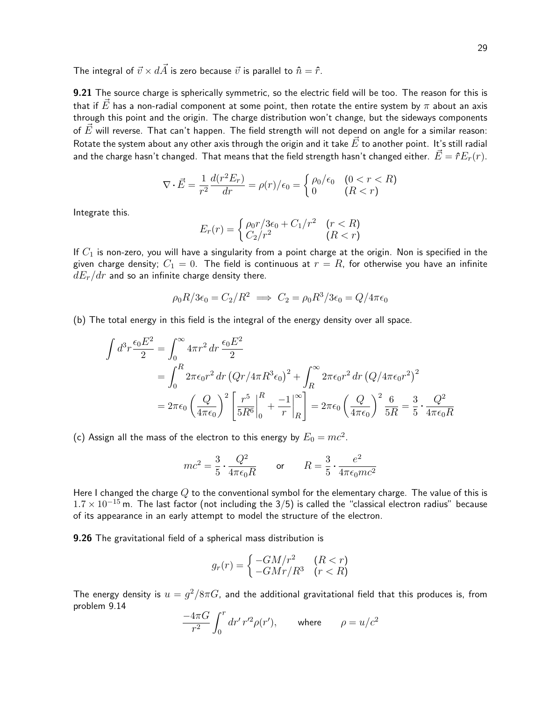The integral of  $\vec{v} \times d\vec{A}$  is zero because  $\vec{v}$  is parallel to  $\hat{n} = \hat{r}$ .

9.21 The source charge is spherically symmetric, so the electric field will be too. The reason for this is that if  $\vec{E}$  has a non-radial component at some point, then rotate the entire system by  $\pi$  about an axis through this point and the origin. The charge distribution won't change, but the sideways components of  $\vec{E}$  will reverse. That can't happen. The field strength will not depend on angle for a similar reason: Rotate the system about any other axis through the origin and it take  $E$  to another point. It's still radial and the charge hasn't changed. That means that the field strength hasn't changed either.  $\vec{E}=\hat{r}E_r(r)$ .

$$
\nabla \cdot \vec{E} = \frac{1}{r^2} \frac{d(r^2 E_r)}{dr} = \rho(r)/\epsilon_0 = \begin{cases} \rho_0/\epsilon_0 & (0 < r < R) \\ 0 & (R < r) \end{cases}
$$

Integrate this.

$$
E_r(r) = \begin{cases} \rho_0 r / 3\epsilon_0 + C_1/r^2 & (r < R) \\ C_2/r^2 & (R < r) \end{cases}
$$

If  $C_1$  is non-zero, you will have a singularity from a point charge at the origin. Non is specified in the given charge density;  $C_1 = 0$ . The field is continuous at  $r = R$ , for otherwise you have an infinite  $dE_r/dr$  and so an infinite charge density there.

$$
\rho_0 R/3\epsilon_0 = C_2/R^2 \implies C_2 = \rho_0 R^3/3\epsilon_0 = Q/4\pi\epsilon_0
$$

(b) The total energy in this field is the integral of the energy density over all space.

$$
\int d^3 r \frac{\epsilon_0 E^2}{2} = \int_0^\infty 4\pi r^2 dr \frac{\epsilon_0 E^2}{2}
$$
  
= 
$$
\int_0^R 2\pi \epsilon_0 r^2 dr (Qr/4\pi R^3 \epsilon_0)^2 + \int_R^\infty 2\pi \epsilon_0 r^2 dr (Q/4\pi \epsilon_0 r^2)^2
$$
  
= 
$$
2\pi \epsilon_0 \left(\frac{Q}{4\pi \epsilon_0}\right)^2 \left[\frac{r^5}{5R^6}\Big|_0^R + \frac{-1}{r}\Big|_R^\infty\right] = 2\pi \epsilon_0 \left(\frac{Q}{4\pi \epsilon_0}\right)^2 \frac{6}{5R} = \frac{3}{5} \cdot \frac{Q^2}{4\pi \epsilon_0 R}
$$

(c) Assign all the mass of the electron to this energy by  $E_0 = mc^2$ .

$$
mc^2 = \frac{3}{5} \cdot \frac{Q^2}{4\pi\epsilon_0 R} \qquad \text{or} \qquad R = \frac{3}{5} \cdot \frac{e^2}{4\pi\epsilon_0 mc^2}
$$

Here I changed the charge  $Q$  to the conventional symbol for the elementary charge. The value of this is  $1.7 \times 10^{-15}$  m. The last factor (not including the 3/5) is called the "classical electron radius" because of its appearance in an early attempt to model the structure of the electron.

9.26 The gravitational field of a spherical mass distribution is

$$
g_r(r) = \begin{cases} -GM/r^2 & (R < r) \\ -GMr/R^3 & (r < R) \end{cases}
$$

The energy density is  $u=g^2/8\pi G$ , and the additional gravitational field that this produces is, from problem 9.14

$$
\frac{-4\pi G}{r^2} \int_0^r dr' \, r'^2 \rho(r'), \qquad \text{where} \qquad \rho = u/c^2
$$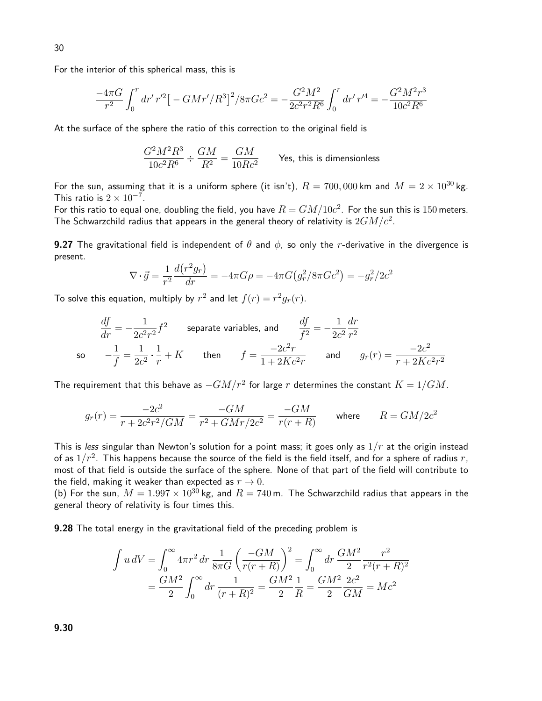For the interior of this spherical mass, this is

$$
\frac{-4\pi G}{r^2} \int_0^r dr' \, r'^2 \left[ -\frac{GMr'}{R^3} \right]^2 / 8\pi Gc^2 = -\frac{G^2M^2}{2c^2r^2R^6} \int_0^r dr' \, r'^4 = -\frac{G^2M^2r^3}{10c^2R^6}
$$

At the surface of the sphere the ratio of this correction to the original field is

$$
\frac{G^2M^2R^3}{10c^2R^6} \div \frac{GM}{R^2} = \frac{GM}{10Rc^2}
$$
 Yes, this is dimensionless

For the sun, assuming that it is a uniform sphere (it isn't),  $R = 700,000$  km and  $M = 2 \times 10^{30}$  kg. This ratio is  $2 \times 10^{-7}$ .

For this ratio to equal one, doubling the field, you have  $R=GM/10c^2.$  For the sun this is  $150$  meters. The Schwarzchild radius that appears in the general theory of relativity is  $2GM/c^2$ .

**9.27** The gravitational field is independent of  $\theta$  and  $\phi$ , so only the r-derivative in the divergence is present.

$$
\nabla \cdot \vec{g} = \frac{1}{r^2} \frac{d(r^2 g_r)}{dr} = -4\pi G \rho = -4\pi G (g_r^2 / 8\pi G c^2) = -g_r^2 / 2c^2
$$

To solve this equation, multiply by  $r^2$  and let  $f(r) = r^2 g_r(r)$ .

$$
\frac{df}{dr} = -\frac{1}{2c^2r^2}f^2
$$
 separate variables, and  $\frac{df}{f^2} = -\frac{1}{2c^2}\frac{dr}{r^2}$   
so  $-\frac{1}{f} = \frac{1}{2c^2} \cdot \frac{1}{r} + K$  then  $f = \frac{-2c^2r}{1 + 2Kc^2r}$  and  $g_r(r) = \frac{-2c^2}{r + 2Kc^2r^2}$ 

The requirement that this behave as  $-GM/r^2$  for large  $r$  determines the constant  $K=1/GM.$ 

$$
g_r(r) = \frac{-2c^2}{r + 2c^2r^2/GM} = \frac{-GM}{r^2 + GMr/2c^2} = \frac{-GM}{r(r+R)} \qquad \text{where} \qquad R = GM/2c^2
$$

This is less singular than Newton's solution for a point mass; it goes only as  $1/r$  at the origin instead of as  $1/r^2$ . This happens because the source of the field is the field itself, and for a sphere of radius  $r_{\rm *}$ most of that field is outside the surface of the sphere. None of that part of the field will contribute to the field, making it weaker than expected as  $r \to 0$ .

(b) For the sun,  $M = 1.997 \times 10^{30}$  kg, and  $R = 740$  m. The Schwarzchild radius that appears in the general theory of relativity is four times this.

**9.28** The total energy in the gravitational field of the preceding problem is

$$
\int u \, dV = \int_0^\infty 4\pi r^2 \, dr \, \frac{1}{8\pi G} \left(\frac{-GM}{r(r+R)}\right)^2 = \int_0^\infty dr \, \frac{GM^2}{2} \frac{r^2}{r^2(r+R)^2}
$$

$$
= \frac{GM^2}{2} \int_0^\infty dr \, \frac{1}{(r+R)^2} = \frac{GM^2}{2} \frac{1}{R} = \frac{GM^2}{2} \frac{2c^2}{GM} = Mc^2
$$

9.30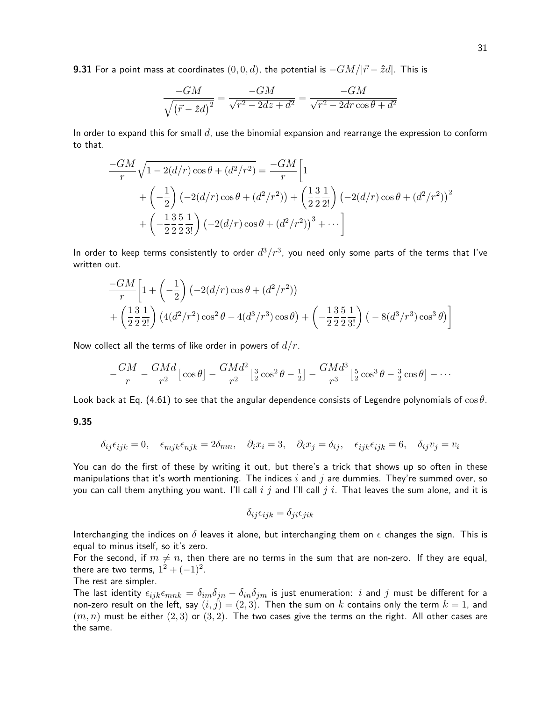**9.31** For a point mass at coordinates  $(0, 0, d)$ , the potential is  $-GM/|\vec{r} - \hat{z}d|$ . This is

$$
\frac{-GM}{\sqrt{(\vec{r} - \hat{z}d)^2}} = \frac{-GM}{\sqrt{r^2 - 2dz + d^2}} = \frac{-GM}{\sqrt{r^2 - 2dr\cos\theta + d^2}}
$$

In order to expand this for small  $d$ , use the binomial expansion and rearrange the expression to conform to that.

$$
\frac{-GM}{r}\sqrt{1-2(d/r)\cos\theta+(d^2/r^2)} = \frac{-GM}{r}\left[1\right]
$$
  
+ $\left(-\frac{1}{2}\right)(-2(d/r)\cos\theta+(d^2/r^2)) + \left(\frac{13}{2}\frac{1}{2!}\right)(-2(d/r)\cos\theta+(d^2/r^2))^2$   
+ $\left(-\frac{13}{2}\frac{5}{2}\frac{1}{2!}\right)(-2(d/r)\cos\theta+(d^2/r^2))^3 + \cdots\right]$ 

In order to keep terms consistently to order  $d^3/r^3$ , you need only some parts of the terms that I've written out.

$$
\frac{-GM}{r}\left[1+\left(-\frac{1}{2}\right)\left(-2(d/r)\cos\theta+(d^2/r^2)\right)\right.+\left(\frac{13}{2}\frac{1}{2!}\right)\left(4(d^2/r^2)\cos^2\theta-4(d^3/r^3)\cos\theta\right)+\left(-\frac{13}{2}\frac{5}{2}\frac{1}{3!}\right)\left(-8(d^3/r^3)\cos^3\theta\right)\right]
$$

Now collect all the terms of like order in powers of  $d/r$ .

$$
-\frac{GM}{r} - \frac{GMd}{r^2} \left[\cos\theta\right] - \frac{GMd^2}{r^2} \left[\frac{3}{2}\cos^2\theta - \frac{1}{2}\right] - \frac{GMd^3}{r^3} \left[\frac{5}{2}\cos^3\theta - \frac{3}{2}\cos\theta\right] - \cdots
$$

Look back at Eq. (4.61) to see that the angular dependence consists of Legendre polynomials of  $\cos \theta$ .

### 9.35

$$
\delta_{ij}\epsilon_{ijk}=0,\quad \epsilon_{mjk}\epsilon_{njk}=2\delta_{mn},\quad \partial_ix_i=3,\quad \partial_ix_j=\delta_{ij},\quad \epsilon_{ijk}\epsilon_{ijk}=6,\quad \delta_{ij}v_j=v_i
$$

You can do the first of these by writing it out, but there's a trick that shows up so often in these manipulations that it's worth mentioning. The indices i and j are dummies. They're summed over, so you can call them anything you want. I'll call  $i$  j and I'll call j  $i$ . That leaves the sum alone, and it is

$$
\delta_{ij}\epsilon_{ijk} = \delta_{ji}\epsilon_{jik}
$$

Interchanging the indices on  $\delta$  leaves it alone, but interchanging them on  $\epsilon$  changes the sign. This is equal to minus itself, so it's zero.

For the second, if  $m \neq n$ , then there are no terms in the sum that are non-zero. If they are equal, there are two terms,  $1^2 + (-1)^2$ .

# The rest are simpler.

The last identity  $\epsilon_{ijk}\epsilon_{mnk} = \delta_{im}\delta_{jn} - \delta_{in}\delta_{jm}$  is just enumeration: i and j must be different for a non-zero result on the left, say  $(i, j) = (2, 3)$ . Then the sum on  $k$  contains only the term  $k = 1$ , and  $(m, n)$  must be either  $(2, 3)$  or  $(3, 2)$ . The two cases give the terms on the right. All other cases are the same.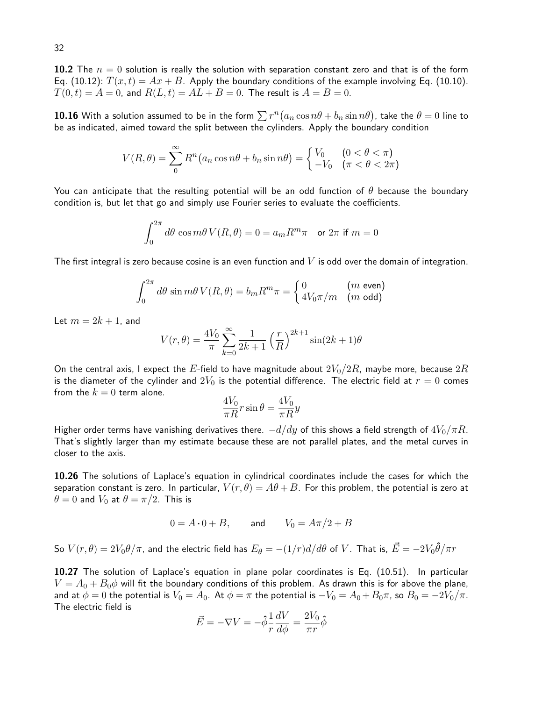10.2 The  $n = 0$  solution is really the solution with separation constant zero and that is of the form Eq. (10.12):  $T(x,t) = Ax + B$ . Apply the boundary conditions of the example involving Eq. (10.10).  $T(0, t) = A = 0$ , and  $R(L, t) = AL + B = 0$ . The result is  $A = B = 0$ .

 ${\bf 10.16}$  With a solution assumed to be in the form  $\sum r^n (a_n \cos n\theta + b_n \sin n\theta)$ , take the  $\theta=0$  line to be as indicated, aimed toward the split between the cylinders. Apply the boundary condition

$$
V(R,\theta) = \sum_{n=0}^{\infty} R^n \left( a_n \cos n\theta + b_n \sin n\theta \right) = \begin{cases} V_0 & (0 < \theta < \pi) \\ -V_0 & (\pi < \theta < 2\pi) \end{cases}
$$

You can anticipate that the resulting potential will be an odd function of  $\theta$  because the boundary condition is, but let that go and simply use Fourier series to evaluate the coefficients.

$$
\int_0^{2\pi}d\theta\, \cos m\theta\, V(R,\theta)=0=a_m R^m \pi\quad \text{or } 2\pi \text{ if } m=0
$$

The first integral is zero because cosine is an even function and  $V$  is odd over the domain of integration.

$$
\int_0^{2\pi} d\theta \sin m\theta \, V(R,\theta) = b_m R^m \pi = \begin{cases} 0 & (m \text{ even}) \\ 4V_0 \pi/m & (m \text{ odd}) \end{cases}
$$

Let  $m = 2k + 1$ , and

$$
V(r,\theta) = \frac{4V_0}{\pi} \sum_{k=0}^{\infty} \frac{1}{2k+1} \left(\frac{r}{R}\right)^{2k+1} \sin(2k+1)\theta
$$

On the central axis, I expect the  $E$ -field to have magnitude about  $2V_0/2R$ , maybe more, because  $2R$ is the diameter of the cylinder and  $2V_0$  is the potential difference. The electric field at  $r=0$  comes from the  $k = 0$  term alone.

$$
\frac{4V_0}{\pi R}r\sin\theta = \frac{4V_0}{\pi R}y
$$

Higher order terms have vanishing derivatives there.  $-d/dy$  of this shows a field strength of  $4V_0/\pi R$ . That's slightly larger than my estimate because these are not parallel plates, and the metal curves in closer to the axis.

10.26 The solutions of Laplace's equation in cylindrical coordinates include the cases for which the separation constant is zero. In particular,  $V(r, \theta) = A\theta + B$ . For this problem, the potential is zero at  $\theta = 0$  and  $V_0$  at  $\theta = \pi/2$ . This is

$$
0 = A \cdot 0 + B, \qquad \text{and} \qquad V_0 = A\pi/2 + B
$$

So  $V(r,\theta)=2V_0\theta/\pi$ , and the electric field has  $E_\theta=-(1/r)d/d\theta$  of  $V$ . That is,  $\vec{E}=-2V_0\hat{\theta}/\pi r$ 

10.27 The solution of Laplace's equation in plane polar coordinates is Eq. (10.51). In particular  $V = A_0 + B_0 \phi$  will fit the boundary conditions of this problem. As drawn this is for above the plane, and at  $\phi = 0$  the potential is  $V_0 = A_0$ . At  $\phi = \pi$  the potential is  $-V_0 = A_0 + B_0 \pi$ , so  $B_0 = -2V_0/\pi$ . The electric field is

$$
\vec{E} = -\nabla V = -\hat{\phi}\frac{1}{r}\frac{dV}{d\phi} = \frac{2V_0}{\pi r}\hat{\phi}
$$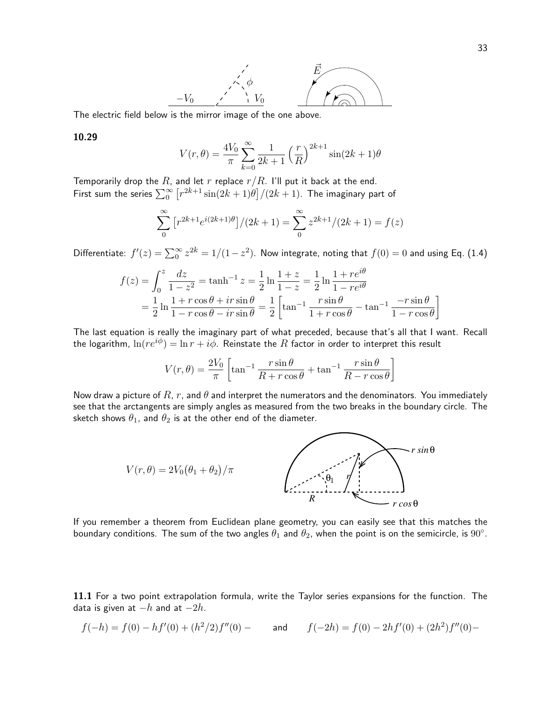

The electric field below is the mirror image of the one above.

# 10.29

$$
V(r, \theta) = \frac{4V_0}{\pi} \sum_{k=0}^{\infty} \frac{1}{2k+1} \left(\frac{r}{R}\right)^{2k+1} \sin(2k+1)\theta
$$

Temporarily drop the  $R$ , and let  $r$  replace  $r/R$ . I'll put it back at the end. First sum the series  $\sum_0^\infty \big[ r^{2k+1} \sin(2k+1)\theta \big]/(2k+1).$  The imaginary part of

$$
\sum_{0}^{\infty} \left[ r^{2k+1} e^{i(2k+1)\theta} \right] / (2k+1) = \sum_{0}^{\infty} z^{2k+1} / (2k+1) = f(z)
$$

Differentiate:  $f'(z) = \sum_{0}^{\infty} z^{2k} = 1/(1-z^2)$ . Now integrate, noting that  $f(0) = 0$  and using Eq. (1.4)

$$
f(z) = \int_0^z \frac{dz}{1 - z^2} = \tanh^{-1} z = \frac{1}{2} \ln \frac{1 + z}{1 - z} = \frac{1}{2} \ln \frac{1 + re^{i\theta}}{1 - re^{i\theta}}
$$
  
=  $\frac{1}{2} \ln \frac{1 + r \cos \theta + ir \sin \theta}{1 - r \cos \theta - ir \sin \theta} = \frac{1}{2} \left[ \tan^{-1} \frac{r \sin \theta}{1 + r \cos \theta} - \tan^{-1} \frac{-r \sin \theta}{1 - r \cos \theta} \right]$ 

The last equation is really the imaginary part of what preceded, because that's all that I want. Recall the logarithm,  $\ln(re^{i\phi}) = \ln r + i\phi$ . Reinstate the R factor in order to interpret this result

$$
V(r,\theta) = \frac{2V_0}{\pi} \left[ \tan^{-1} \frac{r \sin \theta}{R + r \cos \theta} + \tan^{-1} \frac{r \sin \theta}{R - r \cos \theta} \right]
$$

Now draw a picture of R, r, and  $\theta$  and interpret the numerators and the denominators. You immediately see that the arctangents are simply angles as measured from the two breaks in the boundary circle. The sketch shows  $\theta_1$ , and  $\theta_2$  is at the other end of the diameter.



If you remember a theorem from Euclidean plane geometry, you can easily see that this matches the boundary conditions. The sum of the two angles  $\theta_1$  and  $\theta_2$ , when the point is on the semicircle, is  $90^\circ$ .

11.1 For a two point extrapolation formula, write the Taylor series expansions for the function. The data is given at  $-h$  and at  $-2h$ .

$$
f(-h) = f(0) - hf'(0) + (h^2/2)f''(0) - \qquad \text{and} \qquad f(-2h) = f(0) - 2hf'(0) + (2h^2)f''(0) -
$$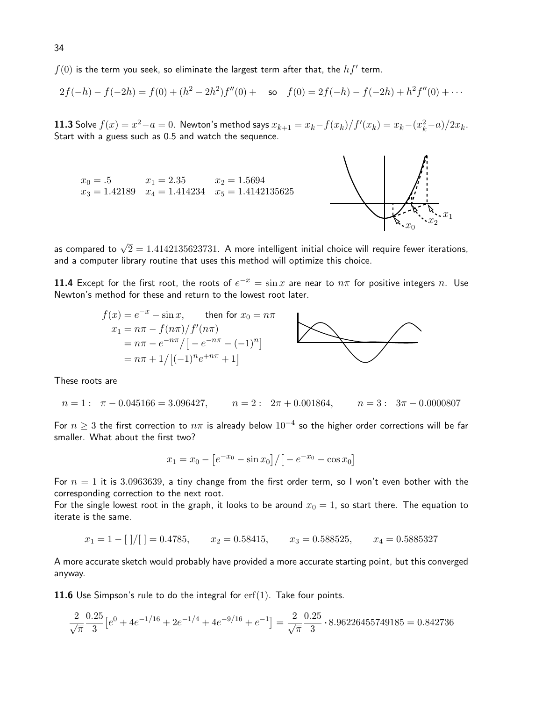$f(0)$  is the term you seek, so eliminate the largest term after that, the  $hf^{\prime}$  term.

$$
2f(-h) - f(-2h) = f(0) + (h^2 - 2h^2)f''(0) + \text{ so } f(0) = 2f(-h) - f(-2h) + h^2f''(0) + \cdots
$$

**11.3** Solve  $f(x) = x^2 - a = 0$ . Newton's method says  $x_{k+1} = x_k - \frac{f(x_k)}{f'(x_k)} = x_k - \frac{x_k^2 - a}{2x_k}$ . Start with a guess such as 0.5 and watch the sequence.

 $x_0 = .5$   $x_1 = 2.35$   $x_2 = 1.5694$  $x_3 = 1.42189$   $x_4 = 1.414234$   $x_5 = 1.4142135625$ 



as compared to  $\sqrt{2}=1.4142135623731.$  A more intelligent initial choice will require fewer iterations, and a computer library routine that uses this method will optimize this choice.

**11.4** Except for the first root, the roots of  $e^{-x} = \sin x$  are near to  $n\pi$  for positive integers  $n$ . Use Newton's method for these and return to the lowest root later.



These roots are

$$
n = 1: \quad \pi - 0.045166 = 3.096427, \qquad n = 2: \quad 2\pi + 0.001864, \qquad n = 3: \quad 3\pi - 0.0000807
$$

For  $n\geq 3$  the first correction to  $n\pi$  is already below  $10^{-4}$  so the higher order corrections will be far smaller. What about the first two?

$$
x_1 = x_0 - \left[ e^{-x_0} - \sin x_0 \right] / \left[ -e^{-x_0} - \cos x_0 \right]
$$

For  $n = 1$  it is 3.0963639, a tiny change from the first order term, so I won't even bother with the corresponding correction to the next root.

For the single lowest root in the graph, it looks to be around  $x_0 = 1$ , so start there. The equation to iterate is the same.

$$
x_1 = 1 - [ \ ] / [ \ ] = 0.4785,
$$
  $x_2 = 0.58415,$   $x_3 = 0.588525,$   $x_4 = 0.5885327$ 

A more accurate sketch would probably have provided a more accurate starting point, but this converged anyway.

**11.6** Use Simpson's rule to do the integral for  $erf(1)$ . Take four points.

$$
\frac{2}{\sqrt{\pi}} \frac{0.25}{3} \left[ e^{0} + 4e^{-1/16} + 2e^{-1/4} + 4e^{-9/16} + e^{-1} \right] = \frac{2}{\sqrt{\pi}} \frac{0.25}{3} \cdot 8.96226455749185 = 0.842736
$$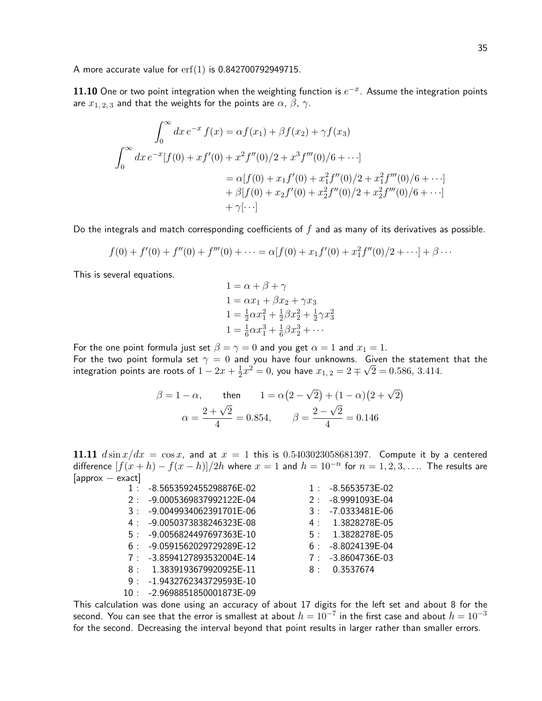A more accurate value for erf(1) is 0.842700792949715.

11.10 One or two point integration when the weighting function is  $e^{-x}$ . Assume the integration points are  $x_{1,2,3}$  and that the weights for the points are  $\alpha$ ,  $\beta$ ,  $\gamma$ .

$$
\int_0^\infty dx \, e^{-x} f(x) = \alpha f(x_1) + \beta f(x_2) + \gamma f(x_3)
$$
  

$$
\int_0^\infty dx \, e^{-x} [f(0) + x f'(0) + x^2 f''(0)/2 + x^3 f'''(0)/6 + \cdots]
$$
  

$$
= \alpha [f(0) + x_1 f'(0) + x_1^2 f''(0)/2 + x_1^2 f'''(0)/6 + \cdots]
$$
  

$$
+ \beta [f(0) + x_2 f'(0) + x_2^2 f''(0)/2 + x_2^2 f'''(0)/6 + \cdots]
$$
  

$$
+ \gamma [\cdots]
$$

Do the integrals and match corresponding coefficients of  $f$  and as many of its derivatives as possible.

$$
f(0) + f'(0) + f''(0) + f'''(0) + \dots = \alpha[f(0) + x_1 f'(0) + x_1^2 f''(0)/2 + \dots] + \beta \dots
$$

This is several equations.

$$
1 = \alpha + \beta + \gamma
$$
  
\n
$$
1 = \alpha x_1 + \beta x_2 + \gamma x_3
$$
  
\n
$$
1 = \frac{1}{2} \alpha x_1^2 + \frac{1}{2} \beta x_2^2 + \frac{1}{2} \gamma x_3^2
$$
  
\n
$$
1 = \frac{1}{6} \alpha x_1^3 + \frac{1}{6} \beta x_2^3 + \cdots
$$

For the one point formula just set  $\beta = \gamma = 0$  and you get  $\alpha = 1$  and  $x_1 = 1$ .

For the two point formula set  $\gamma = 0$  and you have four unknowns. Given the statement that the integration points are roots of  $1 - 2x + \frac{1}{2}$  $\frac{1}{2}x^2 = 0$ , you have  $x_{1,2} = 2 \mp \sqrt{2} = 0.586, 3.414$ .

$$
\beta = 1 - \alpha, \quad \text{then} \quad 1 = \alpha (2 - \sqrt{2}) + (1 - \alpha)(2 + \sqrt{2})
$$

$$
\alpha = \frac{2 + \sqrt{2}}{4} = 0.854, \quad \beta = \frac{2 - \sqrt{2}}{4} = 0.146
$$

11.11  $d \sin x/dx = \cos x$ , and at  $x = 1$  this is 0.5403023058681397. Compute it by a centered difference  $[f(x+h) - f(x-h)]/2h$  where  $x = 1$  and  $h = 10^{-n}$  for  $n = 1, 2, 3, \ldots$  The results are  $[approx - exact]$ 

| $1 \cdot$ | -8.5653592455298876E-02 | $1$ .     | -8.5653573E-02      |
|-----------|-------------------------|-----------|---------------------|
| 2:        | -9.0005369837992122E-04 | 2:        | -8.9991093E-04      |
| 3:        | -9.0049934062391701E-06 | $3 \cdot$ | -7.0333481E-06      |
| 4 :       | -9.0050373838246323E-08 |           | 4: 1.3828278E-05    |
| 5:        | -9.0056824497697363E-10 | 5:        | 1.3828278E-05       |
| 6 :       | -9.0591562029729289E-12 | 6:        | -8.8024139E-04      |
| 7:        | -3.8594127893532004E-14 |           | $7: -3.8604736E-03$ |
| 8:        | 1.3839193679920925E-11  | $8 \cdot$ | 0.3537674           |
| 9:        | -1.9432762343729593E-10 |           |                     |
| 10 :      | -2.9698851850001873E-09 |           |                     |

This calculation was done using an accuracy of about 17 digits for the left set and about 8 for the second. You can see that the error is smallest at about  $h=10^{-7}$  in the first case and about  $h=10^{-3}$ for the second. Decreasing the interval beyond that point results in larger rather than smaller errors.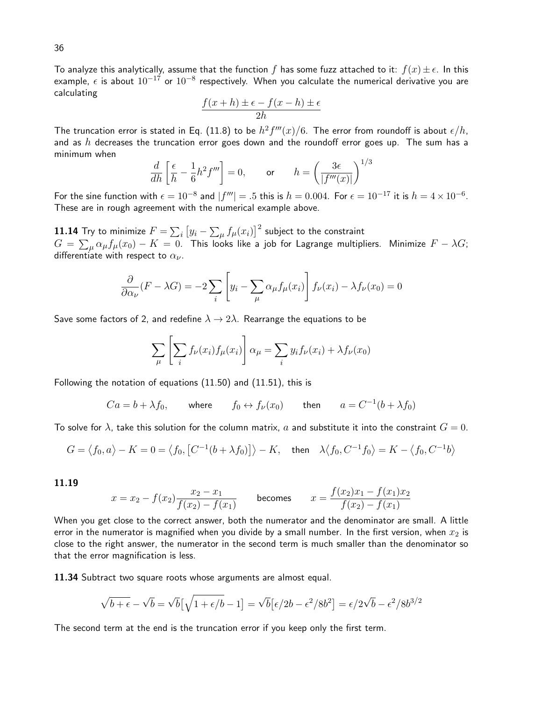To analyze this analytically, assume that the function f has some fuzz attached to it:  $f(x) \pm \epsilon$ . In this example,  $\epsilon$  is about  $10^{-17}$  or  $10^{-8}$  respectively. When you calculate the numerical derivative you are calculating

$$
\frac{f(x+h) \pm \epsilon - f(x-h) \pm \epsilon}{2h}
$$

The truncation error is stated in Eq. (11.8) to be  $h^2f'''(x)/6.$  The error from roundoff is about  $\epsilon/h,$ and as  $h$  decreases the truncation error goes down and the roundoff error goes up. The sum has a minimum when 1/<sup>3</sup>

$$
\frac{d}{dh}\left[\frac{\epsilon}{h} - \frac{1}{6}h^2 f'''\right] = 0, \quad \text{or} \quad h = \left(\frac{3\epsilon}{|f'''(x)|}\right)^{1/3}
$$

For the sine function with  $\epsilon=10^{-8}$  and  $|f'''|=.5$  this is  $h=0.004$ . For  $\epsilon=10^{-17}$  it is  $h=4\times10^{-6}$ . These are in rough agreement with the numerical example above.

 $\bf 11.14$  Try to minimize  $F=\sum_i\left[y_i-\sum_\mu f_\mu(x_i)\right]^2$  subject to the constraint  $G\,=\, \sum_\mu \alpha_\mu f_\mu(x_0)\,-\,K\,=\,0.$  This looks like a job for Lagrange multipliers. Minimize  $F-\lambda G;$ differentiate with respect to  $\alpha_{\nu}$ .

$$
\frac{\partial}{\partial \alpha_{\nu}}(F - \lambda G) = -2 \sum_{i} \left[ y_i - \sum_{\mu} \alpha_{\mu} f_{\mu}(x_i) \right] f_{\nu}(x_i) - \lambda f_{\nu}(x_0) = 0
$$

Save some factors of 2, and redefine  $\lambda \to 2\lambda$ . Rearrange the equations to be

$$
\sum_{\mu} \left[ \sum_{i} f_{\nu}(x_i) f_{\mu}(x_i) \right] \alpha_{\mu} = \sum_{i} y_i f_{\nu}(x_i) + \lambda f_{\nu}(x_0)
$$

Following the notation of equations (11.50) and (11.51), this is

 $Ca = b + \lambda f_0$ , where  $f_0 \leftrightarrow f_{\nu}(x_0)$  then  $a = C^{-1}(b + \lambda f_0)$ 

To solve for  $\lambda$ , take this solution for the column matrix, a and substitute it into the constraint  $G = 0$ .

$$
G = \langle f_0, a \rangle - K = 0 = \langle f_0, \left[ C^{-1} (b + \lambda f_0) \right] \rangle - K, \quad \text{then} \quad \lambda \langle f_0, C^{-1} f_0 \rangle = K - \langle f_0, C^{-1} b \rangle
$$

11.19

$$
x = x_2 - f(x_2)\frac{x_2 - x_1}{f(x_2) - f(x_1)} \qquad \text{becomes} \qquad x = \frac{f(x_2)x_1 - f(x_1)x_2}{f(x_2) - f(x_1)}
$$

When you get close to the correct answer, both the numerator and the denominator are small. A little error in the numerator is magnified when you divide by a small number. In the first version, when  $x_2$  is close to the right answer, the numerator in the second term is much smaller than the denominator so that the error magnification is less.

11.34 Subtract two square roots whose arguments are almost equal.

$$
\sqrt{b+\epsilon} - \sqrt{b} = \sqrt{b} \left[ \sqrt{1+\epsilon/b} - 1 \right] = \sqrt{b} \left[ \epsilon/2b - \epsilon^2/8b^2 \right] = \epsilon/2\sqrt{b} - \epsilon^2/8b^{3/2}
$$

The second term at the end is the truncation error if you keep only the first term.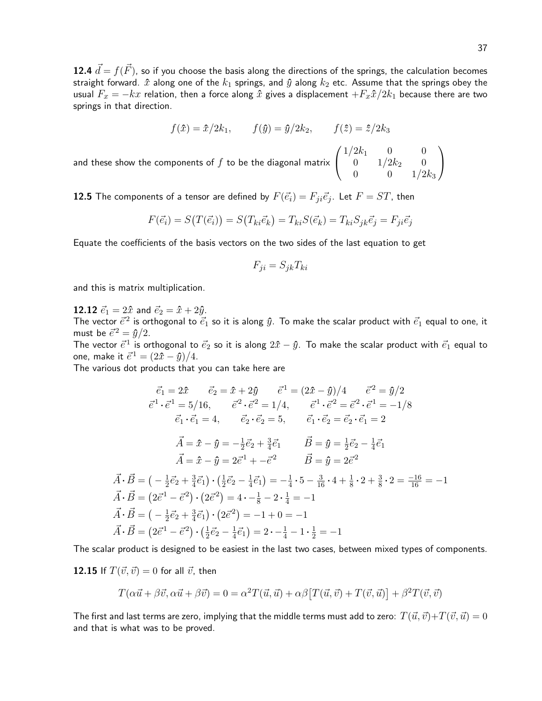12.4  $\vec{d} = f(\vec{F})$ , so if you choose the basis along the directions of the springs, the calculation becomes straight forward.  $\hat{x}$  along one of the  $k_1$  springs, and  $\hat{y}$  along  $k_2$  etc. Assume that the springs obey the usual  $F_x = -kx$  relation, then a force along  $\hat{x}$  gives a displacement  $+F_x\hat{x}/2k_1$  because there are two springs in that direction.

$$
f(\hat{x}) = \hat{x}/2k_1,
$$
  $f(\hat{y}) = \hat{y}/2k_2,$   $f(\hat{z}) = \hat{z}/2k_3$ 

 $1/2k_1$  0 0  $0 \frac{1}{2k_2} \frac{1}{2}$ 0 0  $1/2k_3$   $\setminus$  $\overline{1}$ 

and these show the components of  $f$  to be the diagonal matrix  $\sqrt{ }$  $\mathcal{L}$ 

**12.5** The components of a tensor are defined by  $F(\vec{e}_i) = F_{ji} \vec{e}_j$ . Let  $F = ST$ , then

$$
F(\vec{e_i}) = S(T(\vec{e_i})) = S(T_{ki}\vec{e_k}) = T_{ki}S(\vec{e_k}) = T_{ki}S_{jk}\vec{e_j} = F_{ji}\vec{e_j}
$$

Equate the coefficients of the basis vectors on the two sides of the last equation to get

$$
F_{ji} = S_{jk} T_{ki}
$$

and this is matrix multiplication.

**12.12**  $\vec{e}_1 = 2\hat{x}$  and  $\vec{e}_2 = \hat{x} + 2\hat{y}$ .

The vector  $\vec{e}^2$  is orthogonal to  $\vec{e_1}$  so it is along  $\hat{y}$ . To make the scalar product with  $\vec{e_1}$  equal to one, it must be  $\vec{e}^2 = \hat{y}/2$ .

The vector  $\vec{e}^1$  is orthogonal to  $\vec{e}_2$  so it is along  $2\hat{x}-\hat{y}$ . To make the scalar product with  $\vec{e}_1$  equal to one, make it  $\vec{e}^1 = (2\hat{x} - \hat{y})/4$ .

The various dot products that you can take here are

$$
\vec{e}_1 = 2\hat{x} \qquad \vec{e}_2 = \hat{x} + 2\hat{y} \qquad \vec{e}^1 = (2\hat{x} - \hat{y})/4 \qquad \vec{e}^2 = \hat{y}/2
$$
\n
$$
\vec{e}^1 \cdot \vec{e}^1 = 5/16, \qquad \vec{e}^2 \cdot \vec{e}^2 = 1/4, \qquad \vec{e}^1 \cdot \vec{e}^2 = \vec{e}^2 \cdot \vec{e}^1 = -1/8
$$
\n
$$
\vec{e}_1 \cdot \vec{e}_1 = 4, \qquad \vec{e}_2 \cdot \vec{e}_2 = 5, \qquad \vec{e}_1 \cdot \vec{e}_2 = \vec{e}_2 \cdot \vec{e}_1 = 2
$$
\n
$$
\vec{A} = \hat{x} - \hat{y} = -\frac{1}{2}\vec{e}_2 + \frac{3}{4}\vec{e}_1 \qquad \vec{B} = \hat{y} = \frac{1}{2}\vec{e}_2 - \frac{1}{4}\vec{e}_1
$$
\n
$$
\vec{A} = \hat{x} - \hat{y} = 2\vec{e}^1 + -\vec{e}^2 \qquad \vec{B} = \hat{y} = 2\vec{e}^2
$$
\n
$$
\vec{A} \cdot \vec{B} = \left(-\frac{1}{2}\vec{e}_2 + \frac{3}{4}\vec{e}_1\right) \cdot \left(\frac{1}{2}\vec{e}_2 - \frac{1}{4}\vec{e}_1\right) = -\frac{1}{4} \cdot 5 - \frac{3}{16} \cdot 4 + \frac{1}{8} \cdot 2 + \frac{3}{8} \cdot 2 = \frac{-16}{16} = -1
$$
\n
$$
\vec{A} \cdot \vec{B} = (2\vec{e}^1 - \vec{e}^2) \cdot (2\vec{e}^2) = 4 \cdot -\frac{1}{8} - 2 \cdot \frac{1}{4} = -1
$$
\n
$$
\vec{A} \cdot \vec{B} = \left(-\frac{1}{2}\vec{e}_2 + \frac{3}{4}\vec{e}_1\right) \cdot (2\vec{e}^2) = -1 + 0 = -1
$$
\n
$$
\vec{A} \cdot \vec{B} = (2\vec{e}^1 - \vec{e}^2)
$$

The scalar product is designed to be easiest in the last two cases, between mixed types of components.

12.15 If  $T(\vec{v},\vec{v}) = 0$  for all  $\vec{v}$ , then

$$
T(\alpha \vec{u} + \beta \vec{v}, \alpha \vec{u} + \beta \vec{v}) = 0 = \alpha^2 T(\vec{u}, \vec{u}) + \alpha \beta [T(\vec{u}, \vec{v}) + T(\vec{v}, \vec{u})] + \beta^2 T(\vec{v}, \vec{v})
$$

The first and last terms are zero, implying that the middle terms must add to zero:  $T(\vec{u}, \vec{v})+T(\vec{v}, \vec{u}) = 0$ and that is what was to be proved.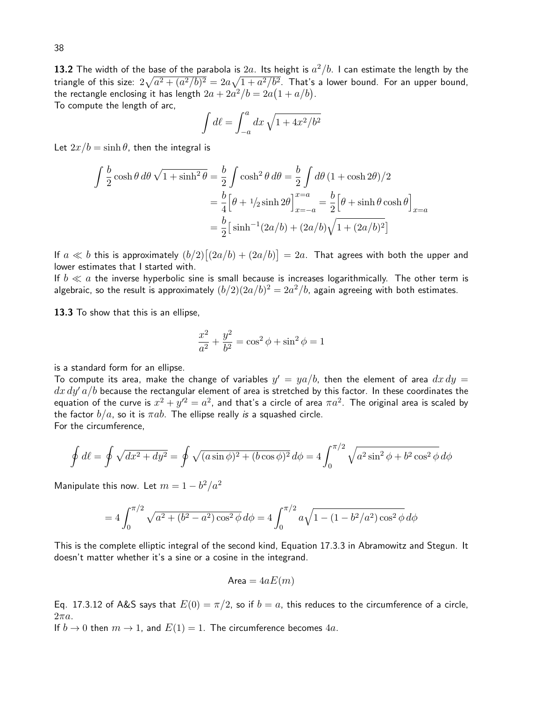**13.2** The width of the base of the parabola is  $2a$ . Its height is  $a^2/b$ . I can estimate the length by the triangle of this size:  $2\sqrt{a^2+(a^2/b)^2}=2a\sqrt{1+a^2/b^2}.$  That's a lower bound. For an upper bound, the rectangle enclosing it has length  $2a + 2a^2/b = 2a(1 + a/b)$ . To compute the length of arc,

$$
\int d\ell = \int_{-a}^{a} dx \sqrt{1 + 4x^2/b^2}
$$

Let  $2x/b = \sinh \theta$ , then the integral is

$$
\int \frac{b}{2} \cosh \theta \, d\theta \sqrt{1 + \sinh^2 \theta} = \frac{b}{2} \int \cosh^2 \theta \, d\theta = \frac{b}{2} \int d\theta (1 + \cosh 2\theta)/2
$$

$$
= \frac{b}{4} \Big[ \theta + 1/2 \sinh 2\theta \Big]_{x=-a}^{x=a} = \frac{b}{2} \Big[ \theta + \sinh \theta \cosh \theta \Big]_{x=a}
$$

$$
= \frac{b}{2} \Big[ \sinh^{-1} (2a/b) + (2a/b) \sqrt{1 + (2a/b)^2} \Big]
$$

If  $a \ll b$  this is approximately  $(b/2)\lceil (2a/b)+(2a/b)\rceil = 2a$ . That agrees with both the upper and lower estimates that I started with.

If  $b \ll a$  the inverse hyperbolic sine is small because is increases logarithmically. The other term is algebraic, so the result is approximately  $(b/2)(2a/b)^2=2a^2/b$ , again agreeing with both estimates.

13.3 To show that this is an ellipse,

$$
\frac{x^2}{a^2} + \frac{y^2}{b^2} = \cos^2 \phi + \sin^2 \phi = 1
$$

is a standard form for an ellipse.

To compute its area, make the change of variables  $y^\prime\,=\,y a/b$ , then the element of area  $\,dx\,dy\,=$  $dx dy' a/b$  because the rectangular element of area is stretched by this factor. In these coordinates the equation of the curve is  $x^2+y'^2=a^2$ , and that's a circle of area  $\pi a^2$ . The original area is scaled by the factor  $b/a$ , so it is  $\pi ab$ . The ellipse really is a squashed circle. For the circumference,

$$
\oint d\ell = \oint \sqrt{dx^2 + dy^2} = \oint \sqrt{(a \sin \phi)^2 + (b \cos \phi)^2} \, d\phi = 4 \int_0^{\pi/2} \sqrt{a^2 \sin^2 \phi + b^2 \cos^2 \phi} \, d\phi
$$

Manipulate this now. Let  $m=1-b^2/a^2$ 

$$
=4\int_0^{\pi/2} \sqrt{a^2 + (b^2 - a^2)\cos^2\phi} \, d\phi = 4\int_0^{\pi/2} a\sqrt{1 - (1 - b^2/a^2)\cos^2\phi} \, d\phi
$$

This is the complete elliptic integral of the second kind, Equation 17.3.3 in Abramowitz and Stegun. It doesn't matter whether it's a sine or a cosine in the integrand.

$$
Area = 4aE(m)
$$

Eq. 17.3.12 of A&S says that  $E(0) = \pi/2$ , so if  $b = a$ , this reduces to the circumference of a circle,  $2\pi a$ .

If  $b \to 0$  then  $m \to 1$ , and  $E(1) = 1$ . The circumference becomes 4a.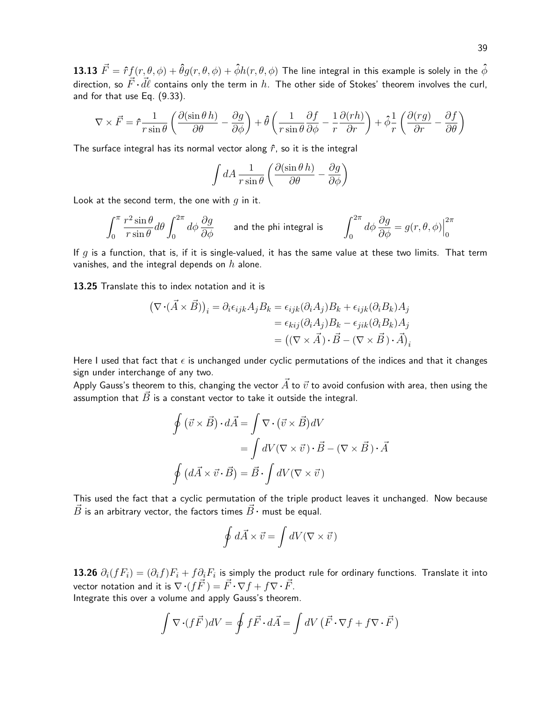13.13  $\vec{F} = \hat{r}f(r, \theta, \phi) + \hat{\theta}q(r, \theta, \phi) + \hat{\phi}h(r, \theta, \phi)$  The line integral in this example is solely in the  $\hat{\phi}$ direction, so  $\vec{F} \cdot \vec{d\ell}$  contains only the term in h. The other side of Stokes' theorem involves the curl, and for that use Eq. (9.33).

$$
\nabla \times \vec{F} = \hat{r} \frac{1}{r \sin \theta} \left( \frac{\partial (\sin \theta \, h)}{\partial \theta} - \frac{\partial g}{\partial \phi} \right) + \hat{\theta} \left( \frac{1}{r \sin \theta} \frac{\partial f}{\partial \phi} - \frac{1}{r} \frac{\partial (rh)}{\partial r} \right) + \hat{\phi} \frac{1}{r} \left( \frac{\partial (rg)}{\partial r} - \frac{\partial f}{\partial \theta} \right)
$$

The surface integral has its normal vector along  $\hat{r}$ , so it is the integral

$$
\int dA \frac{1}{r \sin \theta} \left( \frac{\partial (\sin \theta \, h)}{\partial \theta} - \frac{\partial g}{\partial \phi} \right)
$$

Look at the second term, the one with  $q$  in it.

$$
\int_0^\pi \frac{r^2 \sin \theta}{r \sin \theta} d\theta \int_0^{2\pi} d\phi \frac{\partial g}{\partial \phi}
$$
 and the phi integral is 
$$
\int_0^{2\pi} d\phi \frac{\partial g}{\partial \phi} = g(r, \theta, \phi) \Big|_0^{2\pi}
$$

If q is a function, that is, if it is single-valued, it has the same value at these two limits. That term vanishes, and the integral depends on  $h$  alone.

13.25 Translate this to index notation and it is

$$
(\nabla \cdot (\vec{A} \times \vec{B}))_i = \partial_i \epsilon_{ijk} A_j B_k = \epsilon_{ijk} (\partial_i A_j) B_k + \epsilon_{ijk} (\partial_i B_k) A_j
$$
  

$$
= \epsilon_{kij} (\partial_i A_j) B_k - \epsilon_{jik} (\partial_i B_k) A_j
$$
  

$$
= ((\nabla \times \vec{A}) \cdot \vec{B} - (\nabla \times \vec{B}) \cdot \vec{A})_i
$$

Here I used that fact that  $\epsilon$  is unchanged under cyclic permutations of the indices and that it changes sign under interchange of any two.

Apply Gauss's theorem to this, changing the vector  $\vec{A}$  to  $\vec{v}$  to avoid confusion with area, then using the assumption that  $\vec{B}$  is a constant vector to take it outside the integral.

$$
\oint (\vec{v} \times \vec{B}) \cdot d\vec{A} = \int \nabla \cdot (\vec{v} \times \vec{B}) dV
$$
\n
$$
= \int dV (\nabla \times \vec{v}) \cdot \vec{B} - (\nabla \times \vec{B}) \cdot \vec{A}
$$
\n
$$
\oint (d\vec{A} \times \vec{v} \cdot \vec{B}) = \vec{B} \cdot \int dV (\nabla \times \vec{v})
$$

This used the fact that a cyclic permutation of the triple product leaves it unchanged. Now because  $\vec{B}$  is an arbitrary vector, the factors times  $\vec{B} \cdot$  must be equal.

$$
\oint d\vec{A} \times \vec{v} = \int dV (\nabla \times \vec{v})
$$

13.26  $\partial_i(fF_i)=(\partial_if)F_i+f\partial_iF_i$  is simply the product rule for ordinary functions. Translate it into vector notation and it is  $\nabla \cdot (f \vec{F}) = \vec{F} \cdot \nabla f + f \nabla \cdot \vec{F}$ .

Integrate this over a volume and apply Gauss's theorem.

$$
\int \nabla \cdot (f\vec{F})dV = \oint f\vec{F} \cdot d\vec{A} = \int dV \left(\vec{F} \cdot \nabla f + f\nabla \cdot \vec{F}\right)
$$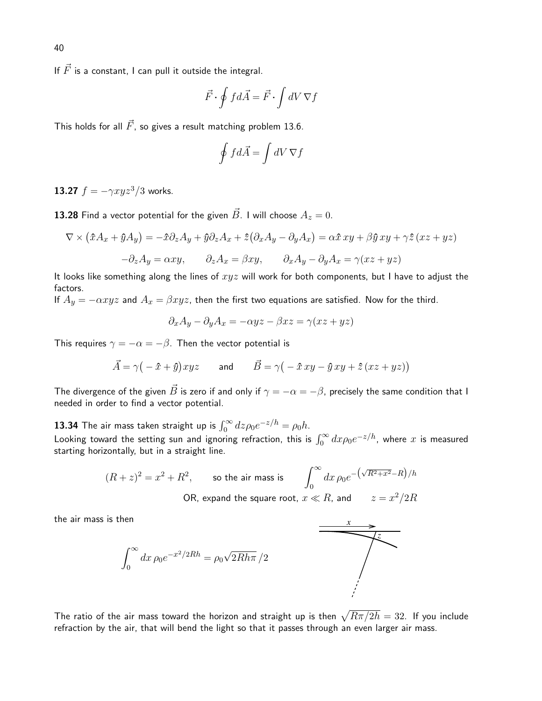If  $\vec{F}$  is a constant, I can pull it outside the integral.

$$
\vec{F}\cdot\oint fd\vec{A}=\vec{F}\cdot\int dV\,\nabla f
$$

This holds for all  $\vec{F}$ , so gives a result matching problem 13.6.

$$
\oint f d\vec{A} = \int dV \nabla f
$$

13.27  $f = -\gamma xyz^3/3$  works.

**13.28** Find a vector potential for the given  $\vec{B}$ . I will choose  $A_z = 0$ .

$$
\nabla \times (\hat{x}A_x + \hat{y}A_y) = -\hat{x}\partial_z A_y + \hat{y}\partial_z A_x + \hat{z}(\partial_x A_y - \partial_y A_x) = \alpha \hat{x} xy + \beta \hat{y} xy + \gamma \hat{z} (xz + yz)
$$

$$
-\partial_z A_y = \alpha xy, \qquad \partial_z A_x = \beta xy, \qquad \partial_x A_y - \partial_y A_x = \gamma (xz + yz)
$$

It looks like something along the lines of  $xyz$  will work for both components, but I have to adjust the factors.

If  $A_y = -\alpha xyz$  and  $A_x = \beta xyz$ , then the first two equations are satisfied. Now for the third.

$$
\partial_x A_y - \partial_y A_x = -\alpha yz - \beta xz = \gamma(xz + yz)
$$

This requires  $\gamma = -\alpha = -\beta$ . Then the vector potential is

$$
\vec{A} = \gamma \big(-\hat{x} + \hat{y}\big)xyz \qquad \text{and} \qquad \vec{B} = \gamma \big(-\hat{x}xy - \hat{y}xy + \hat{z}\left(xz + yz\right)\big)
$$

The divergence of the given  $\vec{B}$  is zero if and only if  $\gamma = -\alpha = -\beta$ , precisely the same condition that I needed in order to find a vector potential.

**13.34** The air mass taken straight up is  $\int_0^\infty dz \rho_0 e^{-z/h} = \rho_0 h$ . Looking toward the setting sun and ignoring refraction, this is  $\int_0^\infty dx \rho_0 e^{-z/h}$ , where  $x$  is measured starting horizontally, but in a straight line.

$$
(R+z)^2 = x^2 + R^2,
$$
 so the air mass is  $\int_0^\infty dx \,\rho_0 e^{-\left(\sqrt{R^2 + x^2} - R\right)/h}$   
OR, expand the square root,  $x \ll R$ , and  $z = x^2/2R$ 

the air mass is then

$$
\int_0^\infty dx \,\rho_0 e^{-x^2/2Rh} = \rho_0 \sqrt{2Rh\pi}/2
$$



The ratio of the air mass toward the horizon and straight up is then  $\sqrt{R\pi/2h} = 32.$  If you include refraction by the air, that will bend the light so that it passes through an even larger air mass.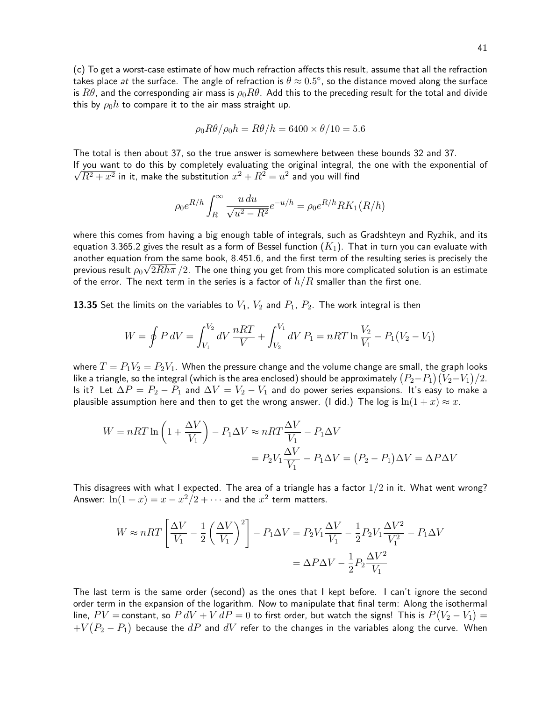(c) To get a worst-case estimate of how much refraction affects this result, assume that all the refraction takes place *at* the surface. The angle of refraction is  $\theta \approx 0.5^\circ$ , so the distance moved along the surface is  $R\theta$ , and the corresponding air mass is  $\rho_0 R\theta$ . Add this to the preceding result for the total and divide this by  $\rho_0 h$  to compare it to the air mass straight up.

$$
\rho_0 R\theta / \rho_0 h = R\theta / h = 6400 \times \theta / 10 = 5.6
$$

The total is then about 37, so the true answer is somewhere between these bounds 32 and 37. If you want to do this by completely evaluating the original integral, the one with the exponential of  $\overline{R^2+x^2}$  in it, make the substitution  $x^2+R^2=u^2$  and you will find

$$
\rho_0 e^{R/h} \int_R^{\infty} \frac{u \, du}{\sqrt{u^2 - R^2}} e^{-u/h} = \rho_0 e^{R/h} R K_1(R/h)
$$

where this comes from having a big enough table of integrals, such as Gradshteyn and Ryzhik, and its equation 3.365.2 gives the result as a form of Bessel function  $(K_1)$ . That in turn you can evaluate with another equation from the same book, 8.451.6, and the first term of the resulting series is precisely the previous result  $\rho_0\surd{2}Rh\pi$   $/2.$  The one thing you get from this more complicated solution is an estimate of the error. The next term in the series is a factor of  $h/R$  smaller than the first one.

**13.35** Set the limits on the variables to  $V_1$ ,  $V_2$  and  $P_1$ ,  $P_2$ . The work integral is then

$$
W = \oint P dV = \int_{V_1}^{V_2} dV \frac{nRT}{V} + \int_{V_2}^{V_1} dV P_1 = nRT \ln \frac{V_2}{V_1} - P_1(V_2 - V_1)
$$

where  $T = P_1V_2 = P_2V_1$ . When the pressure change and the volume change are small, the graph looks like a triangle, so the integral (which is the area enclosed) should be approximately  $(P_2{-}P_1)(V_2{-}V_1)/2.$ Is it? Let  $\Delta P = P_2 - P_1$  and  $\Delta V = V_2 - V_1$  and do power series expansions. It's easy to make a plausible assumption here and then to get the wrong answer. (I did.) The log is  $\ln(1 + x) \approx x$ .

$$
W = nRT \ln \left( 1 + \frac{\Delta V}{V_1} \right) - P_1 \Delta V \approx nRT \frac{\Delta V}{V_1} - P_1 \Delta V
$$
  
=  $P_2 V_1 \frac{\Delta V}{V_1} - P_1 \Delta V = (P_2 - P_1) \Delta V = \Delta P \Delta V$ 

This disagrees with what I expected. The area of a triangle has a factor  $1/2$  in it. What went wrong? Answer:  $\ln(1+x) = x - x^2/2 + \cdots$  and the  $x^2$  term matters.

$$
W \approx nRT \left[ \frac{\Delta V}{V_1} - \frac{1}{2} \left( \frac{\Delta V}{V_1} \right)^2 \right] - P_1 \Delta V = P_2 V_1 \frac{\Delta V}{V_1} - \frac{1}{2} P_2 V_1 \frac{\Delta V^2}{V_1^2} - P_1 \Delta V
$$

$$
= \Delta P \Delta V - \frac{1}{2} P_2 \frac{\Delta V^2}{V_1}
$$

The last term is the same order (second) as the ones that I kept before. I can't ignore the second order term in the expansion of the logarithm. Now to manipulate that final term: Along the isothermal line,  $PV=$  constant, so  $P\,dV+V\,dP=0$  to first order, but watch the signs! This is  $P(V_2-V_1)=$  $+V(P_2-P_1)$  because the  $dP$  and  $dV$  refer to the changes in the variables along the curve. When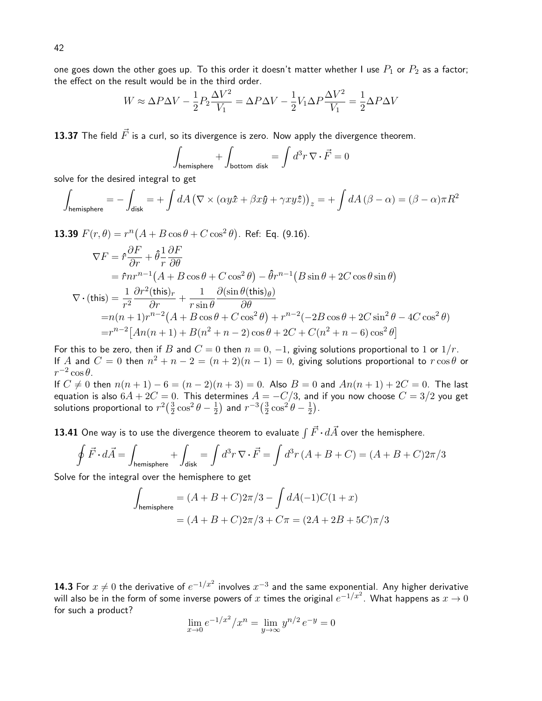one goes down the other goes up. To this order it doesn't matter whether I use  $P_1$  or  $P_2$  as a factor; the effect on the result would be in the third order.

$$
W \approx \Delta P \Delta V - \frac{1}{2} P_2 \frac{\Delta V^2}{V_1} = \Delta P \Delta V - \frac{1}{2} V_1 \Delta P \frac{\Delta V^2}{V_1} = \frac{1}{2} \Delta P \Delta V
$$

13.37 The field  $\vec{F}$  is a curl, so its divergence is zero. Now apply the divergence theorem.

$$
\int_{\text{hemisphere}} + \int_{\text{bottom disk}} = \int d^3 r \, \nabla \cdot \vec{F} = 0
$$

solve for the desired integral to get

$$
\int_{\text{hemisphere}} = -\int_{\text{disk}} = +\int dA \left( \nabla \times (\alpha y \hat{x} + \beta x \hat{y} + \gamma x y \hat{z}) \right)_z = +\int dA \left( \beta - \alpha \right) = (\beta - \alpha) \pi R^2
$$

**13.39**  $F(r, \theta) = r^{n}(A + B\cos\theta + C\cos^{2}\theta)$ . Ref: Eq. (9.16).

$$
\nabla F = \hat{r} \frac{\partial F}{\partial r} + \hat{\theta} \frac{1}{r} \frac{\partial F}{\partial \theta}
$$
  
=  $\hat{r} n r^{n-1} (A + B \cos \theta + C \cos^2 \theta) - \hat{\theta} r^{n-1} (B \sin \theta + 2C \cos \theta \sin \theta)$   

$$
\nabla \cdot (\text{this}) = \frac{1}{r^2} \frac{\partial r^2 (\text{this})_r}{\partial r} + \frac{1}{r \sin \theta} \frac{\partial (\sin \theta (\text{this})_\theta)}{\partial \theta}
$$
  
=  $n(n+1)r^{n-2} (A + B \cos \theta + C \cos^2 \theta) + r^{n-2} (-2B \cos \theta + 2C \sin^2 \theta - 4C \cos^2 \theta)$   
=  $r^{n-2} [An(n+1) + B(n^2 + n - 2) \cos \theta + 2C + C(n^2 + n - 6) \cos^2 \theta]$ 

For this to be zero, then if B and  $C = 0$  then  $n = 0, -1$ , giving solutions proportional to 1 or  $1/r$ . If  $A$  and  $C = 0$  then  $n^2 + n - 2 = (n + 2)(n - 1) = 0$ , giving solutions proportional to  $r \cos \theta$  or  $r^{-2}\cos\theta$ .

If  $C \neq 0$  then  $n(n + 1) - 6 = (n - 2)(n + 3) = 0$ . Also  $B = 0$  and  $An(n + 1) + 2C = 0$ . The last equation is also  $6A + 2C = 0$ . This determines  $A = -C/3$ , and if you now choose  $C = 3/2$  you get solutions proportional to  $r^2(\frac{3}{2})$  $\frac{3}{2}\cos^2\theta-\frac{1}{2}$  $(\frac{1}{2})$  and  $r^{-3}(\frac{3}{2})$  $\frac{3}{2}\cos^2\theta-\frac{1}{2}$  $(\frac{1}{2})$ .

**13.41** One way is to use the divergence theorem to evaluate  $\int \vec{F} \cdot d\vec{A}$  over the hemisphere.

$$
\oint \vec{F} \cdot d\vec{A} = \int_{\text{hemisphere}} + \int_{\text{disk}} = \int d^3r \, \nabla \cdot \vec{F} = \int d^3r \, (A + B + C) = (A + B + C)2\pi/3
$$

Solve for the integral over the hemisphere to get

$$
\int_{\text{hemisphere}} = (A + B + C)2\pi/3 - \int dA(-1)C(1+x)
$$

$$
= (A + B + C)2\pi/3 + C\pi = (2A + 2B + 5C)\pi/3
$$

**14.3** For  $x \neq 0$  the derivative of  $e^{-1/x^2}$  involves  $x^{-3}$  and the same exponential. Any higher derivative will also be in the form of some inverse powers of  $x$  times the original  $e^{-1/x^2}.$  What happens as  $x\to 0$ for such a product?

$$
\lim_{x \to 0} e^{-1/x^2}/x^n = \lim_{y \to \infty} y^{n/2} e^{-y} = 0
$$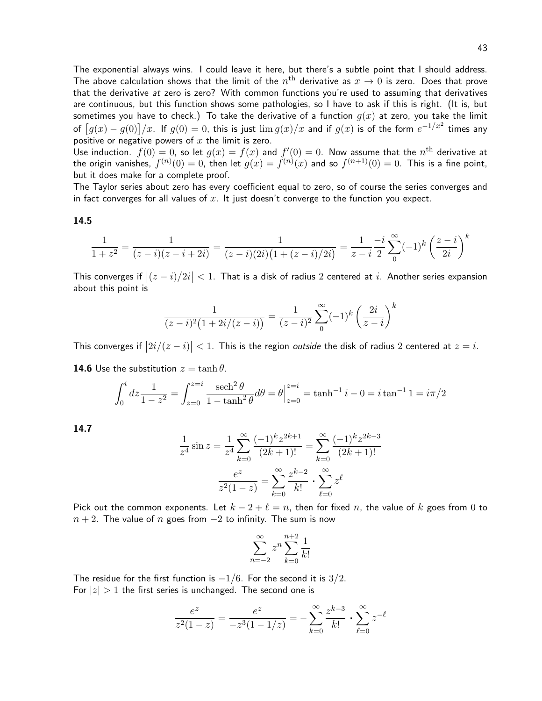The exponential always wins. I could leave it here, but there's a subtle point that I should address. The above calculation shows that the limit of the  $n^{\rm th}$  derivative as  $x \to 0$  is zero. Does that prove that the derivative at zero is zero? With common functions you're used to assuming that derivatives are continuous, but this function shows some pathologies, so I have to ask if this is right. (It is, but sometimes you have to check.) To take the derivative of a function  $g(x)$  at zero, you take the limit of  $[g(x)-g(0)]/x$ . If  $g(0)=0$ , this is just  $\lim g(x)/x$  and if  $g(x)$  is of the form  $e^{-1/x^2}$  times any positive or negative powers of  $x$  the limit is zero.

Use induction.  $f(0) = 0$ , so let  $g(x) = f(x)$  and  $f'(0) = 0$ . Now assume that the  $n^{\text{th}}$  derivative at the origin vanishes,  $f^{(n)}(0)=0$ , then let  $g(x)=f^{(n)}(x)$  and so  $f^{(n+1)}(0)=0$ . This is a fine point, but it does make for a complete proof.

The Taylor series about zero has every coefficient equal to zero, so of course the series converges and in fact converges for all values of  $x$ . It just doesn't converge to the function you expect.

# 14.5

$$
\frac{1}{1+z^2} = \frac{1}{(z-i)(z-i+2i)} = \frac{1}{(z-i)(2i)(1+(z-i)/2i)} = \frac{1}{z-i} \sum_{0}^{\infty} (-1)^k \left(\frac{z-i}{2i}\right)^k
$$

This converges if  $|(z - i)/2i| < 1$ . That is a disk of radius 2 centered at i. Another series expansion about this point is

$$
\frac{1}{(z-i)^2(1+2i/(z-i))} = \frac{1}{(z-i)^2} \sum_{0}^{\infty} (-1)^k \left(\frac{2i}{z-i}\right)^k
$$

This converges if  $\bigl|2i/(z-i)\bigr| < 1$ . This is the region *outside* the disk of radius 2 centered at  $z=i$ .

**14.6** Use the substitution  $z = \tanh \theta$ .

$$
\int_0^i dz \frac{1}{1 - z^2} = \int_{z=0}^{z=i} \frac{\operatorname{sech}^2 \theta}{1 - \tanh^2 \theta} d\theta = \theta \Big|_{z=0}^{z=i} = \tanh^{-1} i - 0 = i \tan^{-1} 1 = i\pi/2
$$

14.7

$$
\frac{1}{z^4} \sin z = \frac{1}{z^4} \sum_{k=0}^{\infty} \frac{(-1)^k z^{2k+1}}{(2k+1)!} = \sum_{k=0}^{\infty} \frac{(-1)^k z^{2k-3}}{(2k+1)!}
$$

$$
\frac{e^z}{z^2 (1-z)} = \sum_{k=0}^{\infty} \frac{z^{k-2}}{k!} \cdot \sum_{\ell=0}^{\infty} z^{\ell}
$$

Pick out the common exponents. Let  $k - 2 + \ell = n$ , then for fixed n, the value of k goes from 0 to  $n + 2$ . The value of n goes from  $-2$  to infinity. The sum is now

$$
\sum_{n=-2}^{\infty} z^n \sum_{k=0}^{n+2} \frac{1}{k!}
$$

The residue for the first function is  $-1/6$ . For the second it is  $3/2$ . For  $|z| > 1$  the first series is unchanged. The second one is

$$
\frac{e^z}{z^2(1-z)} = \frac{e^z}{-z^3(1-1/z)} = -\sum_{k=0}^{\infty} \frac{z^{k-3}}{k!} \cdot \sum_{\ell=0}^{\infty} z^{-\ell}
$$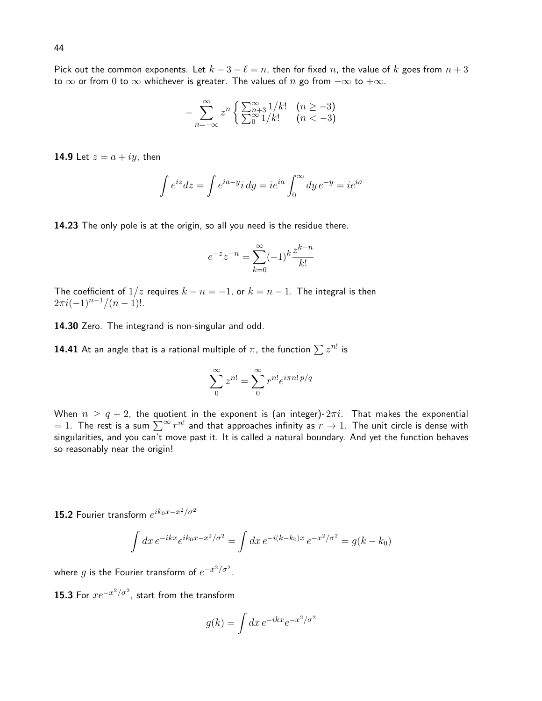Pick out the common exponents. Let  $k - 3 - \ell = n$ , then for fixed n, the value of k goes from  $n + 3$ to  $\infty$  or from 0 to  $\infty$  whichever is greater. The values of n go from  $-\infty$  to  $+\infty$ .

$$
-\sum_{n=-\infty}^{\infty} z^n \left\{ \frac{\sum_{n=3}^{\infty} 1/k!}{\sum_{0}^{\infty} 1/k!} \right. \begin{array}{ll} (n \ge -3) \\ (n < -3) \end{array}
$$

**14.9** Let  $z = a + iy$ , then

$$
\int e^{iz} dz = \int e^{ia - y} i dy = ie^{ia} \int_0^\infty dy e^{-y} = ie^{ia}
$$

14.23 The only pole is at the origin, so all you need is the residue there.

$$
e^{-z}z^{-n} = \sum_{k=0}^{\infty} (-1)^k \frac{z^{k-n}}{k!}
$$

The coefficient of  $1/z$  requires  $k - n = -1$ , or  $k = n - 1$ . The integral is then  $2\pi i(-1)^{n-1}/(n-1)!$ .

14.30 Zero. The integrand is non-singular and odd.

**14.41** At an angle that is a rational multiple of  $\pi$ , the function  $\sum z^{n!}$  is

$$
\sum_0^\infty z^{n!} = \sum_0^\infty r^{n!} e^{i\pi n! \, p/q}
$$

When  $n \geq q + 2$ , the quotient in the exponent is (an integer)  $2\pi i$ . That makes the exponential = 1. The rest is a sum  $\sum^{\infty} r^{n!}$  and that approaches infinity as  $r \to 1$ . The unit circle is dense with singularities, and you can't move past it. It is called a natural boundary. And yet the function behaves so reasonably near the origin!

**15.2** Fourier transform  $e^{ik_0x-x^2/\sigma^2}$ 

$$
\int dx e^{-ikx} e^{ik_0x - x^2/\sigma^2} = \int dx e^{-i(k - k_0)x} e^{-x^2/\sigma^2} = g(k - k_0)
$$

where  $g$  is the Fourier transform of  $e^{-x^2/\sigma^2}.$ 

**15.3** For  $xe^{-x^2/\sigma^2}$ , start from the transform

$$
g(k) = \int dx \, e^{-ikx} e^{-x^2/\sigma^2}
$$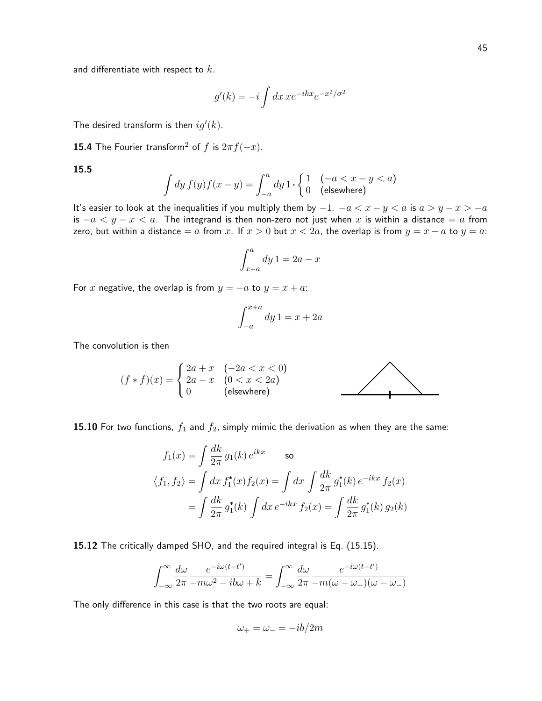and differentiate with respect to  $k$ .

$$
g'(k) = -i \int dx \, x e^{-ikx} e^{-x^2/\sigma^2}
$$

The desired transform is then  $ig'(k)$ .

**15.4** The Fourier transform<sup>2</sup> of f is  $2\pi f(-x)$ .

15.5

$$
\int dy f(y)f(x-y) = \int_{-a}^{a} dy \, 1 \cdot \begin{cases} 1 & (-a < x - y < a) \\ 0 & \text{(elsewhere)} \end{cases}
$$

It's easier to look at the inequalities if you multiply them by  $-1$ .  $-a < x - y < a$  is  $a > y - x > -a$ is  $-a < y - x < a$ . The integrand is then non-zero not just when x is within a distance = a from zero, but within a distance = a from x. If  $x > 0$  but  $x < 2a$ , the overlap is from  $y = x - a$  to  $y = a$ .

$$
\int_{x-a}^{a} dy \, 1 = 2a - x
$$

For x negative, the overlap is from  $y = -a$  to  $y = x + a$ .

$$
\int_{-a}^{x+a} dy \, 1 = x + 2a
$$

The convolution is then

$$
(f * f)(x) = \begin{cases} 2a + x & (-2a < x < 0) \\ 2a - x & (0 < x < 2a) \\ 0 & \text{(elsewhere)} \end{cases}
$$

15.10 For two functions,  $f_1$  and  $f_2$ , simply mimic the derivation as when they are the same:

$$
f_1(x) = \int \frac{dk}{2\pi} g_1(k) e^{ikx}
$$
 so  

$$
\langle f_1, f_2 \rangle = \int dx f_1^*(x) f_2(x) = \int dx \int \frac{dk}{2\pi} g_1^*(k) e^{-ikx} f_2(x)
$$

$$
= \int \frac{dk}{2\pi} g_1^*(k) \int dx e^{-ikx} f_2(x) = \int \frac{dk}{2\pi} g_1^*(k) g_2(k)
$$

15.12 The critically damped SHO, and the required integral is Eq. (15.15).

$$
\int_{-\infty}^{\infty} \frac{d\omega}{2\pi} \frac{e^{-i\omega(t-t')}}{-m\omega^2 - ib\omega + k} = \int_{-\infty}^{\infty} \frac{d\omega}{2\pi} \frac{e^{-i\omega(t-t')}}{-m(\omega - \omega_+)(\omega - \omega_-)}
$$

The only difference in this case is that the two roots are equal:

$$
\omega_+ = \omega_- = -ib/2m
$$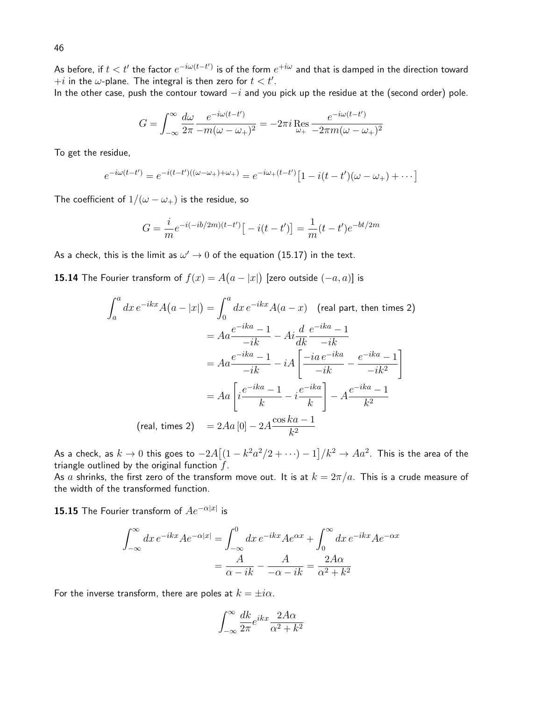As before, if  $t < t'$  the factor  $e^{-i\omega(t-t')}$  is of the form  $e^{+i\omega}$  and that is damped in the direction toward  $+i$  in the  $\omega$ -plane. The integral is then zero for  $t < t'.$ 

In the other case, push the contour toward  $-i$  and you pick up the residue at the (second order) pole.

$$
G = \int_{-\infty}^{\infty} \frac{d\omega}{2\pi} \frac{e^{-i\omega(t-t')}}{-m(\omega - \omega_+)^2} = -2\pi i \operatorname{Res}_{\omega_+} \frac{e^{-i\omega(t-t')}}{-2\pi m(\omega - \omega_+)^2}
$$

To get the residue,

$$
e^{-i\omega(t-t')} = e^{-i(t-t')((\omega-\omega_+) + \omega_+)} = e^{-i\omega_+(t-t')} \left[1 - i(t-t')(\omega-\omega_+) + \cdots\right]
$$

The coefficient of  $1/(\omega - \omega_+)$  is the residue, so

$$
G = \frac{i}{m}e^{-i(-ib/2m)(t-t')}[-i(t-t')] = \frac{1}{m}(t-t')e^{-bt/2m}
$$

As a check, this is the limit as  $\omega' \rightarrow 0$  of the equation  $(15.17)$  in the text.

**15.14** The Fourier transform of  $f(x) = A(a-|x|)$  [zero outside  $(-a,a)$ ] is

$$
\int_{a}^{a} dx e^{-ikx} A(a - |x|) = \int_{0}^{a} dx e^{-ikx} A(a - x) \quad \text{(real part, then times 2)}
$$
\n
$$
= Aa \frac{e^{-ika} - 1}{-ik} - Ai \frac{d}{dk} \frac{e^{-ika} - 1}{-ik}
$$
\n
$$
= Aa \frac{e^{-ika} - 1}{-ik} - iA \left[ \frac{-ia e^{-ika}}{-ik} - \frac{e^{-ika} - 1}{-ik^2} \right]
$$
\n
$$
= Aa \left[ i \frac{e^{-ika} - 1}{k} - i \frac{e^{-ika}}{k} \right] - A \frac{e^{-ika} - 1}{k^2}
$$
\n(real, times 2)

\n
$$
= 2Aa [0] - 2A \frac{\cos ka - 1}{k^2}
$$

As a check, as  $k\to 0$  this goes to  $-2A[(1-k^2a^2/2+\cdots)-1]/k^2\to Aa^2.$  This is the area of the triangle outlined by the original function  $f$ .

As a shrinks, the first zero of the transform move out. It is at  $k = 2\pi/a$ . This is a crude measure of the width of the transformed function.

 $\bf 15.15$  The Fourier transform of  $Ae^{-\alpha|x|}$  is

$$
\int_{-\infty}^{\infty} dx \, e^{-ikx} A e^{-\alpha |x|} = \int_{-\infty}^{0} dx \, e^{-ikx} A e^{\alpha x} + \int_{0}^{\infty} dx \, e^{-ikx} A e^{-\alpha x}
$$

$$
= \frac{A}{\alpha - ik} - \frac{A}{-\alpha - ik} = \frac{2A\alpha}{\alpha^2 + k^2}
$$

For the inverse transform, there are poles at  $k = \pm i\alpha$ .

$$
\int_{-\infty}^{\infty} \frac{dk}{2\pi} e^{ikx} \frac{2A\alpha}{\alpha^2 + k^2}
$$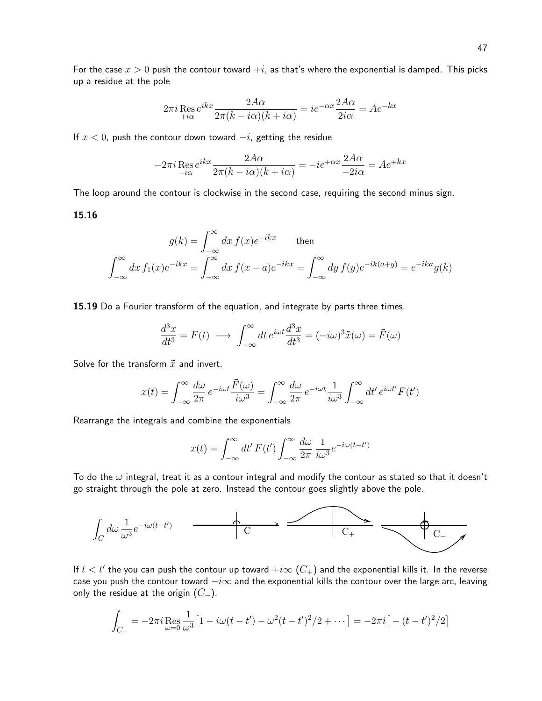For the case  $x > 0$  push the contour toward  $+i$ , as that's where the exponential is damped. This picks up a residue at the pole

$$
2\pi i \mathop{\mathrm{Res}}\limits_{+i\alpha} e^{ikx} \frac{2A\alpha}{2\pi (k - i\alpha)(k + i\alpha)} = ie^{-\alpha x} \frac{2A\alpha}{2i\alpha} = Ae^{-kx}
$$

If  $x < 0$ , push the contour down toward  $-i$ , getting the residue

$$
-2\pi i \mathop{\mathrm{Res}}\limits_{-i\alpha} e^{ikx} \frac{2A\alpha}{2\pi (k - i\alpha)(k + i\alpha)} = -ie^{+\alpha x} \frac{2A\alpha}{-2i\alpha} = Ae^{+kx}
$$

The loop around the contour is clockwise in the second case, requiring the second minus sign.

# 15.16

$$
g(k) = \int_{-\infty}^{\infty} dx f(x)e^{-ikx}
$$
 then  

$$
\int_{-\infty}^{\infty} dx f_1(x)e^{-ikx} = \int_{-\infty}^{\infty} dx f(x-a)e^{-ikx} = \int_{-\infty}^{\infty} dy f(y)e^{-ik(a+y)} = e^{-ika}g(k)
$$

15.19 Do a Fourier transform of the equation, and integrate by parts three times.

$$
\frac{d^3x}{dt^3} = F(t) \longrightarrow \int_{-\infty}^{\infty} dt \, e^{i\omega t} \frac{d^3x}{dt^3} = (-i\omega)^3 \tilde{x}(\omega) = \tilde{F}(\omega)
$$

Solve for the transform  $\tilde{x}$  and invert.

$$
x(t) = \int_{-\infty}^{\infty} \frac{d\omega}{2\pi} e^{-i\omega t} \frac{\tilde{F}(\omega)}{i\omega^3} = \int_{-\infty}^{\infty} \frac{d\omega}{2\pi} e^{-i\omega t} \frac{1}{i\omega^3} \int_{-\infty}^{\infty} dt' e^{i\omega t'} F(t')
$$

Rearrange the integrals and combine the exponentials

$$
x(t) = \int_{-\infty}^{\infty} dt' F(t') \int_{-\infty}^{\infty} \frac{d\omega}{2\pi} \frac{1}{i\omega^3} e^{-i\omega(t-t')}
$$

To do the  $\omega$  integral, treat it as a contour integral and modify the contour as stated so that it doesn't go straight through the pole at zero. Instead the contour goes slightly above the pole.



If  $t < t'$  the you can push the contour up toward  $+i\infty$   $(C_+)$  and the exponential kills it. In the reverse case you push the contour toward  $-i\infty$  and the exponential kills the contour over the large arc, leaving only the residue at the origin  $(C_-\)$ .

$$
\int_{C_{-}} = -2\pi i \mathop{\rm Res}_{\omega=0} \frac{1}{\omega^3} \left[ 1 - i\omega(t - t') - \omega^2(t - t')^2 / 2 + \cdots \right] = -2\pi i \left[ - (t - t')^2 / 2 \right]
$$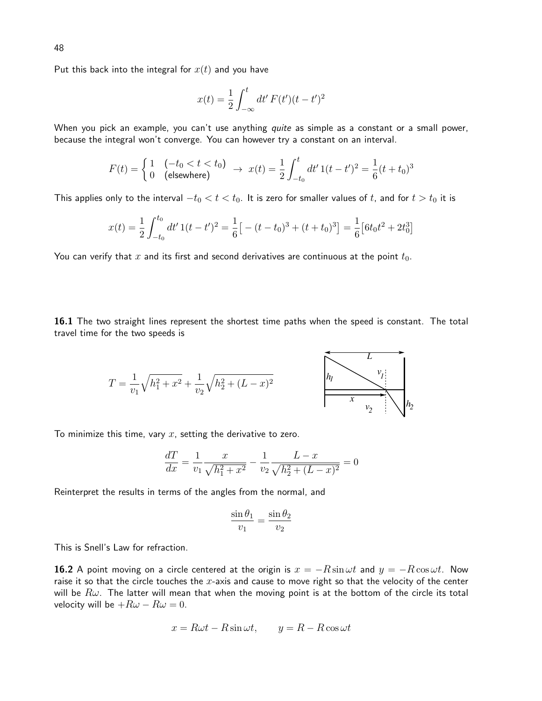Put this back into the integral for  $x(t)$  and you have

$$
x(t) = \frac{1}{2} \int_{-\infty}^{t} dt' F(t') (t - t')^{2}
$$

When you pick an example, you can't use anything quite as simple as a constant or a small power, because the integral won't converge. You can however try a constant on an interval.

$$
F(t) = \begin{cases} 1 & (-t_0 < t < t_0) \\ 0 & \text{(elsewhere)} \end{cases} \rightarrow x(t) = \frac{1}{2} \int_{-t_0}^t dt' \, 1(t - t')^2 = \frac{1}{6}(t + t_0)^3
$$

This applies only to the interval  $-t_0 < t < t_0$ . It is zero for smaller values of t, and for  $t > t_0$  it is

$$
x(t) = \frac{1}{2} \int_{-t_0}^{t_0} dt' \, 1(t - t')^2 = \frac{1}{6} \left[ -(t - t_0)^3 + (t + t_0)^3 \right] = \frac{1}{6} \left[ 6t_0 t^2 + 2t_0^3 \right]
$$

You can verify that  $x$  and its first and second derivatives are continuous at the point  $t_0$ .

16.1 The two straight lines represent the shortest time paths when the speed is constant. The total travel time for the two speeds is

$$
T = \frac{1}{v_1} \sqrt{h_1^2 + x^2} + \frac{1}{v_2} \sqrt{h_2^2 + (L - x)^2}
$$

To minimize this time, vary  $x$ , setting the derivative to zero.

$$
\frac{dT}{dx} = \frac{1}{v_1} \frac{x}{\sqrt{h_1^2 + x^2}} - \frac{1}{v_2} \frac{L - x}{\sqrt{h_2^2 + (L - x)^2}} = 0
$$

Reinterpret the results in terms of the angles from the normal, and

$$
\frac{\sin \theta_1}{v_1} = \frac{\sin \theta_2}{v_2}
$$

This is Snell's Law for refraction.

**16.2** A point moving on a circle centered at the origin is  $x = -R \sin \omega t$  and  $y = -R \cos \omega t$ . Now raise it so that the circle touches the  $x$ -axis and cause to move right so that the velocity of the center will be  $R\omega$ . The latter will mean that when the moving point is at the bottom of the circle its total velocity will be  $+R\omega - R\omega = 0$ .

$$
x = R\omega t - R\sin\omega t, \qquad y = R - R\cos\omega t
$$

48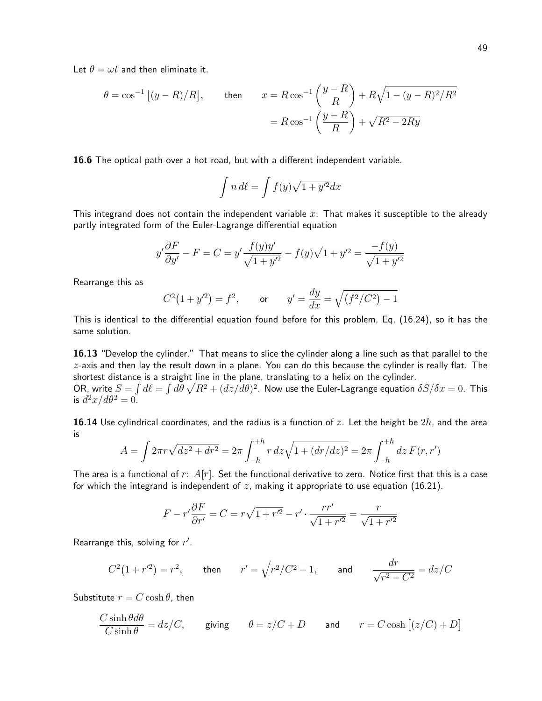$$
\theta = \cos^{-1}\left[(y - R)/R\right], \qquad \text{then} \qquad x = R\cos^{-1}\left(\frac{y - R}{R}\right) + R\sqrt{1 - (y - R)^2/R^2}
$$

$$
= R\cos^{-1}\left(\frac{y - R}{R}\right) + \sqrt{R^2 - 2Ry}
$$

16.6 The optical path over a hot road, but with a different independent variable.

$$
\int n \, d\ell = \int f(y) \sqrt{1 + y'^2} dx
$$

This integrand does not contain the independent variable  $x$ . That makes it susceptible to the already partly integrated form of the Euler-Lagrange differential equation

$$
y'\frac{\partial F}{\partial y'} - F = C = y'\frac{f(y)y'}{\sqrt{1+y'^2}} - f(y)\sqrt{1+y'^2} = \frac{-f(y)}{\sqrt{1+y'^2}}
$$

Rearrange this as

$$
C^2(1+y'^2) = f^2
$$
, or  $y' = \frac{dy}{dx} = \sqrt{(f^2/C^2) - 1}$ 

This is identical to the differential equation found before for this problem, Eq. (16.24), so it has the same solution.

16.13 "Develop the cylinder." That means to slice the cylinder along a line such as that parallel to the  $z$ -axis and then lay the result down in a plane. You can do this because the cylinder is really flat. The shortest distance is a straight line in the plane, translating to a helix on the cylinder.

OR, write  $S=\int d\ell=\int d\theta\,\sqrt{R^2+(dz/d\theta)^2}$ . Now use the Euler-Lagrange equation  $\delta S/\delta x=0$ . This is  $d^2x/d\theta^2=0$ .

**16.14** Use cylindrical coordinates, and the radius is a function of z. Let the height be  $2h$ , and the area is

$$
A = \int 2\pi r \sqrt{dz^2 + dr^2} = 2\pi \int_{-h}^{+h} r \, dz \sqrt{1 + (dr/dz)^2} = 2\pi \int_{-h}^{+h} dz \, F(r, r')
$$

The area is a functional of  $r: A[r]$ . Set the functional derivative to zero. Notice first that this is a case for which the integrand is independent of  $z$ , making it appropriate to use equation (16.21).

$$
F - r'\frac{\partial F}{\partial r'} = C = r\sqrt{1 + r'^2} - r' \cdot \frac{rr'}{\sqrt{1 + r'^2}} = \frac{r}{\sqrt{1 + r'^2}}
$$

Rearrange this, solving for  $r'$ .

$$
C^2(1 + r'^2) = r^2
$$
, then  $r' = \sqrt{r^2/C^2 - 1}$ , and  $\frac{dr}{\sqrt{r^2 - C^2}} = dz/C$ 

Substitute  $r = C \cosh \theta$ , then

$$
\frac{C \sinh \theta d\theta}{C \sinh \theta} = dz/C, \quad \text{giving} \quad \theta = z/C + D \quad \text{and} \quad r = C \cosh \left[ (z/C) + D \right]
$$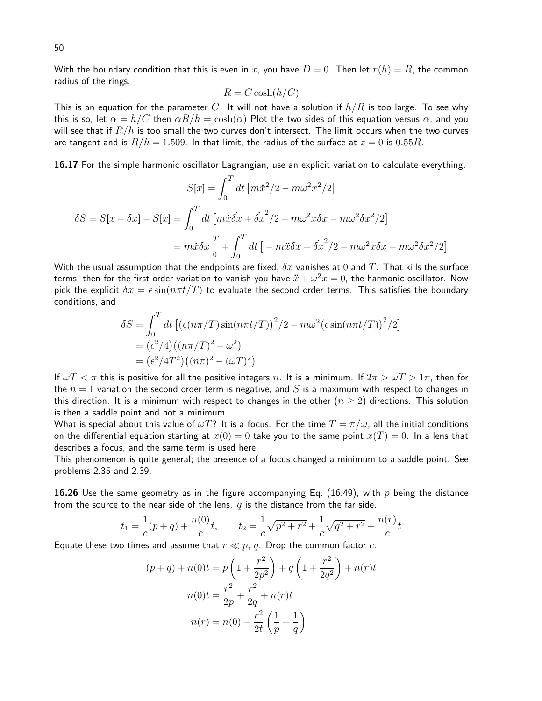With the boundary condition that this is even in x, you have  $D = 0$ . Then let  $r(h) = R$ , the common radius of the rings.

$$
R = C \cosh(h/C)
$$

This is an equation for the parameter C. It will not have a solution if  $h/R$  is too large. To see why this is so, let  $\alpha = h/C$  then  $\alpha R/h = \cosh(\alpha)$  Plot the two sides of this equation versus  $\alpha$ , and you will see that if  $R/h$  is too small the two curves don't intersect. The limit occurs when the two curves are tangent and is  $R/h = 1.509$ . In that limit, the radius of the surface at  $z = 0$  is 0.55R.

16.17 For the simple harmonic oscillator Lagrangian, use an explicit variation to calculate everything.

$$
S[x] = \int_0^T dt \left[ m\dot{x}^2/2 - m\omega^2 x^2/2 \right]
$$

$$
\delta S = S[x + \delta x] - S[x] = \int_0^T dt \left[ m\dot{x}\dot{\delta x} + \dot{\delta x}^2/2 - m\omega^2 x \delta x - m\omega^2 \delta x^2/2 \right]
$$

$$
= m\dot{x}\delta x \Big|_0^T + \int_0^T dt \left[ -m\ddot{x}\delta x + \dot{\delta x}^2/2 - m\omega^2 x \delta x - m\omega^2 \delta x^2/2 \right]
$$

With the usual assumption that the endpoints are fixed,  $\delta x$  vanishes at 0 and T. That kills the surface terms, then for the first order variation to vanish you have  $\ddot{x} + \omega^2 x = 0$ , the harmonic oscillator. Now pick the explicit  $\delta x = \epsilon \sin(n\pi t/T)$  to evaluate the second order terms. This satisfies the boundary conditions, and

$$
\delta S = \int_0^T dt \left[ \left( \epsilon (n\pi/T) \sin(n\pi t/T) \right)^2 / 2 - m\omega^2 \left( \epsilon \sin(n\pi t/T) \right)^2 / 2 \right]
$$
  
=  $\left( \epsilon^2 / 4 \right) \left( (n\pi/T)^2 - \omega^2 \right)$   
=  $\left( \epsilon^2 / 4T^2 \right) \left( (n\pi)^2 - (\omega T)^2 \right)$ 

If  $\omega T < \pi$  this is positive for all the positive integers n. It is a minimum. If  $2\pi > \omega T > 1\pi$ , then for the  $n = 1$  variation the second order term is negative, and S is a maximum with respect to changes in this direction. It is a minimum with respect to changes in the other ( $n \geq 2$ ) directions. This solution is then a saddle point and not a minimum.

What is special about this value of  $\omega T$ ? It is a focus. For the time  $T = \pi/\omega$ , all the initial conditions on the differential equation starting at  $x(0) = 0$  take you to the same point  $x(T) = 0$ . In a lens that describes a focus, and the same term is used here.

This phenomenon is quite general; the presence of a focus changed a minimum to a saddle point. See problems 2.35 and 2.39.

**16.26** Use the same geometry as in the figure accompanying Eq. (16.49), with p being the distance from the source to the near side of the lens.  $q$  is the distance from the far side.

$$
t_1 = \frac{1}{c}(p+q) + \frac{n(0)}{c}t
$$
,  $t_2 = \frac{1}{c}\sqrt{p^2 + r^2} + \frac{1}{c}\sqrt{q^2 + r^2} + \frac{n(r)}{c}t$ 

Equate these two times and assume that  $r \ll p$ , q. Drop the common factor c.

$$
(p+q) + n(0)t = p\left(1 + \frac{r^2}{2p^2}\right) + q\left(1 + \frac{r^2}{2q^2}\right) + n(r)t
$$

$$
n(0)t = \frac{r^2}{2p} + \frac{r^2}{2q} + n(r)t
$$

$$
n(r) = n(0) - \frac{r^2}{2t}\left(\frac{1}{p} + \frac{1}{q}\right)
$$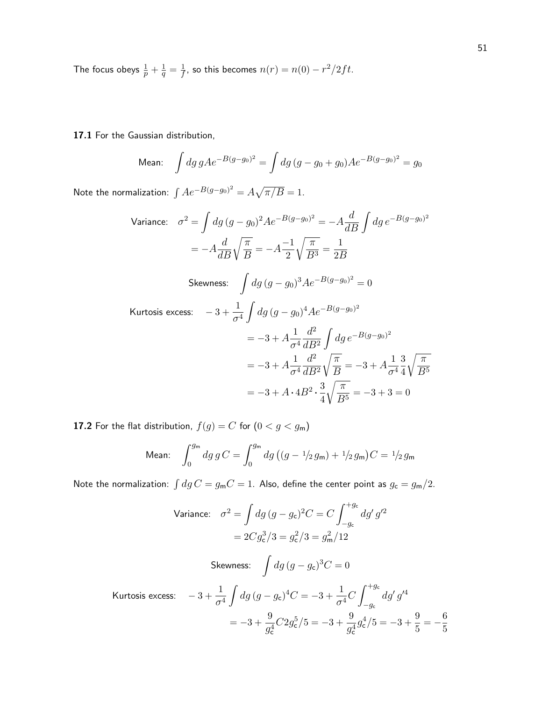The focus obeys  $\frac{1}{p} + \frac{1}{q} = \frac{1}{f}$ , so this becomes  $n(r) = n(0) - \frac{r^2}{2ft}$ .

17.1 For the Gaussian distribution,

Mean: 
$$
\int dg g A e^{-B(g-g_0)^2} = \int dg (g - g_0 + g_0) A e^{-B(g-g_0)^2} = g_0
$$

Note the normalization:  $\int Ae^{-B(g-g_0)^2} = A\sqrt{\pi/B} = 1$ .

Variance: 
$$
\sigma^2 = \int dg (g - g_0)^2 Ae^{-B(g - g_0)^2} = -A \frac{d}{dB} \int dg e^{-B(g - g_0)^2}
$$

$$
= -A \frac{d}{dB} \sqrt{\frac{\pi}{B}} = -A \frac{-1}{2} \sqrt{\frac{\pi}{B^3}} = \frac{1}{2B}
$$
  
Skewness: 
$$
\int dg (g - g_0)^3 Ae^{-B(g - g_0)^2} = 0
$$
  
Kurtosis excess: 
$$
-3 + \frac{1}{\sigma^4} \int dg (g - g_0)^4 Ae^{-B(g - g_0)^2}
$$

$$
= -3 + A \frac{1}{\sigma^4} \frac{d^2}{dB^2} \int dg e^{-B(g - g_0)^2}
$$

$$
= -3 + A \frac{1}{\sigma^4} \frac{d^2}{dB^2} \sqrt{\frac{\pi}{B}} = -3 + A \frac{1}{\sigma^4} \frac{3}{4} \sqrt{\frac{\pi}{B^5}}
$$

$$
= -3 + A \cdot 4B^2 \cdot \frac{3}{4} \sqrt{\frac{\pi}{B^5}} = -3 + 3 = 0
$$

**17.2** For the flat distribution,  $f(g) = C$  for  $(0 < g < g<sub>m</sub>)$ 

Mean: 
$$
\int_0^{g_m} dg \, g \, C = \int_0^{g_m} dg \, ((g - 1/2 \, g_m) + 1/2 \, g_m) \, C = 1/2 \, g_m
$$

Note the normalization:  $\int dg C = g_{\sf m} C = 1$ . Also, define the center point as  $g_{\sf c} = g_{\sf m}/2$ .

Variance: 
$$
\sigma^2 = \int dg (g - g_c)^2 C = C \int_{-g_c}^{+g_c} dg' g'^2
$$

\n
$$
= 2C g_c^3 / 3 = g_c^2 / 3 = g_m^2 / 12
$$
\nSkewness:  $\int dg (g - g_c)^3 C = 0$ 

\nKurtosis excess:  $-3 + \frac{1}{\sigma^4} \int dg (g - g_c)^4 C = -3 + \frac{1}{\sigma^4} C \int_{-g_c}^{+g_c} dg' g'^4$ 

 $g_{\mathsf{c}}^4$ 

 $g_{\rm c}^4$ 

5